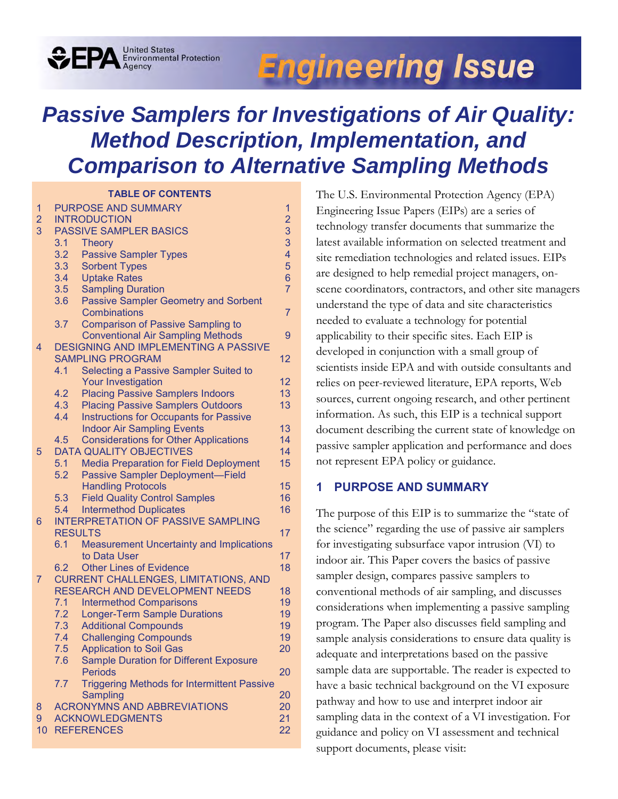# **Engineering Issue**

# *Passive Samplers for Investigations of Air Quality: Method Description, Implementation, and Comparison to Alternative Sampling Methods*

#### **TABLE OF CONTENTS**

**OFPA** Environmental Protection

| 1              |                  | <b>PURPOSE AND SUMMARY</b>                         | $\mathbf{1}$   |
|----------------|------------------|----------------------------------------------------|----------------|
| $\overline{2}$ |                  | <b>INTRODUCTION</b>                                | $\overline{2}$ |
| 3              |                  | <b>PASSIVE SAMPLER BASICS</b>                      | 3              |
|                | 3.1              | <b>Theory</b>                                      | 3              |
|                | 3.2              | <b>Passive Sampler Types</b>                       | 4              |
|                | 3.3 <sub>2</sub> | <b>Sorbent Types</b>                               | 5              |
|                | 3.4              | <b>Uptake Rates</b>                                | 6              |
|                | 3.5              | <b>Sampling Duration</b>                           | $\overline{7}$ |
|                | 3.6              | <b>Passive Sampler Geometry and Sorbent</b>        |                |
|                |                  | <b>Combinations</b>                                | $\overline{7}$ |
|                | 3.7              | <b>Comparison of Passive Sampling to</b>           |                |
|                |                  | <b>Conventional Air Sampling Methods</b>           | 9              |
| $\overline{4}$ |                  | <b>DESIGNING AND IMPLEMENTING A PASSIVE</b>        |                |
|                |                  | <b>SAMPLING PROGRAM</b>                            | 12             |
|                | 4.1              | Selecting a Passive Sampler Suited to              |                |
|                |                  | <b>Your Investigation</b>                          | 12             |
|                | 4.2              | <b>Placing Passive Samplers Indoors</b>            | 13             |
|                | 4.3              | <b>Placing Passive Samplers Outdoors</b>           | 13             |
|                | 4.4              | <b>Instructions for Occupants for Passive</b>      |                |
|                |                  | <b>Indoor Air Sampling Events</b>                  | 13             |
|                | 4.5              | <b>Considerations for Other Applications</b>       | 14             |
| 5              |                  | <b>DATA QUALITY OBJECTIVES</b>                     | 14             |
|                | 5.1              | <b>Media Preparation for Field Deployment</b>      | 15             |
|                | 5.2              | Passive Sampler Deployment-Field                   |                |
|                |                  | <b>Handling Protocols</b>                          | 15             |
|                | 5.3              | <b>Field Quality Control Samples</b>               | 16             |
|                | 5.4              | <b>Intermethod Duplicates</b>                      | 16             |
| 6              |                  | <b>INTERPRETATION OF PASSIVE SAMPLING</b>          |                |
|                | <b>RESULTS</b>   |                                                    | 17             |
|                | 6.1              | <b>Measurement Uncertainty and Implications</b>    | 17             |
|                | 6.2              | to Data User<br><b>Other Lines of Evidence</b>     | 18             |
| $\overline{7}$ |                  | <b>CURRENT CHALLENGES, LIMITATIONS, AND</b>        |                |
|                |                  | RESEARCH AND DEVELOPMENT NEEDS                     | 18             |
|                | 7.1              | <b>Intermethod Comparisons</b>                     | 19             |
|                | 7.2              | <b>Longer-Term Sample Durations</b>                | 19             |
|                | 7.3              | <b>Additional Compounds</b>                        | 19             |
|                | 7.4              | <b>Challenging Compounds</b>                       | 19             |
|                | 7.5              | <b>Application to Soil Gas</b>                     | 20             |
|                | 7.6              | <b>Sample Duration for Different Exposure</b>      |                |
|                |                  | <b>Periods</b>                                     | 20             |
|                | 7.7              | <b>Triggering Methods for Intermittent Passive</b> |                |
|                |                  | Sampling                                           | 20             |
| 8              |                  | <b>ACRONYMNS AND ABBREVIATIONS</b>                 | 20             |
| 9              |                  | <b>ACKNOWLEDGMENTS</b>                             | 21             |
| 10             |                  | <b>REFERENCES</b>                                  | 22             |
|                |                  |                                                    |                |

The U.S. Environmental Protection Agency (EPA) Engineering Issue Papers (EIPs) are a series of technology transfer documents that summarize the latest available information on selected treatment and site remediation technologies and related issues. EIPs are designed to help remedial project managers, onscene coordinators, contractors, and other site managers understand the type of data and site characteristics needed to evaluate a technology for potential applicability to their specific sites. Each EIP is developed in conjunction with a small group of scientists inside EPA and with outside consultants and relies on peer-reviewed literature, EPA reports, Web sources, current ongoing research, and other pertinent information. As such, this EIP is a technical support document describing the current state of knowledge on passive sampler application and performance and does not represent EPA policy or guidance.

### <span id="page-0-0"></span>**1 PURPOSE AND SUMMARY**

The purpose of this EIP is to summarize the "state of the science" regarding the use of passive air samplers for investigating subsurface vapor intrusion (VI) to indoor air. This Paper covers the basics of passive sampler design, compares passive samplers to conventional methods of air sampling, and discusses considerations when implementing a passive sampling program. The Paper also discusses field sampling and sample analysis considerations to ensure data quality is adequate and interpretations based on the passive sample data are supportable. The reader is expected to have a basic technical background on the VI exposure pathway and how to use and interpret indoor air sampling data in the context of a VI investigation. For guidance and policy on VI assessment and technical support documents, please visit: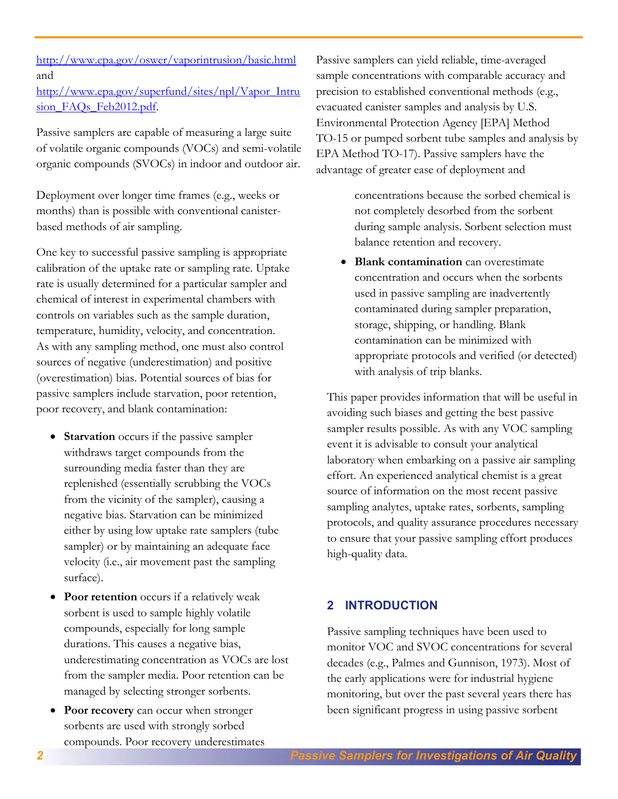[http://www.epa.gov/superfund/sites/npl/Vapor\\_Intru](http://www.epa.gov/superfund/sites/npl/Vapor_Intrusion_FAQs_Feb2012.pdf) sion\_FAOs\_Feb2012.pdf.

Passive samplers are capable of measuring a large suite of volatile organic compounds (VOCs) and semi-volatile organic compounds (SVOCs) in indoor and outdoor air.

Deployment over longer time frames (e.g., weeks or months) than is possible with conventional canisterbased methods of air sampling.

One key to successful passive sampling is appropriate calibration of the uptake rate or sampling rate. Uptake rate is usually determined for a particular sampler and chemical of interest in experimental chambers with controls on variables such as the sample duration, temperature, humidity, velocity, and concentration. As with any sampling method, one must also control sources of negative (underestimation) and positive (overestimation) bias. Potential sources of bias for passive samplers include starvation, poor retention, poor recovery, and blank contamination:

- **Starvation** occurs if the passive sampler withdraws target compounds from the surrounding media faster than they are replenished (essentially scrubbing the VOCs from the vicinity of the sampler), causing a negative bias. Starvation can be minimized either by using low uptake rate samplers (tube sampler) or by maintaining an adequate face velocity (i.e., air movement past the sampling surface).
- **Poor retention** occurs if a relatively weak sorbent is used to sample highly volatile compounds, especially for long sample durations. This causes a negative bias, underestimating concentration as VOCs are lost from the sampler media. Poor retention can be managed by selecting stronger sorbents.
- **Poor recovery** can occur when stronger sorbents are used with strongly sorbed compounds. Poor recovery underestimates

Passive samplers can yield reliable, time-averaged sample concentrations with comparable accuracy and precision to established conventional methods (e.g., evacuated canister samples and analysis by U.S. Environmental Protection Agency [EPA] Method TO-15 or pumped sorbent tube samples and analysis by EPA Method TO-17). Passive samplers have the advantage of greater ease of deployment and

> concentrations because the sorbed chemical is not completely desorbed from the sorbent during sample analysis. Sorbent selection must balance retention and recovery.

 **Blank contamination** can overestimate concentration and occurs when the sorbents used in passive sampling are inadvertently contaminated during sampler preparation, storage, shipping, or handling. Blank contamination can be minimized with appropriate protocols and verified (or detected) with analysis of trip blanks.

This paper provides information that will be useful in avoiding such biases and getting the best passive sampler results possible. As with any VOC sampling event it is advisable to consult your analytical laboratory when embarking on a passive air sampling effort. An experienced analytical chemist is a great source of information on the most recent passive sampling analytes, uptake rates, sorbents, sampling protocols, and quality assurance procedures necessary to ensure that your passive sampling effort produces high-quality data.

# <span id="page-1-0"></span>**2 INTRODUCTION**

Passive sampling techniques have been used to monitor VOC and SVOC concentrations for several decades (e.g., Palmes and Gunnison, 1973). Most of the early applications were for industrial hygiene monitoring, but over the past several years there has been significant progress in using passive sorbent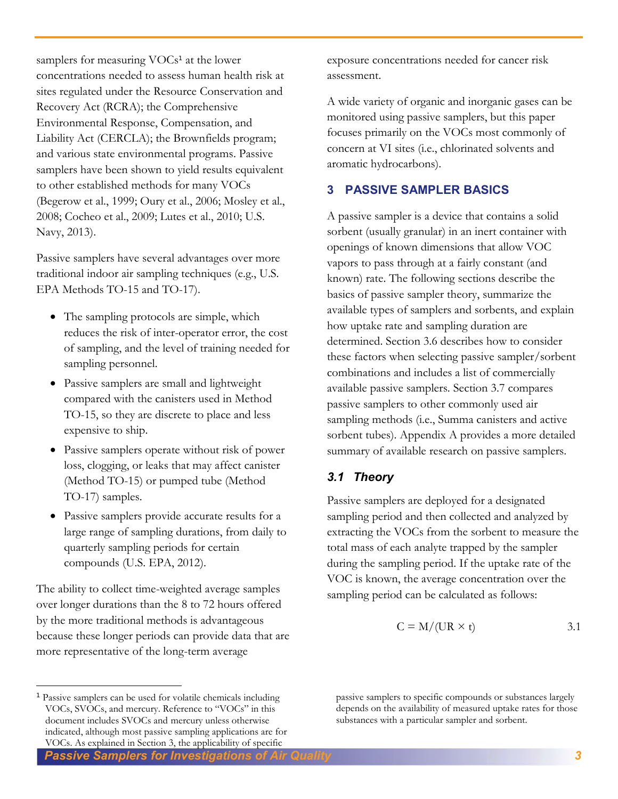samplers for measuring VOCs<sup>1</sup> at the lower concentrations needed to assess human health risk at sites regulated under the Resource Conservation and Recovery Act (RCRA); the Comprehensive Environmental Response, Compensation, and Liability Act (CERCLA); the Brownfields program; and various state environmental programs. Passive samplers have been shown to yield results equivalent to other established methods for many VOCs (Begerow et al., 1999; Oury et al., 2006; Mosley et al., 2008; Cocheo et al., 2009; Lutes et al., 2010; U.S. Navy, 2013).

Passive samplers have several advantages over more traditional indoor air sampling techniques (e.g., U.S. EPA Methods TO-15 and TO-17).

- The sampling protocols are simple, which reduces the risk of inter-operator error, the cost of sampling, and the level of training needed for sampling personnel.
- Passive samplers are small and lightweight compared with the canisters used in Method TO-15, so they are discrete to place and less expensive to ship.
- Passive samplers operate without risk of power loss, clogging, or leaks that may affect canister (Method TO-15) or pumped tube (Method TO-17) samples.
- Passive samplers provide accurate results for a large range of sampling durations, from daily to quarterly sampling periods for certain compounds (U.S. EPA, 2012).

The ability to collect time-weighted average samples over longer durations than the 8 to 72 hours offered by the more traditional methods is advantageous because these longer periods can provide data that are more representative of the long-term average

 $\overline{a}$ 

exposure concentrations needed for cancer risk assessment.

A wide variety of organic and inorganic gases can be monitored using passive samplers, but this paper focuses primarily on the VOCs most commonly of concern at VI sites (i.e., chlorinated solvents and aromatic hydrocarbons).

# <span id="page-2-0"></span>**3 PASSIVE SAMPLER BASICS**

A passive sampler is a device that contains a solid sorbent (usually granular) in an inert container with openings of known dimensions that allow VOC vapors to pass through at a fairly constant (and known) rate. The following sections describe the basics of passive sampler theory, summarize the available types of samplers and sorbents, and explain how uptake rate and sampling duration are determined. Section 3.6 describes how to consider these factors when selecting passive sampler/sorbent combinations and includes a list of commercially available passive samplers. Section 3.7 compares passive samplers to other commonly used air sampling methods (i.e., Summa canisters and active sorbent tubes). Appendix A provides a more detailed summary of available research on passive samplers.

# <span id="page-2-1"></span>*3.1 Theory*

Passive samplers are deployed for a designated sampling period and then collected and analyzed by extracting the VOCs from the sorbent to measure the total mass of each analyte trapped by the sampler during the sampling period. If the uptake rate of the VOC is known, the average concentration over the sampling period can be calculated as follows:

$$
C = M/(UR \times t) \tag{3.1}
$$

passive samplers to specific compounds or substances largely depends on the availability of measured uptake rates for those substances with a particular sampler and sorbent.

*Passive Samplers for Investigations of Air Quality 3*  1 Passive samplers can be used for volatile chemicals including VOCs, SVOCs, and mercury. Reference to "VOCs" in this document includes SVOCs and mercury unless otherwise indicated, although most passive sampling applications are for VOCs. As explained in Section 3, the applicability of specific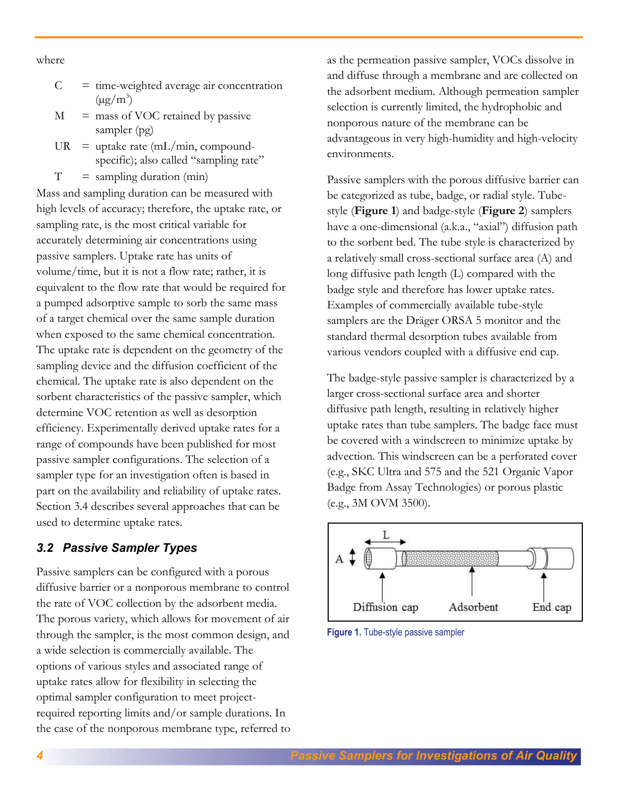where

- $C =$  time-weighted average air concentration  $(\mu g/m^3)$
- $M =$  mass of VOC retained by passive sampler (pg)
- $UR = \text{uptake rate (mL/min, compound-}$ specific); also called "sampling rate"
- $T =$  sampling duration (min)

Mass and sampling duration can be measured with high levels of accuracy; therefore, the uptake rate, or sampling rate, is the most critical variable for accurately determining air concentrations using passive samplers. Uptake rate has units of volume/time, but it is not a flow rate; rather, it is equivalent to the flow rate that would be required for a pumped adsorptive sample to sorb the same mass of a target chemical over the same sample duration when exposed to the same chemical concentration. The uptake rate is dependent on the geometry of the sampling device and the diffusion coefficient of the chemical. The uptake rate is also dependent on the sorbent characteristics of the passive sampler, which determine VOC retention as well as desorption efficiency. Experimentally derived uptake rates for a range of compounds have been published for most passive sampler configurations. The selection of a sampler type for an investigation often is based in part on the availability and reliability of uptake rates. Section 3.4 describes several approaches that can be used to determine uptake rates.

# <span id="page-3-0"></span>*3.2 Passive Sampler Types*

Passive samplers can be configured with a porous diffusive barrier or a nonporous membrane to control the rate of VOC collection by the adsorbent media. The porous variety, which allows for movement of air through the sampler, is the most common design, and a wide selection is commercially available. The options of various styles and associated range of uptake rates allow for flexibility in selecting the optimal sampler configuration to meet projectrequired reporting limits and/or sample durations. In the case of the nonporous membrane type, referred to as the permeation passive sampler, VOCs dissolve in and diffuse through a membrane and are collected on the adsorbent medium. Although permeation sampler selection is currently limited, the hydrophobic and nonporous nature of the membrane can be advantageous in very high-humidity and high-velocity environments.

Passive samplers with the porous diffusive barrier can be categorized as tube, badge, or radial style. Tubestyle (**Figure 1**) and badge-style (**Figure 2**) samplers have a one-dimensional (a.k.a., "axial") diffusion path to the sorbent bed. The tube style is characterized by a relatively small cross-sectional surface area (A) and long diffusive path length (L) compared with the badge style and therefore has lower uptake rates. Examples of commercially available tube-style samplers are the Dräger ORSA 5 monitor and the standard thermal desorption tubes available from various vendors coupled with a diffusive end cap.

The badge-style passive sampler is characterized by a larger cross-sectional surface area and shorter diffusive path length, resulting in relatively higher uptake rates than tube samplers. The badge face must be covered with a windscreen to minimize uptake by advection. This windscreen can be a perforated cover (e.g., SKC Ultra and 575 and the 521 Organic Vapor Badge from Assay Technologies) or porous plastic (e.g., 3M OVM 3500).



**Figure 1.** Tube-style passive sampler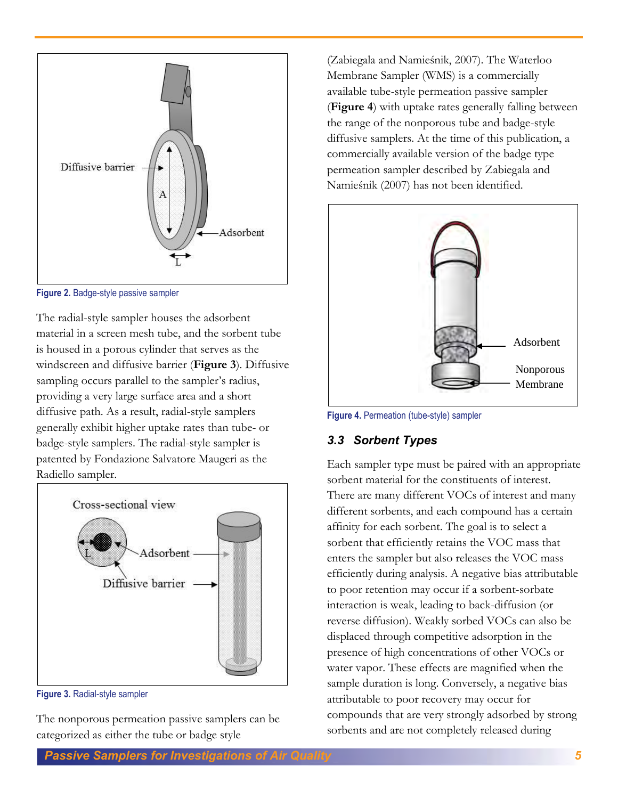

**Figure 2.** Badge-style passive sampler

The radial-style sampler houses the adsorbent material in a screen mesh tube, and the sorbent tube is housed in a porous cylinder that serves as the windscreen and diffusive barrier (**Figure 3**). Diffusive sampling occurs parallel to the sampler's radius, providing a very large surface area and a short diffusive path. As a result, radial-style samplers generally exhibit higher uptake rates than tube- or badge-style samplers. The radial-style sampler is patented by Fondazione Salvatore Maugeri as the Radiello sampler.



**Figure 3.** Radial-style sampler

The nonporous permeation passive samplers can be categorized as either the tube or badge style

(Zabiegala and Namieśnik, 2007). The Waterloo Membrane Sampler (WMS) is a commercially available tube-style permeation passive sampler (**Figure 4**) with uptake rates generally falling between the range of the nonporous tube and badge-style diffusive samplers. At the time of this publication, a commercially available version of the badge type permeation sampler described by Zabiegala and Namieśnik (2007) has not been identified.



**Figure 4.** Permeation (tube-style) sampler

# <span id="page-4-0"></span>*3.3 Sorbent Types*

Each sampler type must be paired with an appropriate sorbent material for the constituents of interest. There are many different VOCs of interest and many different sorbents, and each compound has a certain affinity for each sorbent. The goal is to select a sorbent that efficiently retains the VOC mass that enters the sampler but also releases the VOC mass efficiently during analysis. A negative bias attributable to poor retention may occur if a sorbent-sorbate interaction is weak, leading to back-diffusion (or reverse diffusion). Weakly sorbed VOCs can also be displaced through competitive adsorption in the presence of high concentrations of other VOCs or water vapor. These effects are magnified when the sample duration is long. Conversely, a negative bias attributable to poor recovery may occur for compounds that are very strongly adsorbed by strong sorbents and are not completely released during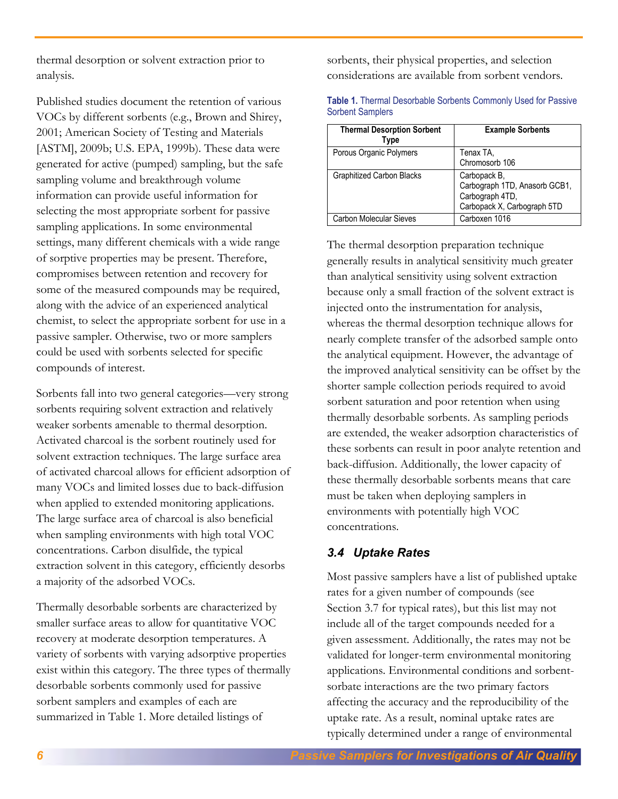thermal desorption or solvent extraction prior to analysis.

Published studies document the retention of various VOCs by different sorbents (e.g., Brown and Shirey, 2001; American Society of Testing and Materials [ASTM], 2009b; U.S. EPA, 1999b). These data were generated for active (pumped) sampling, but the safe sampling volume and breakthrough volume information can provide useful information for selecting the most appropriate sorbent for passive sampling applications. In some environmental settings, many different chemicals with a wide range of sorptive properties may be present. Therefore, compromises between retention and recovery for some of the measured compounds may be required, along with the advice of an experienced analytical chemist, to select the appropriate sorbent for use in a passive sampler. Otherwise, two or more samplers could be used with sorbents selected for specific compounds of interest.

Sorbents fall into two general categories—very strong sorbents requiring solvent extraction and relatively weaker sorbents amenable to thermal desorption. Activated charcoal is the sorbent routinely used for solvent extraction techniques. The large surface area of activated charcoal allows for efficient adsorption of many VOCs and limited losses due to back-diffusion when applied to extended monitoring applications. The large surface area of charcoal is also beneficial when sampling environments with high total VOC concentrations. Carbon disulfide, the typical extraction solvent in this category, efficiently desorbs a majority of the adsorbed VOCs.

Thermally desorbable sorbents are characterized by smaller surface areas to allow for quantitative VOC recovery at moderate desorption temperatures. A variety of sorbents with varying adsorptive properties exist within this category. The three types of thermally desorbable sorbents commonly used for passive sorbent samplers and examples of each are summarized in Table 1. More detailed listings of

sorbents, their physical properties, and selection considerations are available from sorbent vendors.

| <b>Thermal Desorption Sorbent</b><br>Type | <b>Example Sorbents</b>                                                                         |
|-------------------------------------------|-------------------------------------------------------------------------------------------------|
| Porous Organic Polymers                   | Tenax TA,<br>Chromosorb 106                                                                     |
| <b>Graphitized Carbon Blacks</b>          | Carbopack B,<br>Carbograph 1TD, Anasorb GCB1,<br>Carbograph 4TD,<br>Carbopack X, Carbograph 5TD |
| <b>Carbon Molecular Sieves</b>            | Carboxen 1016                                                                                   |

| Table 1. Thermal Desorbable Sorbents Commonly Used for Passive |  |  |
|----------------------------------------------------------------|--|--|
| <b>Sorbent Samplers</b>                                        |  |  |

The thermal desorption preparation technique generally results in analytical sensitivity much greater than analytical sensitivity using solvent extraction because only a small fraction of the solvent extract is injected onto the instrumentation for analysis, whereas the thermal desorption technique allows for nearly complete transfer of the adsorbed sample onto the analytical equipment. However, the advantage of the improved analytical sensitivity can be offset by the shorter sample collection periods required to avoid sorbent saturation and poor retention when using thermally desorbable sorbents. As sampling periods are extended, the weaker adsorption characteristics of these sorbents can result in poor analyte retention and back-diffusion. Additionally, the lower capacity of these thermally desorbable sorbents means that care must be taken when deploying samplers in environments with potentially high VOC concentrations.

# <span id="page-5-0"></span>*3.4 Uptake Rates*

Most passive samplers have a list of published uptake rates for a given number of compounds (see Section 3.7 for typical rates), but this list may not include all of the target compounds needed for a given assessment. Additionally, the rates may not be validated for longer-term environmental monitoring applications. Environmental conditions and sorbentsorbate interactions are the two primary factors affecting the accuracy and the reproducibility of the uptake rate. As a result, nominal uptake rates are typically determined under a range of environmental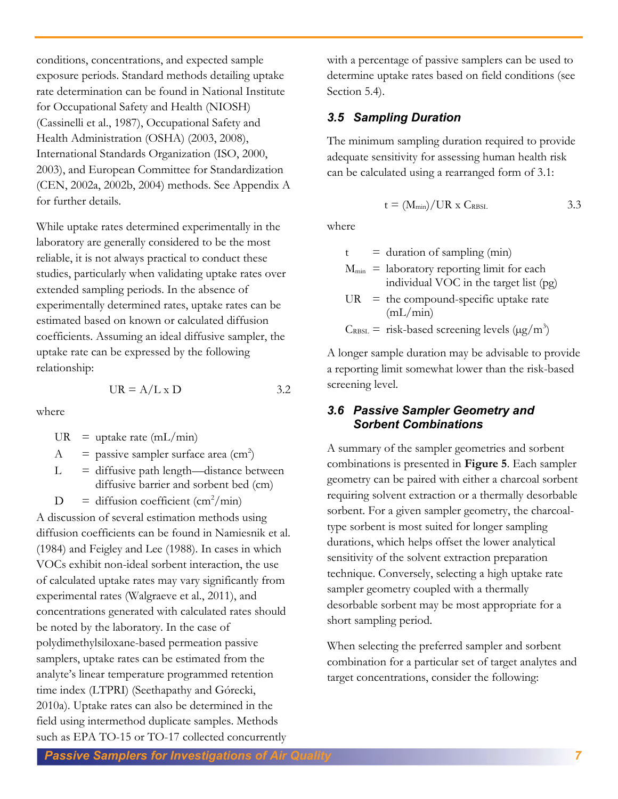conditions, concentrations, and expected sample exposure periods. Standard methods detailing uptake rate determination can be found in National Institute for Occupational Safety and Health (NIOSH) (Cassinelli et al., 1987), Occupational Safety and Health Administration (OSHA) (2003, 2008), International Standards Organization (ISO, 2000, 2003), and European Committee for Standardization (CEN, 2002a, 2002b, 2004) methods. See Appendix A for further details.

While uptake rates determined experimentally in the laboratory are generally considered to be the most reliable, it is not always practical to conduct these studies, particularly when validating uptake rates over extended sampling periods. In the absence of experimentally determined rates, uptake rates can be estimated based on known or calculated diffusion coefficients. Assuming an ideal diffusive sampler, the uptake rate can be expressed by the following relationship:

where

 $UR = \text{uptake rate (mL/min)}$ 

$$
A = \text{passive sampler surface area (cm}^2)
$$

 $L =$  diffusive path length—distance between diffusive barrier and sorbent bed (cm)

 $UR = A/L \times D$  3.2

 $D =$  diffusion coefficient (cm<sup>2</sup>/min)

A discussion of several estimation methods using diffusion coefficients can be found in Namiesnik et al. (1984) and Feigley and Lee (1988). In cases in which VOCs exhibit non-ideal sorbent interaction, the use of calculated uptake rates may vary significantly from experimental rates (Walgraeve et al., 2011), and concentrations generated with calculated rates should be noted by the laboratory. In the case of polydimethylsiloxane-based permeation passive samplers, uptake rates can be estimated from the analyte's linear temperature programmed retention time index (LTPRI) (Seethapathy and Górecki, 2010a). Uptake rates can also be determined in the field using intermethod duplicate samples. Methods such as EPA TO-15 or TO-17 collected concurrently

with a percentage of passive samplers can be used to determine uptake rates based on field conditions (see Section 5.4).

# <span id="page-6-0"></span>*3.5 Sampling Duration*

The minimum sampling duration required to provide adequate sensitivity for assessing human health risk can be calculated using a rearranged form of 3.1:

$$
t = (M_{min}) / UR \times C_{RBSL}
$$
 3.3

where

 $t =$  duration of sampling (min)

 $M_{\text{min}}$  = laboratory reporting limit for each individual VOC in the target list (pg)

UR = the compound-specific uptake rate 
$$
(mL/min)
$$

 $C_{RBSL}$  = risk-based screening levels ( $\mu$ g/m<sup>3</sup>)

A longer sample duration may be advisable to provide a reporting limit somewhat lower than the risk-based screening level.

### <span id="page-6-1"></span>*3.6 Passive Sampler Geometry and Sorbent Combinations*

A summary of the sampler geometries and sorbent combinations is presented in **Figure 5**. Each sampler geometry can be paired with either a charcoal sorbent requiring solvent extraction or a thermally desorbable sorbent. For a given sampler geometry, the charcoaltype sorbent is most suited for longer sampling durations, which helps offset the lower analytical sensitivity of the solvent extraction preparation technique. Conversely, selecting a high uptake rate sampler geometry coupled with a thermally desorbable sorbent may be most appropriate for a short sampling period.

When selecting the preferred sampler and sorbent combination for a particular set of target analytes and target concentrations, consider the following: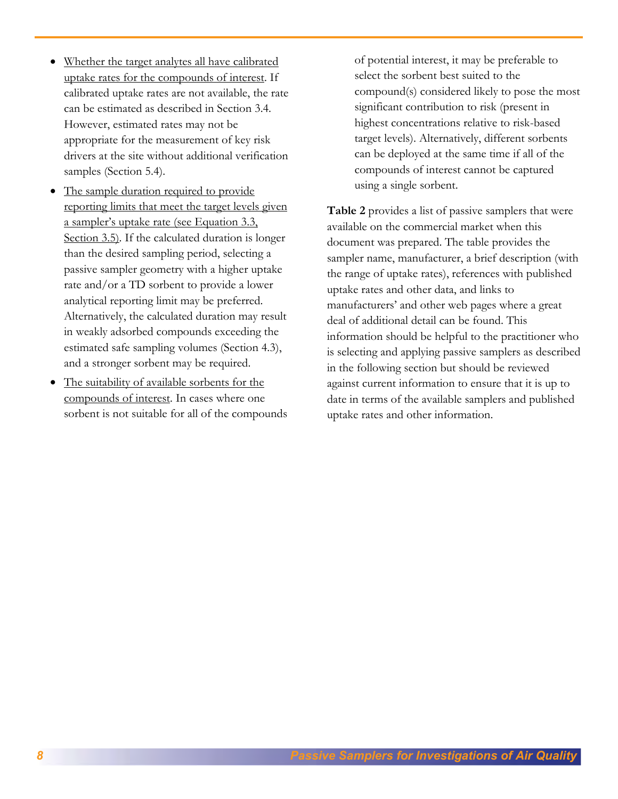- Whether the target analytes all have calibrated uptake rates for the compounds of interest. If calibrated uptake rates are not available, the rate can be estimated as described in Section 3.4. However, estimated rates may not be appropriate for the measurement of key risk drivers at the site without additional verification samples (Section 5.4).
- The sample duration required to provide reporting limits that meet the target levels given a sampler's uptake rate (see Equation 3.3, Section 3.5). If the calculated duration is longer than the desired sampling period, selecting a passive sampler geometry with a higher uptake rate and/or a TD sorbent to provide a lower analytical reporting limit may be preferred. Alternatively, the calculated duration may result in weakly adsorbed compounds exceeding the estimated safe sampling volumes (Section 4.3), and a stronger sorbent may be required.
- The suitability of available sorbents for the compounds of interest. In cases where one sorbent is not suitable for all of the compounds

of potential interest, it may be preferable to select the sorbent best suited to the compound(s) considered likely to pose the most significant contribution to risk (present in highest concentrations relative to risk-based target levels). Alternatively, different sorbents can be deployed at the same time if all of the compounds of interest cannot be captured using a single sorbent.

**Table 2** provides a list of passive samplers that were available on the commercial market when this document was prepared. The table provides the sampler name, manufacturer, a brief description (with the range of uptake rates), references with published uptake rates and other data, and links to manufacturers' and other web pages where a great deal of additional detail can be found. This information should be helpful to the practitioner who is selecting and applying passive samplers as described in the following section but should be reviewed against current information to ensure that it is up to date in terms of the available samplers and published uptake rates and other information.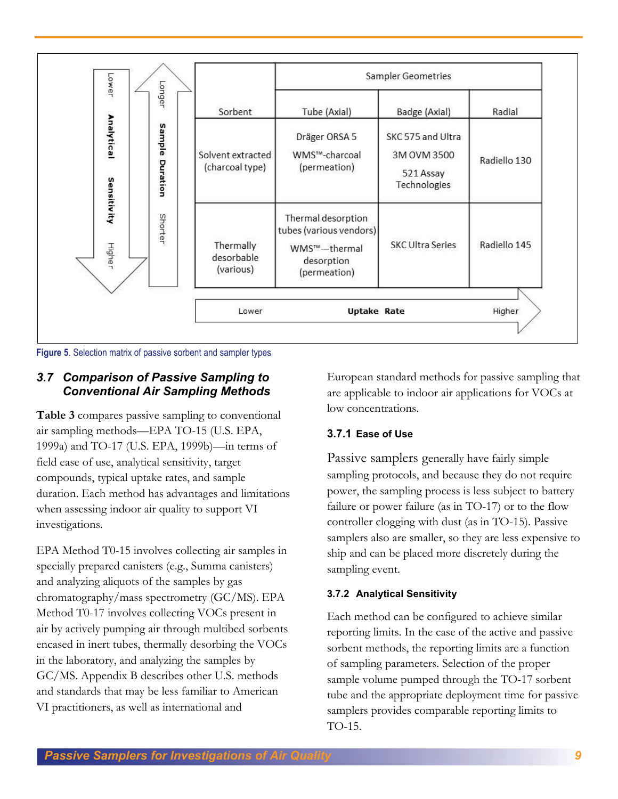



### <span id="page-8-0"></span>*3.7 Comparison of Passive Sampling to Conventional Air Sampling Methods*

**Table 3** compares passive sampling to conventional air sampling methods—EPA TO-15 (U.S. EPA, 1999a) and TO-17 (U.S. EPA, 1999b)—in terms of field ease of use, analytical sensitivity, target compounds, typical uptake rates, and sample duration. Each method has advantages and limitations when assessing indoor air quality to support VI investigations.

EPA Method T0-15 involves collecting air samples in specially prepared canisters (e.g., Summa canisters) and analyzing aliquots of the samples by gas chromatography/mass spectrometry (GC/MS). EPA Method T0-17 involves collecting VOCs present in air by actively pumping air through multibed sorbents encased in inert tubes, thermally desorbing the VOCs in the laboratory, and analyzing the samples by GC/MS. Appendix B describes other U.S. methods and standards that may be less familiar to American VI practitioners, as well as international and

European standard methods for passive sampling that are applicable to indoor air applications for VOCs at low concentrations.

# **3.7.1 Ease of Use**

Passive samplers generally have fairly simple sampling protocols, and because they do not require power, the sampling process is less subject to battery failure or power failure (as in TO-17) or to the flow controller clogging with dust (as in TO-15). Passive samplers also are smaller, so they are less expensive to ship and can be placed more discretely during the sampling event.

# **3.7.2 Analytical Sensitivity**

Each method can be configured to achieve similar reporting limits. In the case of the active and passive sorbent methods, the reporting limits are a function of sampling parameters. Selection of the proper sample volume pumped through the TO-17 sorbent tube and the appropriate deployment time for passive samplers provides comparable reporting limits to TO-15.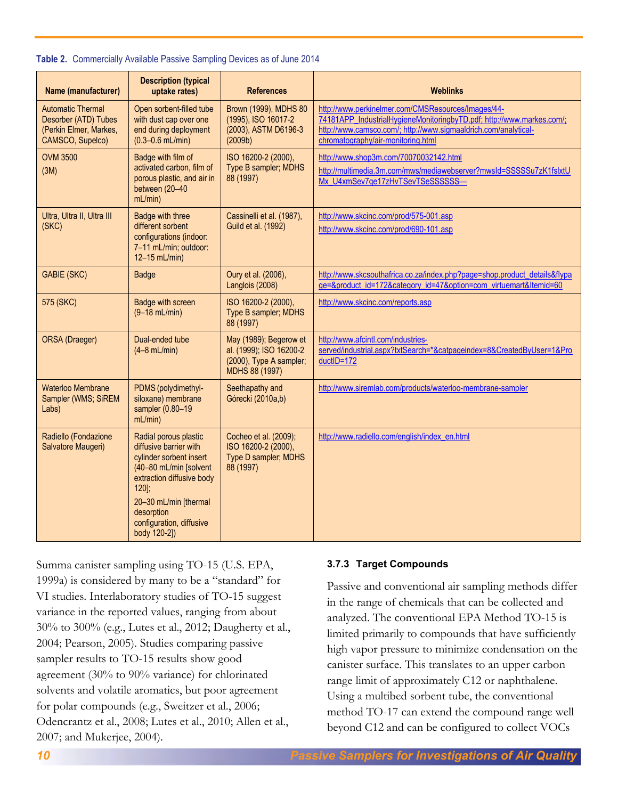| <b>Name (manufacturer)</b>                                                                     | <b>Description (typical</b><br>uptake rates)                                                                                                                                                                                    | <b>References</b>                                                                              | <b>Weblinks</b>                                                                                                                                                                                                                      |
|------------------------------------------------------------------------------------------------|---------------------------------------------------------------------------------------------------------------------------------------------------------------------------------------------------------------------------------|------------------------------------------------------------------------------------------------|--------------------------------------------------------------------------------------------------------------------------------------------------------------------------------------------------------------------------------------|
| <b>Automatic Thermal</b><br>Desorber (ATD) Tubes<br>(Perkin Elmer, Markes,<br>CAMSCO, Supelco) | Open sorbent-filled tube<br>with dust cap over one<br>end during deployment<br>$(0.3 - 0.6$ mL/min)                                                                                                                             | Brown (1999), MDHS 80<br>(1995), ISO 16017-2<br>(2003), ASTM D6196-3<br>(2009b)                | http://www.perkinelmer.com/CMSResources/Images/44-<br>74181APP_IndustrialHygieneMonitoringbyTD.pdf; http://www.markes.com/;<br>http://www.camsco.com/; http://www.sigmaaldrich.com/analytical-<br>chromatography/air-monitoring.html |
| <b>OVM 3500</b><br>(3M)                                                                        | Badge with film of<br>activated carbon, film of<br>porous plastic, and air in<br>between (20-40<br>mL/min                                                                                                                       | ISO 16200-2 (2000),<br>Type B sampler; MDHS<br>88 (1997)                                       | http://www.shop3m.com/70070032142.html<br>http://multimedia.3m.com/mws/mediawebserver?mwsId=SSSSSu7zK1fslxtU<br>Mx_U4xmSev7qe17zHvTSevTSeSSSSSSS-                                                                                    |
| Ultra, Ultra II, Ultra III<br>(SKC)                                                            | Badge with three<br>different sorbent<br>configurations (indoor:<br>7-11 mL/min; outdoor:<br>12-15 mL/min)                                                                                                                      | Cassinelli et al. (1987),<br>Guild et al. (1992)                                               | http://www.skcinc.com/prod/575-001.asp<br>http://www.skcinc.com/prod/690-101.asp                                                                                                                                                     |
| <b>GABIE (SKC)</b>                                                                             | <b>Badge</b>                                                                                                                                                                                                                    | Oury et al. (2006),<br>Langlois (2008)                                                         | http://www.skcsouthafrica.co.za/index.php?page=shop.product_details&flypa<br>ge=&product_id=172&category_id=47&option=com_virtuemart&Itemid=60                                                                                       |
| 575 (SKC)                                                                                      | <b>Badge with screen</b><br>$(9 - 18 \text{ mL/min})$                                                                                                                                                                           | ISO 16200-2 (2000),<br>Type B sampler; MDHS<br>88 (1997)                                       | http://www.skcinc.com/reports.asp                                                                                                                                                                                                    |
| ORSA (Draeger)                                                                                 | Dual-ended tube<br>$(4-8$ mL/min)                                                                                                                                                                                               | May (1989); Begerow et<br>al. (1999); ISO 16200-2<br>(2000), Type A sampler;<br>MDHS 88 (1997) | http://www.afcintl.com/industries-<br>served/industrial.aspx?txtSearch=*&catpageindex=8&CreatedByUser=1&Pro<br>ductID=172                                                                                                            |
| Waterloo Membrane<br>Sampler (WMS; SiREM<br>Labs)                                              | PDMS (polydimethyl-<br>siloxane) membrane<br>sampler (0.80-19<br>mL/min                                                                                                                                                         | Seethapathy and<br>Górecki (2010a,b)                                                           | http://www.siremlab.com/products/waterloo-membrane-sampler                                                                                                                                                                           |
| Radiello (Fondazione<br>Salvatore Maugeri)                                                     | Radial porous plastic<br>diffusive barrier with<br>cylinder sorbent insert<br>(40-80 mL/min [solvent<br>extraction diffusive body<br>$120$ :<br>20-30 mL/min [thermal<br>desorption<br>configuration, diffusive<br>body 120-2]) | Cocheo et al. (2009);<br>ISO 16200-2 (2000),<br>Type D sampler; MDHS<br>88 (1997)              | http://www.radiello.com/english/index_en.html                                                                                                                                                                                        |

#### **Table 2.** Commercially Available Passive Sampling Devices as of June 2014

Summa canister sampling using TO-15 (U.S. EPA, 1999a) is considered by many to be a "standard" for VI studies. Interlaboratory studies of TO-15 suggest variance in the reported values, ranging from about 30% to 300% (e.g., Lutes et al., 2012; Daugherty et al., 2004; Pearson, 2005). Studies comparing passive sampler results to TO-15 results show good agreement (30% to 90% variance) for chlorinated solvents and volatile aromatics, but poor agreement for polar compounds (e.g., Sweitzer et al., 2006; Odencrantz et al., 2008; Lutes et al., 2010; Allen et al., 2007; and Mukerjee, 2004).

#### **3.7.3 Target Compounds**

Passive and conventional air sampling methods differ in the range of chemicals that can be collected and analyzed. The conventional EPA Method TO-15 is limited primarily to compounds that have sufficiently high vapor pressure to minimize condensation on the canister surface. This translates to an upper carbon range limit of approximately C12 or naphthalene. Using a multibed sorbent tube, the conventional method TO-17 can extend the compound range well beyond C12 and can be configured to collect VOCs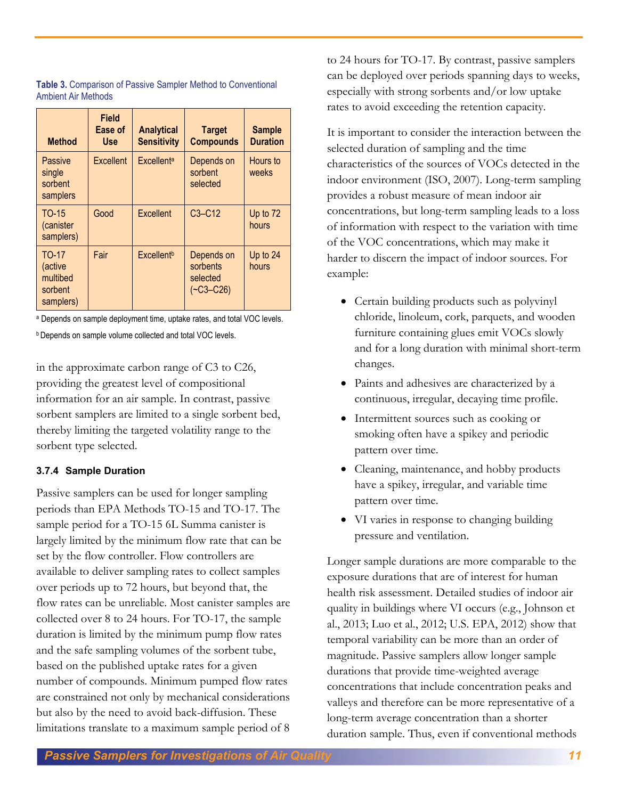| <b>Method</b>                                               | <b>Field</b><br>Ease of<br><b>Use</b> | <b>Analytical</b><br><b>Sensitivity</b> | <b>Target</b><br><b>Compounds</b>                   | <b>Sample</b><br><b>Duration</b> |
|-------------------------------------------------------------|---------------------------------------|-----------------------------------------|-----------------------------------------------------|----------------------------------|
| Passive<br>single<br>sorbent<br>samplers                    | Excellent                             | <b>Excellenta</b>                       | Depends on<br>sorbent<br>selected                   | Hours to<br>weeks                |
| TO-15<br>(canister<br>samplers)                             | Good                                  | Excellent                               | $C3-C12$                                            | Up to 72<br>hours                |
| <b>TO-17</b><br>(active<br>multibed<br>sorbent<br>samplers) | Fair                                  | Excellent <sup>b</sup>                  | Depends on<br>sorbents<br>selected<br>$(-C3 - C26)$ | Up to 24<br>hours                |

| Table 3. Comparison of Passive Sampler Method to Conventional |  |  |
|---------------------------------------------------------------|--|--|
| <b>Ambient Air Methods</b>                                    |  |  |

a Depends on sample deployment time, uptake rates, and total VOC levels.

**b** Depends on sample volume collected and total VOC levels.

in the approximate carbon range of C3 to C26, providing the greatest level of compositional information for an air sample. In contrast, passive sorbent samplers are limited to a single sorbent bed, thereby limiting the targeted volatility range to the sorbent type selected.

### **3.7.4 Sample Duration**

Passive samplers can be used for longer sampling periods than EPA Methods TO-15 and TO-17. The sample period for a TO-15 6L Summa canister is largely limited by the minimum flow rate that can be set by the flow controller. Flow controllers are available to deliver sampling rates to collect samples over periods up to 72 hours, but beyond that, the flow rates can be unreliable. Most canister samples are collected over 8 to 24 hours. For TO-17, the sample duration is limited by the minimum pump flow rates and the safe sampling volumes of the sorbent tube, based on the published uptake rates for a given number of compounds. Minimum pumped flow rates are constrained not only by mechanical considerations but also by the need to avoid back-diffusion. These limitations translate to a maximum sample period of 8

to 24 hours for TO-17. By contrast, passive samplers can be deployed over periods spanning days to weeks, especially with strong sorbents and/or low uptake rates to avoid exceeding the retention capacity.

It is important to consider the interaction between the selected duration of sampling and the time characteristics of the sources of VOCs detected in the indoor environment (ISO, 2007). Long-term sampling provides a robust measure of mean indoor air concentrations, but long-term sampling leads to a loss of information with respect to the variation with time of the VOC concentrations, which may make it harder to discern the impact of indoor sources. For example:

- Certain building products such as polyvinyl chloride, linoleum, cork, parquets, and wooden furniture containing glues emit VOCs slowly and for a long duration with minimal short-term changes.
- Paints and adhesives are characterized by a continuous, irregular, decaying time profile.
- Intermittent sources such as cooking or smoking often have a spikey and periodic pattern over time.
- Cleaning, maintenance, and hobby products have a spikey, irregular, and variable time pattern over time.
- VI varies in response to changing building pressure and ventilation.

Longer sample durations are more comparable to the exposure durations that are of interest for human health risk assessment. Detailed studies of indoor air quality in buildings where VI occurs (e.g., Johnson et al., 2013; Luo et al., 2012; U.S. EPA, 2012) show that temporal variability can be more than an order of magnitude. Passive samplers allow longer sample durations that provide time-weighted average concentrations that include concentration peaks and valleys and therefore can be more representative of a long-term average concentration than a shorter duration sample. Thus, even if conventional methods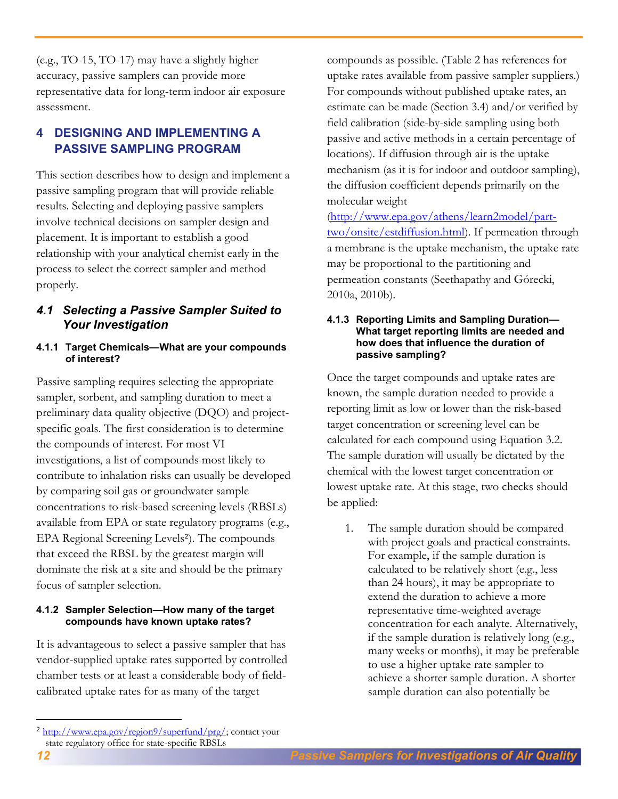(e.g., TO-15, TO-17) may have a slightly higher accuracy, passive samplers can provide more representative data for long-term indoor air exposure assessment.

# <span id="page-11-0"></span>**4 DESIGNING AND IMPLEMENTING A PASSIVE SAMPLING PROGRAM**

This section describes how to design and implement a passive sampling program that will provide reliable results. Selecting and deploying passive samplers involve technical decisions on sampler design and placement. It is important to establish a good relationship with your analytical chemist early in the process to select the correct sampler and method properly.

# <span id="page-11-1"></span>*4.1 Selecting a Passive Sampler Suited to Your Investigation*

### **4.1.1 Target Chemicals—What are your compounds of interest?**

Passive sampling requires selecting the appropriate sampler, sorbent, and sampling duration to meet a preliminary data quality objective (DQO) and projectspecific goals. The first consideration is to determine the compounds of interest. For most VI investigations, a list of compounds most likely to contribute to inhalation risks can usually be developed by comparing soil gas or groundwater sample concentrations to risk-based screening levels (RBSLs) available from EPA or state regulatory programs (e.g., EPA Regional Screening Levels<sup>2</sup>). The compounds that exceed the RBSL by the greatest margin will dominate the risk at a site and should be the primary focus of sampler selection.

### **4.1.2 Sampler Selection—How many of the target compounds have known uptake rates?**

It is advantageous to select a passive sampler that has vendor-supplied uptake rates supported by controlled chamber tests or at least a considerable body of fieldcalibrated uptake rates for as many of the target

[\(http://www.epa.gov/athens/learn2model/part](http://www.epa.gov/athens/learn2model/part-two/onsite/estdiffusion.html)[two/onsite/estdiffusion.html\)](http://www.epa.gov/athens/learn2model/part-two/onsite/estdiffusion.html). If permeation through a membrane is the uptake mechanism, the uptake rate may be proportional to the partitioning and permeation constants (Seethapathy and Górecki, 2010a, 2010b).

#### **4.1.3 Reporting Limits and Sampling Duration— What target reporting limits are needed and how does that influence the duration of passive sampling?**

Once the target compounds and uptake rates are known, the sample duration needed to provide a reporting limit as low or lower than the risk-based target concentration or screening level can be calculated for each compound using Equation 3.2. The sample duration will usually be dictated by the chemical with the lowest target concentration or lowest uptake rate. At this stage, two checks should be applied:

1. The sample duration should be compared with project goals and practical constraints. For example, if the sample duration is calculated to be relatively short (e.g., less than 24 hours), it may be appropriate to extend the duration to achieve a more representative time-weighted average concentration for each analyte. Alternatively, if the sample duration is relatively long (e.g., many weeks or months), it may be preferable to use a higher uptake rate sampler to achieve a shorter sample duration. A shorter sample duration can also potentially be

 $\overline{a}$ 

compounds as possible. (Table 2 has references for uptake rates available from passive sampler suppliers.) For compounds without published uptake rates, an estimate can be made (Section 3.4) and/or verified by field calibration (side-by-side sampling using both passive and active methods in a certain percentage of locations). If diffusion through air is the uptake mechanism (as it is for indoor and outdoor sampling), the diffusion coefficient depends primarily on the molecular weight

<sup>&</sup>lt;sup>2</sup> [http://www.epa.gov/region9/superfund/prg/;](http://www.epa.gov/region9/superfund/prg/) contact your state regulatory office for state-specific RBSLs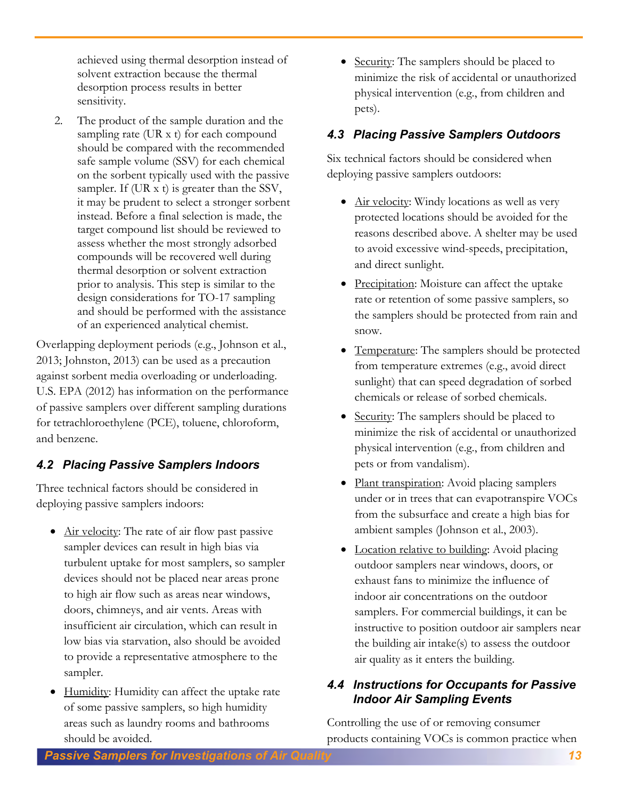achieved using thermal desorption instead of solvent extraction because the thermal desorption process results in better sensitivity.

2. The product of the sample duration and the sampling rate (UR x t) for each compound should be compared with the recommended safe sample volume (SSV) for each chemical on the sorbent typically used with the passive sampler. If (UR x t) is greater than the SSV, it may be prudent to select a stronger sorbent instead. Before a final selection is made, the target compound list should be reviewed to assess whether the most strongly adsorbed compounds will be recovered well during thermal desorption or solvent extraction prior to analysis. This step is similar to the design considerations for TO-17 sampling and should be performed with the assistance of an experienced analytical chemist.

Overlapping deployment periods (e.g., Johnson et al., 2013; Johnston, 2013) can be used as a precaution against sorbent media overloading or underloading. U.S. EPA (2012) has information on the performance of passive samplers over different sampling durations for tetrachloroethylene (PCE), toluene, chloroform, and benzene.

# <span id="page-12-0"></span>*4.2 Placing Passive Samplers Indoors*

Three technical factors should be considered in deploying passive samplers indoors:

- Air velocity: The rate of air flow past passive sampler devices can result in high bias via turbulent uptake for most samplers, so sampler devices should not be placed near areas prone to high air flow such as areas near windows, doors, chimneys, and air vents. Areas with insufficient air circulation, which can result in low bias via starvation, also should be avoided to provide a representative atmosphere to the sampler.
- Humidity: Humidity can affect the uptake rate of some passive samplers, so high humidity areas such as laundry rooms and bathrooms should be avoided.

• Security: The samplers should be placed to minimize the risk of accidental or unauthorized physical intervention (e.g., from children and pets).

# <span id="page-12-1"></span>*4.3 Placing Passive Samplers Outdoors*

Six technical factors should be considered when deploying passive samplers outdoors:

- Air velocity: Windy locations as well as very protected locations should be avoided for the reasons described above. A shelter may be used to avoid excessive wind-speeds, precipitation, and direct sunlight.
- Precipitation: Moisture can affect the uptake rate or retention of some passive samplers, so the samplers should be protected from rain and snow.
- Temperature: The samplers should be protected from temperature extremes (e.g., avoid direct sunlight) that can speed degradation of sorbed chemicals or release of sorbed chemicals.
- Security: The samplers should be placed to minimize the risk of accidental or unauthorized physical intervention (e.g., from children and pets or from vandalism).
- Plant transpiration: Avoid placing samplers under or in trees that can evapotranspire VOCs from the subsurface and create a high bias for ambient samples (Johnson et al., 2003).
- Location relative to building: Avoid placing outdoor samplers near windows, doors, or exhaust fans to minimize the influence of indoor air concentrations on the outdoor samplers. For commercial buildings, it can be instructive to position outdoor air samplers near the building air intake(s) to assess the outdoor air quality as it enters the building.

# <span id="page-12-2"></span>*4.4 Instructions for Occupants for Passive Indoor Air Sampling Events*

Controlling the use of or removing consumer products containing VOCs is common practice when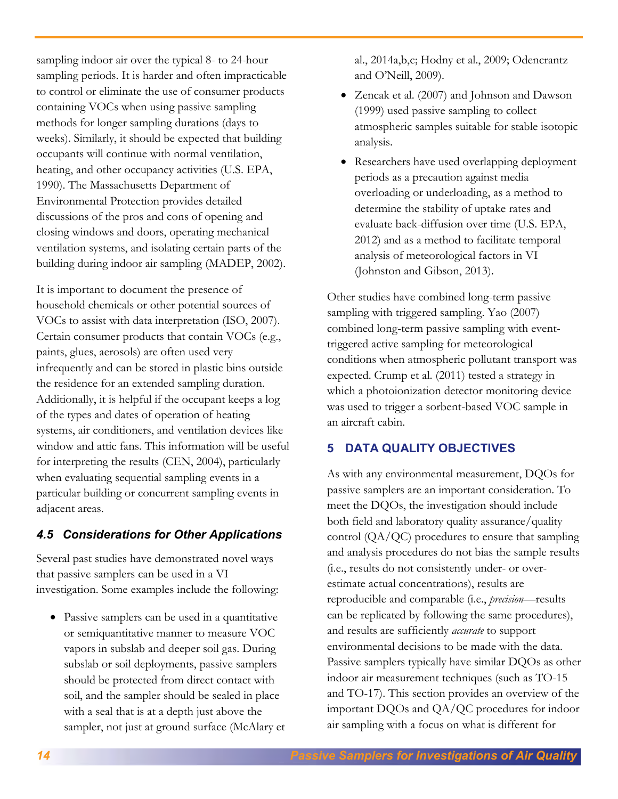sampling indoor air over the typical 8- to 24-hour sampling periods. It is harder and often impracticable to control or eliminate the use of consumer products containing VOCs when using passive sampling methods for longer sampling durations (days to weeks). Similarly, it should be expected that building occupants will continue with normal ventilation, heating, and other occupancy activities (U.S. EPA, 1990). The Massachusetts Department of Environmental Protection provides detailed discussions of the pros and cons of opening and closing windows and doors, operating mechanical ventilation systems, and isolating certain parts of the building during indoor air sampling (MADEP, 2002).

It is important to document the presence of household chemicals or other potential sources of VOCs to assist with data interpretation (ISO, 2007). Certain consumer products that contain VOCs (e.g., paints, glues, aerosols) are often used very infrequently and can be stored in plastic bins outside the residence for an extended sampling duration. Additionally, it is helpful if the occupant keeps a log of the types and dates of operation of heating systems, air conditioners, and ventilation devices like window and attic fans. This information will be useful for interpreting the results (CEN, 2004), particularly when evaluating sequential sampling events in a particular building or concurrent sampling events in adjacent areas.

# <span id="page-13-0"></span>*4.5 Considerations for Other Applications*

Several past studies have demonstrated novel ways that passive samplers can be used in a VI investigation. Some examples include the following:

 Passive samplers can be used in a quantitative or semiquantitative manner to measure VOC vapors in subslab and deeper soil gas. During subslab or soil deployments, passive samplers should be protected from direct contact with soil, and the sampler should be sealed in place with a seal that is at a depth just above the sampler, not just at ground surface (McAlary et al., 2014a,b,c; Hodny et al., 2009; Odencrantz and O'Neill, 2009).

- Zencak et al. (2007) and Johnson and Dawson (1999) used passive sampling to collect atmospheric samples suitable for stable isotopic analysis.
- Researchers have used overlapping deployment periods as a precaution against media overloading or underloading, as a method to determine the stability of uptake rates and evaluate back-diffusion over time (U.S. EPA, 2012) and as a method to facilitate temporal analysis of meteorological factors in VI (Johnston and Gibson, 2013).

Other studies have combined long-term passive sampling with triggered sampling. Yao (2007) combined long-term passive sampling with eventtriggered active sampling for meteorological conditions when atmospheric pollutant transport was expected. Crump et al. (2011) tested a strategy in which a photoionization detector monitoring device was used to trigger a sorbent-based VOC sample in an aircraft cabin.

# <span id="page-13-1"></span>**5 DATA QUALITY OBJECTIVES**

As with any environmental measurement, DQOs for passive samplers are an important consideration. To meet the DQOs, the investigation should include both field and laboratory quality assurance/quality control (QA/QC) procedures to ensure that sampling and analysis procedures do not bias the sample results (i.e., results do not consistently under- or overestimate actual concentrations), results are reproducible and comparable (i.e., *precision*—results can be replicated by following the same procedures), and results are sufficiently *accurate* to support environmental decisions to be made with the data. Passive samplers typically have similar DQOs as other indoor air measurement techniques (such as TO-15 and TO-17). This section provides an overview of the important DQOs and QA/QC procedures for indoor air sampling with a focus on what is different for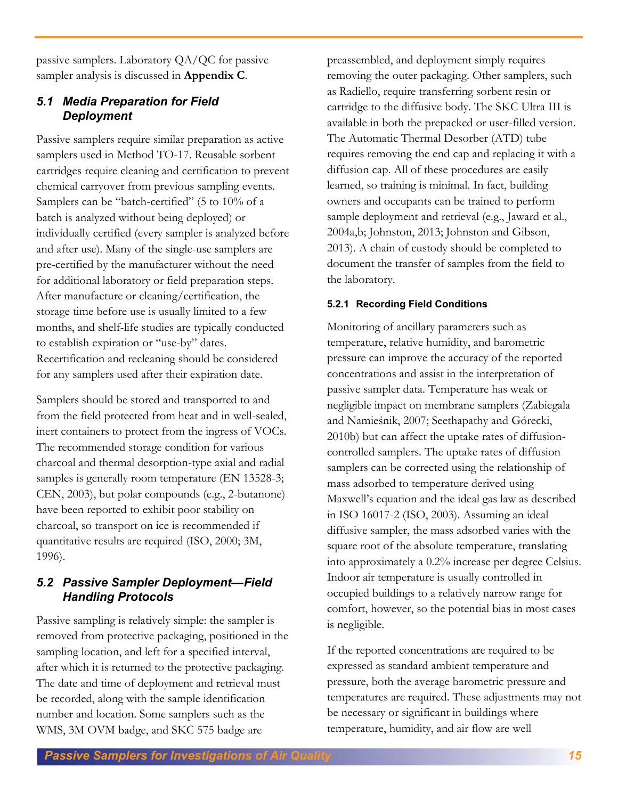passive samplers. Laboratory QA/QC for passive sampler analysis is discussed in **Appendix C**.

# <span id="page-14-0"></span>*5.1 Media Preparation for Field Deployment*

Passive samplers require similar preparation as active samplers used in Method TO-17. Reusable sorbent cartridges require cleaning and certification to prevent chemical carryover from previous sampling events. Samplers can be "batch-certified" (5 to 10% of a batch is analyzed without being deployed) or individually certified (every sampler is analyzed before and after use). Many of the single-use samplers are pre-certified by the manufacturer without the need for additional laboratory or field preparation steps. After manufacture or cleaning/certification, the storage time before use is usually limited to a few months, and shelf-life studies are typically conducted to establish expiration or "use-by" dates. Recertification and recleaning should be considered for any samplers used after their expiration date.

Samplers should be stored and transported to and from the field protected from heat and in well-sealed, inert containers to protect from the ingress of VOCs. The recommended storage condition for various charcoal and thermal desorption-type axial and radial samples is generally room temperature (EN 13528-3; CEN, 2003), but polar compounds (e.g., 2-butanone) have been reported to exhibit poor stability on charcoal, so transport on ice is recommended if quantitative results are required (ISO, 2000; 3M, 1996).

# <span id="page-14-1"></span>*5.2 Passive Sampler Deployment—Field Handling Protocols*

Passive sampling is relatively simple: the sampler is removed from protective packaging, positioned in the sampling location, and left for a specified interval, after which it is returned to the protective packaging. The date and time of deployment and retrieval must be recorded, along with the sample identification number and location. Some samplers such as the WMS, 3M OVM badge, and SKC 575 badge are

preassembled, and deployment simply requires removing the outer packaging. Other samplers, such as Radiello, require transferring sorbent resin or cartridge to the diffusive body. The SKC Ultra III is available in both the prepacked or user-filled version. The Automatic Thermal Desorber (ATD) tube requires removing the end cap and replacing it with a diffusion cap. All of these procedures are easily learned, so training is minimal. In fact, building owners and occupants can be trained to perform sample deployment and retrieval (e.g., Jaward et al., 2004a,b; Johnston, 2013; Johnston and Gibson, 2013). A chain of custody should be completed to document the transfer of samples from the field to the laboratory.

# **5.2.1 Recording Field Conditions**

Monitoring of ancillary parameters such as temperature, relative humidity, and barometric pressure can improve the accuracy of the reported concentrations and assist in the interpretation of passive sampler data. Temperature has weak or negligible impact on membrane samplers (Zabiegala and Namieśnik, 2007; Seethapathy and Górecki, 2010b) but can affect the uptake rates of diffusioncontrolled samplers. The uptake rates of diffusion samplers can be corrected using the relationship of mass adsorbed to temperature derived using Maxwell's equation and the ideal gas law as described in ISO 16017-2 (ISO, 2003). Assuming an ideal diffusive sampler, the mass adsorbed varies with the square root of the absolute temperature, translating into approximately a 0.2% increase per degree Celsius. Indoor air temperature is usually controlled in occupied buildings to a relatively narrow range for comfort, however, so the potential bias in most cases is negligible.

If the reported concentrations are required to be expressed as standard ambient temperature and pressure, both the average barometric pressure and temperatures are required. These adjustments may not be necessary or significant in buildings where temperature, humidity, and air flow are well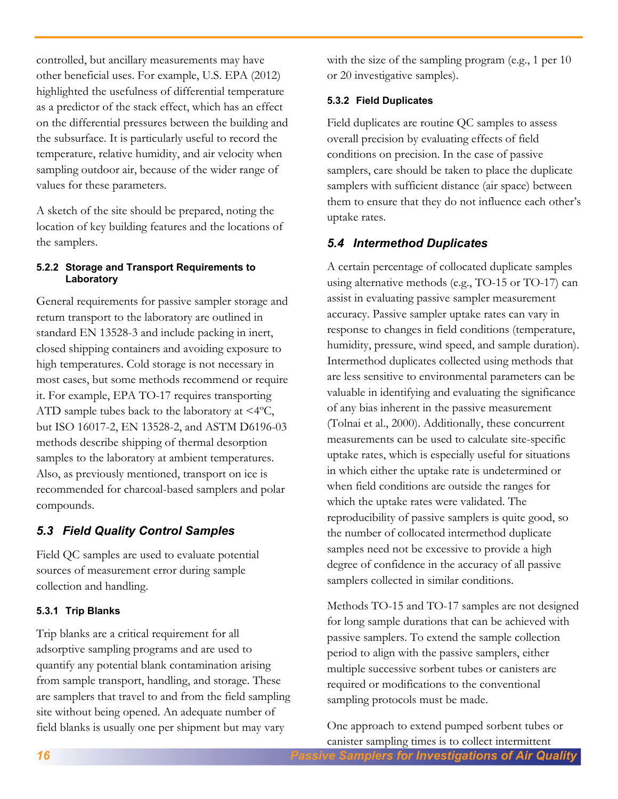controlled, but ancillary measurements may have other beneficial uses. For example, U.S. EPA (2012) highlighted the usefulness of differential temperature as a predictor of the stack effect, which has an effect on the differential pressures between the building and the subsurface. It is particularly useful to record the temperature, relative humidity, and air velocity when sampling outdoor air, because of the wider range of values for these parameters.

A sketch of the site should be prepared, noting the location of key building features and the locations of the samplers.

### **5.2.2 Storage and Transport Requirements to Laboratory**

General requirements for passive sampler storage and return transport to the laboratory are outlined in standard EN 13528-3 and include packing in inert, closed shipping containers and avoiding exposure to high temperatures. Cold storage is not necessary in most cases, but some methods recommend or require it. For example, EPA TO-17 requires transporting ATD sample tubes back to the laboratory at <4ºC, but ISO 16017-2, EN 13528-2, and ASTM D6196-03 methods describe shipping of thermal desorption samples to the laboratory at ambient temperatures. Also, as previously mentioned, transport on ice is recommended for charcoal-based samplers and polar compounds.

# <span id="page-15-0"></span>*5.3 Field Quality Control Samples*

Field QC samples are used to evaluate potential sources of measurement error during sample collection and handling.

# **5.3.1 Trip Blanks**

Trip blanks are a critical requirement for all adsorptive sampling programs and are used to quantify any potential blank contamination arising from sample transport, handling, and storage. These are samplers that travel to and from the field sampling site without being opened. An adequate number of field blanks is usually one per shipment but may vary

with the size of the sampling program (e.g., 1 per 10) or 20 investigative samples).

# **5.3.2 Field Duplicates**

Field duplicates are routine QC samples to assess overall precision by evaluating effects of field conditions on precision. In the case of passive samplers, care should be taken to place the duplicate samplers with sufficient distance (air space) between them to ensure that they do not influence each other's uptake rates.

# <span id="page-15-1"></span>*5.4 Intermethod Duplicates*

A certain percentage of collocated duplicate samples using alternative methods (e.g., TO-15 or TO-17) can assist in evaluating passive sampler measurement accuracy. Passive sampler uptake rates can vary in response to changes in field conditions (temperature, humidity, pressure, wind speed, and sample duration). Intermethod duplicates collected using methods that are less sensitive to environmental parameters can be valuable in identifying and evaluating the significance of any bias inherent in the passive measurement (Tolnai et al., 2000). Additionally, these concurrent measurements can be used to calculate site-specific uptake rates, which is especially useful for situations in which either the uptake rate is undetermined or when field conditions are outside the ranges for which the uptake rates were validated. The reproducibility of passive samplers is quite good, so the number of collocated intermethod duplicate samples need not be excessive to provide a high degree of confidence in the accuracy of all passive samplers collected in similar conditions.

Methods TO-15 and TO-17 samples are not designed for long sample durations that can be achieved with passive samplers. To extend the sample collection period to align with the passive samplers, either multiple successive sorbent tubes or canisters are required or modifications to the conventional sampling protocols must be made.

One approach to extend pumped sorbent tubes or canister sampling times is to collect intermittent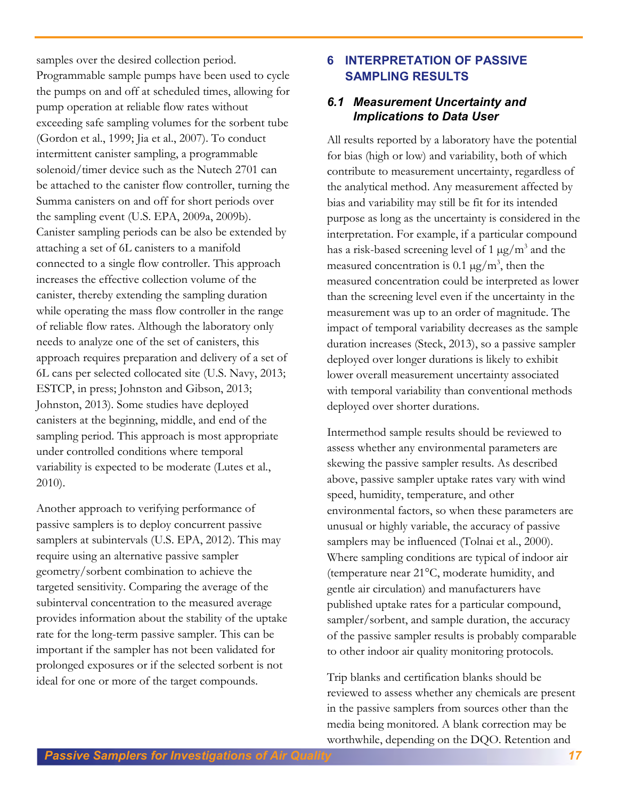samples over the desired collection period. Programmable sample pumps have been used to cycle the pumps on and off at scheduled times, allowing for pump operation at reliable flow rates without exceeding safe sampling volumes for the sorbent tube (Gordon et al., 1999; Jia et al., 2007). To conduct intermittent canister sampling, a programmable solenoid/timer device such as the Nutech 2701 can be attached to the canister flow controller, turning the Summa canisters on and off for short periods over the sampling event (U.S. EPA, 2009a, 2009b). Canister sampling periods can be also be extended by attaching a set of 6L canisters to a manifold connected to a single flow controller. This approach increases the effective collection volume of the canister, thereby extending the sampling duration while operating the mass flow controller in the range of reliable flow rates. Although the laboratory only needs to analyze one of the set of canisters, this approach requires preparation and delivery of a set of 6L cans per selected collocated site (U.S. Navy, 2013; ESTCP, in press; Johnston and Gibson, 2013; Johnston, 2013). Some studies have deployed canisters at the beginning, middle, and end of the sampling period. This approach is most appropriate under controlled conditions where temporal variability is expected to be moderate (Lutes et al., 2010).

Another approach to verifying performance of passive samplers is to deploy concurrent passive samplers at subintervals (U.S. EPA, 2012). This may require using an alternative passive sampler geometry/sorbent combination to achieve the targeted sensitivity. Comparing the average of the subinterval concentration to the measured average provides information about the stability of the uptake rate for the long-term passive sampler. This can be important if the sampler has not been validated for prolonged exposures or if the selected sorbent is not ideal for one or more of the target compounds.

# <span id="page-16-0"></span>**6 INTERPRETATION OF PASSIVE SAMPLING RESULTS**

# <span id="page-16-1"></span>*6.1 Measurement Uncertainty and Implications to Data User*

All results reported by a laboratory have the potential for bias (high or low) and variability, both of which contribute to measurement uncertainty, regardless of the analytical method. Any measurement affected by bias and variability may still be fit for its intended purpose as long as the uncertainty is considered in the interpretation. For example, if a particular compound has a risk-based screening level of 1  $\mu$ g/m<sup>3</sup> and the measured concentration is 0.1  $\mu$ g/m<sup>3</sup>, then the measured concentration could be interpreted as lower than the screening level even if the uncertainty in the measurement was up to an order of magnitude. The impact of temporal variability decreases as the sample duration increases (Steck, 2013), so a passive sampler deployed over longer durations is likely to exhibit lower overall measurement uncertainty associated with temporal variability than conventional methods deployed over shorter durations.

Intermethod sample results should be reviewed to assess whether any environmental parameters are skewing the passive sampler results. As described above, passive sampler uptake rates vary with wind speed, humidity, temperature, and other environmental factors, so when these parameters are unusual or highly variable, the accuracy of passive samplers may be influenced (Tolnai et al., 2000). Where sampling conditions are typical of indoor air (temperature near 21°C, moderate humidity, and gentle air circulation) and manufacturers have published uptake rates for a particular compound, sampler/sorbent, and sample duration, the accuracy of the passive sampler results is probably comparable to other indoor air quality monitoring protocols.

Trip blanks and certification blanks should be reviewed to assess whether any chemicals are present in the passive samplers from sources other than the media being monitored. A blank correction may be worthwhile, depending on the DQO. Retention and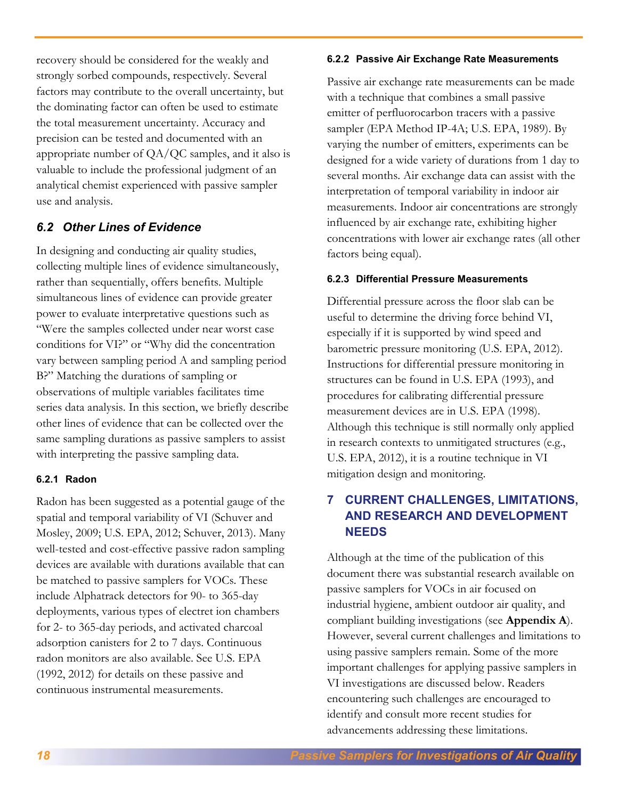recovery should be considered for the weakly and strongly sorbed compounds, respectively. Several factors may contribute to the overall uncertainty, but the dominating factor can often be used to estimate the total measurement uncertainty. Accuracy and precision can be tested and documented with an appropriate number of QA/QC samples, and it also is valuable to include the professional judgment of an analytical chemist experienced with passive sampler use and analysis.

# <span id="page-17-0"></span>*6.2 Other Lines of Evidence*

In designing and conducting air quality studies, collecting multiple lines of evidence simultaneously, rather than sequentially, offers benefits. Multiple simultaneous lines of evidence can provide greater power to evaluate interpretative questions such as "Were the samples collected under near worst case conditions for VI?" or "Why did the concentration vary between sampling period A and sampling period B?" Matching the durations of sampling or observations of multiple variables facilitates time series data analysis. In this section, we briefly describe other lines of evidence that can be collected over the same sampling durations as passive samplers to assist with interpreting the passive sampling data.

### **6.2.1 Radon**

Radon has been suggested as a potential gauge of the spatial and temporal variability of VI (Schuver and Mosley, 2009; U.S. EPA, 2012; Schuver, 2013). Many well-tested and cost-effective passive radon sampling devices are available with durations available that can be matched to passive samplers for VOCs. These include Alphatrack detectors for 90- to 365-day deployments, various types of electret ion chambers for 2- to 365-day periods, and activated charcoal adsorption canisters for 2 to 7 days. Continuous radon monitors are also available. See U.S. EPA (1992, 2012) for details on these passive and continuous instrumental measurements.

#### **6.2.2 Passive Air Exchange Rate Measurements**

Passive air exchange rate measurements can be made with a technique that combines a small passive emitter of perfluorocarbon tracers with a passive sampler (EPA Method IP-4A; U.S. EPA, 1989). By varying the number of emitters, experiments can be designed for a wide variety of durations from 1 day to several months. Air exchange data can assist with the interpretation of temporal variability in indoor air measurements. Indoor air concentrations are strongly influenced by air exchange rate, exhibiting higher concentrations with lower air exchange rates (all other factors being equal).

### **6.2.3 Differential Pressure Measurements**

Differential pressure across the floor slab can be useful to determine the driving force behind VI, especially if it is supported by wind speed and barometric pressure monitoring (U.S. EPA, 2012). Instructions for differential pressure monitoring in structures can be found in U.S. EPA (1993), and procedures for calibrating differential pressure measurement devices are in U.S. EPA (1998). Although this technique is still normally only applied in research contexts to unmitigated structures (e.g., U.S. EPA, 2012), it is a routine technique in VI mitigation design and monitoring.

# <span id="page-17-1"></span>**7 CURRENT CHALLENGES, LIMITATIONS, AND RESEARCH AND DEVELOPMENT NEEDS**

Although at the time of the publication of this document there was substantial research available on passive samplers for VOCs in air focused on industrial hygiene, ambient outdoor air quality, and compliant building investigations (see **Appendix A**). However, several current challenges and limitations to using passive samplers remain. Some of the more important challenges for applying passive samplers in VI investigations are discussed below. Readers encountering such challenges are encouraged to identify and consult more recent studies for advancements addressing these limitations.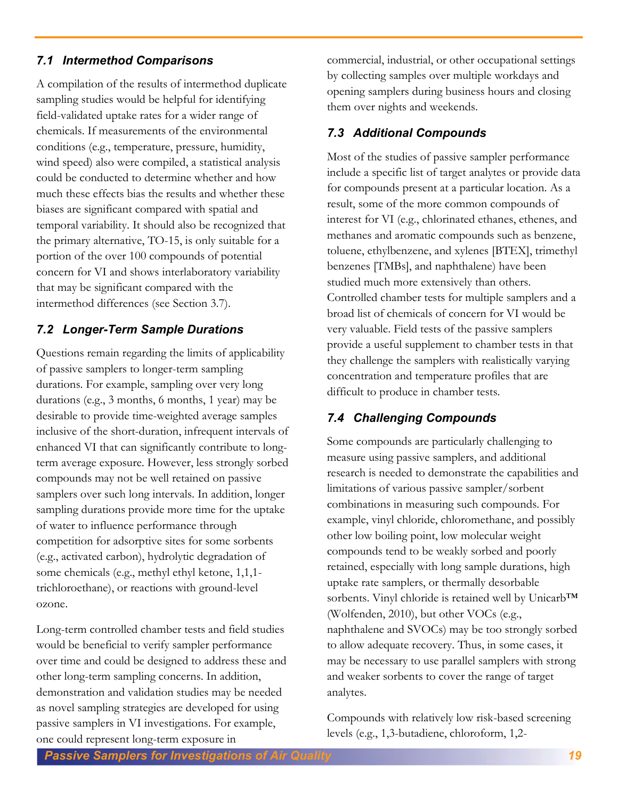# <span id="page-18-0"></span>*7.1 Intermethod Comparisons*

A compilation of the results of intermethod duplicate sampling studies would be helpful for identifying field-validated uptake rates for a wider range of chemicals. If measurements of the environmental conditions (e.g., temperature, pressure, humidity, wind speed) also were compiled, a statistical analysis could be conducted to determine whether and how much these effects bias the results and whether these biases are significant compared with spatial and temporal variability. It should also be recognized that the primary alternative, TO-15, is only suitable for a portion of the over 100 compounds of potential concern for VI and shows interlaboratory variability that may be significant compared with the intermethod differences (see Section 3.7).

# <span id="page-18-1"></span>*7.2 Longer-Term Sample Durations*

Questions remain regarding the limits of applicability of passive samplers to longer-term sampling durations. For example, sampling over very long durations (e.g., 3 months, 6 months, 1 year) may be desirable to provide time-weighted average samples inclusive of the short-duration, infrequent intervals of enhanced VI that can significantly contribute to longterm average exposure. However, less strongly sorbed compounds may not be well retained on passive samplers over such long intervals. In addition, longer sampling durations provide more time for the uptake of water to influence performance through competition for adsorptive sites for some sorbents (e.g., activated carbon), hydrolytic degradation of some chemicals (e.g., methyl ethyl ketone, 1,1,1 trichloroethane), or reactions with ground-level ozone.

Long-term controlled chamber tests and field studies would be beneficial to verify sampler performance over time and could be designed to address these and other long-term sampling concerns. In addition, demonstration and validation studies may be needed as novel sampling strategies are developed for using passive samplers in VI investigations. For example, one could represent long-term exposure in

commercial, industrial, or other occupational settings by collecting samples over multiple workdays and opening samplers during business hours and closing them over nights and weekends.

# <span id="page-18-2"></span>*7.3 Additional Compounds*

Most of the studies of passive sampler performance include a specific list of target analytes or provide data for compounds present at a particular location. As a result, some of the more common compounds of interest for VI (e.g., chlorinated ethanes, ethenes, and methanes and aromatic compounds such as benzene, toluene, ethylbenzene, and xylenes [BTEX], trimethyl benzenes [TMBs], and naphthalene) have been studied much more extensively than others. Controlled chamber tests for multiple samplers and a broad list of chemicals of concern for VI would be very valuable. Field tests of the passive samplers provide a useful supplement to chamber tests in that they challenge the samplers with realistically varying concentration and temperature profiles that are difficult to produce in chamber tests.

# <span id="page-18-3"></span>*7.4 Challenging Compounds*

Some compounds are particularly challenging to measure using passive samplers, and additional research is needed to demonstrate the capabilities and limitations of various passive sampler/sorbent combinations in measuring such compounds. For example, vinyl chloride, chloromethane, and possibly other low boiling point, low molecular weight compounds tend to be weakly sorbed and poorly retained, especially with long sample durations, high uptake rate samplers, or thermally desorbable sorbents. Vinyl chloride is retained well by Unicarb™ (Wolfenden, 2010), but other VOCs (e.g., naphthalene and SVOCs) may be too strongly sorbed to allow adequate recovery. Thus, in some cases, it may be necessary to use parallel samplers with strong and weaker sorbents to cover the range of target analytes.

Compounds with relatively low risk-based screening levels (e.g., 1,3-butadiene, chloroform, 1,2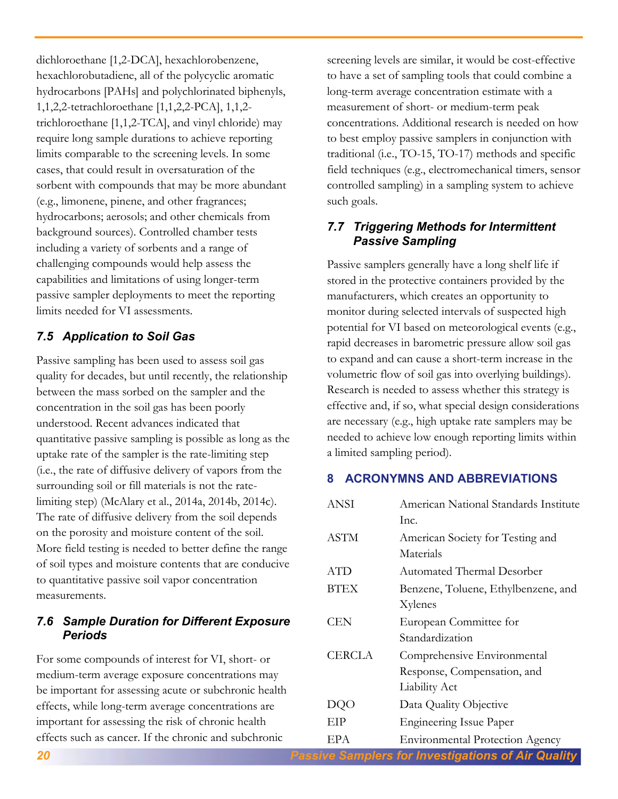dichloroethane [1,2-DCA], hexachlorobenzene, hexachlorobutadiene, all of the polycyclic aromatic hydrocarbons [PAHs] and polychlorinated biphenyls, 1,1,2,2-tetrachloroethane [1,1,2,2-PCA], 1,1,2 trichloroethane [1,1,2-TCA], and vinyl chloride) may require long sample durations to achieve reporting limits comparable to the screening levels. In some cases, that could result in oversaturation of the sorbent with compounds that may be more abundant (e.g., limonene, pinene, and other fragrances; hydrocarbons; aerosols; and other chemicals from background sources). Controlled chamber tests including a variety of sorbents and a range of challenging compounds would help assess the capabilities and limitations of using longer-term passive sampler deployments to meet the reporting limits needed for VI assessments.

# <span id="page-19-0"></span>*7.5 Application to Soil Gas*

Passive sampling has been used to assess soil gas quality for decades, but until recently, the relationship between the mass sorbed on the sampler and the concentration in the soil gas has been poorly understood. Recent advances indicated that quantitative passive sampling is possible as long as the uptake rate of the sampler is the rate-limiting step (i.e., the rate of diffusive delivery of vapors from the surrounding soil or fill materials is not the ratelimiting step) (McAlary et al., 2014a, 2014b, 2014c). The rate of diffusive delivery from the soil depends on the porosity and moisture content of the soil. More field testing is needed to better define the range of soil types and moisture contents that are conducive to quantitative passive soil vapor concentration measurements.

# <span id="page-19-1"></span>*7.6 Sample Duration for Different Exposure Periods*

For some compounds of interest for VI, short- or medium-term average exposure concentrations may be important for assessing acute or subchronic health effects, while long-term average concentrations are important for assessing the risk of chronic health effects such as cancer. If the chronic and subchronic

screening levels are similar, it would be cost-effective to have a set of sampling tools that could combine a long-term average concentration estimate with a measurement of short- or medium-term peak concentrations. Additional research is needed on how to best employ passive samplers in conjunction with traditional (i.e., TO-15, TO-17) methods and specific field techniques (e.g., electromechanical timers, sensor controlled sampling) in a sampling system to achieve such goals.

# <span id="page-19-2"></span>*7.7 Triggering Methods for Intermittent Passive Sampling*

Passive samplers generally have a long shelf life if stored in the protective containers provided by the manufacturers, which creates an opportunity to monitor during selected intervals of suspected high potential for VI based on meteorological events (e.g., rapid decreases in barometric pressure allow soil gas to expand and can cause a short-term increase in the volumetric flow of soil gas into overlying buildings). Research is needed to assess whether this strategy is effective and, if so, what special design considerations are necessary (e.g., high uptake rate samplers may be needed to achieve low enough reporting limits within a limited sampling period).

# <span id="page-19-3"></span>**8 ACRONYMNS AND ABBREVIATIONS**

| ANSI          | American National Standards Institute  |  |  |  |
|---------------|----------------------------------------|--|--|--|
|               | Inc.                                   |  |  |  |
| <b>ASTM</b>   | American Society for Testing and       |  |  |  |
|               | Materials                              |  |  |  |
| <b>ATD</b>    | Automated Thermal Desorber             |  |  |  |
| <b>BTEX</b>   | Benzene, Toluene, Ethylbenzene, and    |  |  |  |
|               | Xylenes                                |  |  |  |
| CEN           | European Committee for                 |  |  |  |
|               | Standardization                        |  |  |  |
| <b>CERCLA</b> | Comprehensive Environmental            |  |  |  |
|               | Response, Compensation, and            |  |  |  |
|               | <b>Liability Act</b>                   |  |  |  |
| DQO           | Data Quality Objective                 |  |  |  |
| EIP           | <b>Engineering Issue Paper</b>         |  |  |  |
| EPA           | <b>Environmental Protection Agency</b> |  |  |  |

*20 Passive Samplers for Investigations of Air Quality*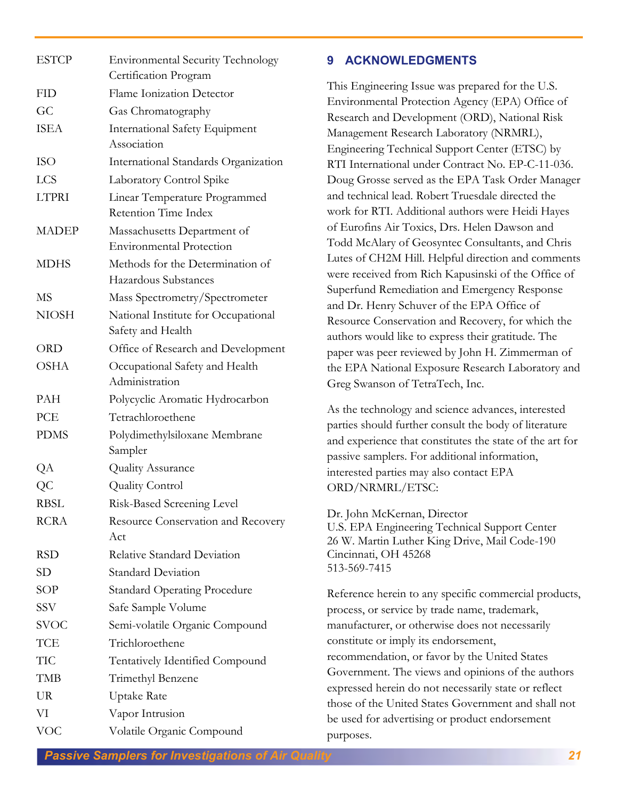| <b>ESTCP</b> | <b>Environmental Security Technology</b><br>Certification Program |
|--------------|-------------------------------------------------------------------|
| <b>FID</b>   | <b>Flame Ionization Detector</b>                                  |
| GC           | Gas Chromatography                                                |
| <b>ISEA</b>  | <b>International Safety Equipment</b>                             |
|              | Association                                                       |
| <b>ISO</b>   | International Standards Organization                              |
| <b>LCS</b>   | Laboratory Control Spike                                          |
| <b>LTPRI</b> | Linear Temperature Programmed                                     |
|              | Retention Time Index                                              |
| <b>MADEP</b> | Massachusetts Department of                                       |
|              | <b>Environmental Protection</b>                                   |
| <b>MDHS</b>  | Methods for the Determination of                                  |
|              | Hazardous Substances                                              |
| MS           | Mass Spectrometry/Spectrometer                                    |
| <b>NIOSH</b> | National Institute for Occupational<br>Safety and Health          |
| <b>ORD</b>   | Office of Research and Development                                |
| <b>OSHA</b>  | Occupational Safety and Health<br>Administration                  |
| PAH          | Polycyclic Aromatic Hydrocarbon                                   |
| PCE          | Tetrachloroethene                                                 |
| <b>PDMS</b>  | Polydimethylsiloxane Membrane                                     |
|              | Sampler                                                           |
| QA           | Quality Assurance                                                 |
| QC           | <b>Quality Control</b>                                            |
| <b>RBSL</b>  | Risk-Based Screening Level                                        |
| <b>RCRA</b>  | Resource Conservation and Recovery                                |
|              | Act                                                               |
| <b>RSD</b>   | Relative Standard Deviation                                       |
| SD           | <b>Standard Deviation</b>                                         |
| <b>SOP</b>   | <b>Standard Operating Procedure</b>                               |
| <b>SSV</b>   | Safe Sample Volume                                                |
| <b>SVOC</b>  | Semi-volatile Organic Compound                                    |
| TCE          | Trichloroethene                                                   |
| <b>TIC</b>   | <b>Tentatively Identified Compound</b>                            |
| TMB          | Trimethyl Benzene                                                 |
| <b>UR</b>    | Uptake Rate                                                       |
| VI           | Vapor Intrusion                                                   |
| <b>VOC</b>   | Volatile Organic Compound                                         |

### <span id="page-20-0"></span>**9 ACKNOWLEDGMENTS**

This Engineering Issue was prepared for the U.S. Environmental Protection Agency (EPA) Office of Research and Development (ORD), National Risk Management Research Laboratory (NRMRL), Engineering Technical Support Center (ETSC) by RTI International under Contract No. EP-C-11-036. Doug Grosse served as the EPA Task Order Manager and technical lead. Robert Truesdale directed the work for RTI. Additional authors were Heidi Hayes of Eurofins Air Toxics, Drs. Helen Dawson and Todd McAlary of Geosyntec Consultants, and Chris Lutes of CH2M Hill. Helpful direction and comments were received from Rich Kapusinski of the Office of Superfund Remediation and Emergency Response and Dr. Henry Schuver of the EPA Office of Resource Conservation and Recovery, for which the authors would like to express their gratitude. The paper was peer reviewed by John H. Zimmerman of the EPA National Exposure Research Laboratory and Greg Swanson of TetraTech, Inc.

As the technology and science advances, interested parties should further consult the body of literature and experience that constitutes the state of the art for passive samplers. For additional information, interested parties may also contact EPA ORD/NRMRL/ETSC:

Dr. John McKernan, Director U.S. EPA Engineering Technical Support Center 26 W. Martin Luther King Drive, Mail Code-190 Cincinnati, OH 45268 513-569-7415

Reference herein to any specific commercial products, process, or service by trade name, trademark, manufacturer, or otherwise does not necessarily constitute or imply its endorsement, recommendation, or favor by the United States Government. The views and opinions of the authors expressed herein do not necessarily state or reflect those of the United States Government and shall not be used for advertising or product endorsement purposes.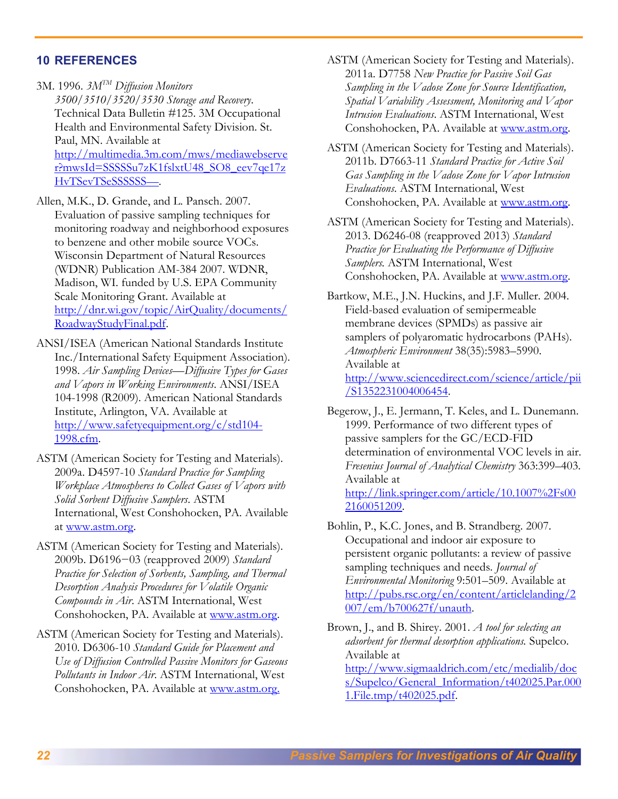### <span id="page-21-0"></span>**10 REFERENCES**

- 3M. 1996. *3MTM Diffusion Monitors 3500/3510/3520/3530 Storage and Recovery*. Technical Data Bulletin #125. 3M Occupational Health and Environmental Safety Division. St. Paul, MN. Available at [http://multimedia.3m.com/mws/mediawebserve](http://multimedia.3m.com/mws/mediawebserver?mwsId=SSSSSu7zK1fslxtU48_SO8_eev7qe17zHvTSevTSeSSSSSS--) [r?mwsId=SSSSSu7zK1fslxtU48\\_SO8\\_eev7qe17z](http://multimedia.3m.com/mws/mediawebserver?mwsId=SSSSSu7zK1fslxtU48_SO8_eev7qe17zHvTSevTSeSSSSSS--) [HvTSevTSeSSSSSS](http://multimedia.3m.com/mws/mediawebserver?mwsId=SSSSSu7zK1fslxtU48_SO8_eev7qe17zHvTSevTSeSSSSSS--)S-
- Allen, M.K., D. Grande, and L. Pansch. 2007. Evaluation of passive sampling techniques for monitoring roadway and neighborhood exposures to benzene and other mobile source VOCs. Wisconsin Department of Natural Resources (WDNR) Publication AM-384 2007. WDNR, Madison, WI. funded by U.S. EPA Community Scale Monitoring Grant. Available at [http://dnr.wi.gov/topic/AirQuality/documents/](http://dnr.wi.gov/topic/AirQuality/documents/RoadwayStudyFinal.pdf) [RoadwayStudyFinal.pdf.](http://dnr.wi.gov/topic/AirQuality/documents/RoadwayStudyFinal.pdf)
- ANSI/ISEA (American National Standards Institute Inc./International Safety Equipment Association). 1998. *Air Sampling Devices—Diffusive Types for Gases and Vapors in Working Environments*. ANSI/ISEA 104-1998 (R2009). American National Standards Institute, Arlington, VA. Available at [http://www.safetyequipment.org/c/std104-](http://www.safetyequipment.org/c/std104-1998.cfm) [1998.cfm.](http://www.safetyequipment.org/c/std104-1998.cfm)
- ASTM (American Society for Testing and Materials). 2009a. D4597-10 *Standard Practice for Sampling Workplace Atmospheres to Collect Gases of Vapors with Solid Sorbent Diffusive Samplers*. ASTM International, West Conshohocken, PA. Available at [www.astm.org.](http://www.astm.org/)
- ASTM (American Society for Testing and Materials). 2009b. D6196−03 (reapproved 2009) *Standard Practice for Selection of Sorbents, Sampling, and Thermal Desorption Analysis Procedures for Volatile Organic Compounds in Air*. ASTM International, West Conshohocken, PA. Available at [www.astm.org.](http://www.astm.org/)
- ASTM (American Society for Testing and Materials). 2010. D6306-10 *Standard Guide for Placement and Use of Diffusion Controlled Passive Monitors for Gaseous Pollutants in Indoor Air*. ASTM International, West Conshohocken, PA. Available at [www.astm.org.](http://www.astm.org/)
- ASTM (American Society for Testing and Materials). 2011a. D7758 *New Practice for Passive Soil Gas Sampling in the Vadose Zone for Source Identification, Spatial Variability Assessment, Monitoring and Vapor Intrusion Evaluations*. ASTM International, West Conshohocken, PA. Available at [www.astm.org.](http://www.astm.org/)
- [ASTM \(American Society for Testing and Materials\).](http://www.astm.org/Standards/D7663.htm)  2011b. D7663-11 *[Standard Practice for Active Soil](http://www.astm.org/Standards/D7663.htm)  [Gas Sampling in the Vadose Zone for Vapor Intrusion](http://www.astm.org/Standards/D7663.htm)  [Evaluations](http://www.astm.org/Standards/D7663.htm)*. ASTM International, West Conshohocken, PA. Available at [www.astm.org.](http://www.astm.org/)

ASTM (American Society for Testing and Materials). 2013. D6246-08 (reapproved 2013) *Standard Practice for Evaluating the Performance of Diffusive Samplers.* ASTM International, West Conshohocken, PA. Available at [www.astm.org.](http://www.astm.org/)

Bartkow, M.E., J.N. Huckins, and J.F. Muller. 2004. Field-based evaluation of semipermeable membrane devices (SPMDs) as passive air samplers of polyaromatic hydrocarbons (PAHs). *Atmospheric Environment* 38(35):5983–5990. Available at [http://www.sciencedirect.com/science/article/pii](http://www.sciencedirect.com/science/article/pii/S1352231004006454) [/S1352231004006454.](http://www.sciencedirect.com/science/article/pii/S1352231004006454)

Begerow, J., E. Jermann, T. Keles, and L. Dunemann. 1999. Performance of two different types of passive samplers for the GC/ECD-FID determination of environmental VOC levels in air. *Fresenius Journal of Analytical Chemistry* 363:399–403. Available at [http://link.springer.com/article/10.1007%2Fs00](http://link.springer.com/article/10.1007%2Fs002160051209)

Bohlin, P., K.C. Jones, and B. Strandberg. 2007. Occupational and indoor air exposure to persistent organic pollutants: a review of passive sampling techniques and needs. *Journal of Environmental Monitoring* 9:501–509. Available at [http://pubs.rsc.org/en/content/articlelanding/2](http://pubs.rsc.org/en/content/articlelanding/2007/em/b700627f/unauth) [007/em/b700627f/unauth.](http://pubs.rsc.org/en/content/articlelanding/2007/em/b700627f/unauth)

[2160051209.](http://link.springer.com/article/10.1007%2Fs002160051209)

Brown, J., and B. Shirey. 2001. *A tool for selecting an adsorbent for thermal desorption applications.* Supelco. Available at [http://www.sigmaaldrich.com/etc/medialib/doc](http://www.sigmaaldrich.com/etc/medialib/docs/Supelco/General_Information/t402025.Par.0001.File.tmp/t402025.pdf) [s/Supelco/General\\_Information/t402025.Par.000](http://www.sigmaaldrich.com/etc/medialib/docs/Supelco/General_Information/t402025.Par.0001.File.tmp/t402025.pdf) [1.File.tmp/t402025.pdf.](http://www.sigmaaldrich.com/etc/medialib/docs/Supelco/General_Information/t402025.Par.0001.File.tmp/t402025.pdf)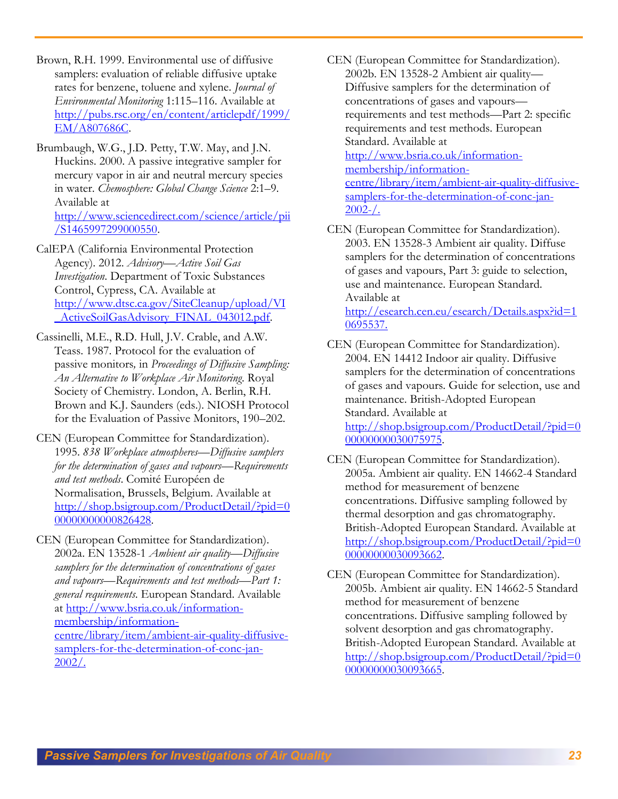Brown, R.H. 1999. Environmental use of diffusive samplers: evaluation of reliable diffusive uptake rates for benzene, toluene and xylene. *Journal of Environmental Monitoring* 1:115–116. Available at [http://pubs.rsc.org/en/content/articlepdf/1999/](http://pubs.rsc.org/en/content/articlepdf/1999/EM/A807686C) [EM/A807686C.](http://pubs.rsc.org/en/content/articlepdf/1999/EM/A807686C)

Brumbaugh, W.G., J.D. Petty, T.W. May, and J.N. Huckins. 2000. A passive integrative sampler for mercury vapor in air and neutral mercury species in water. *Chemosphere: Global Change Science* 2:1–9. Available at [http://www.sciencedirect.com/science/article/pii](http://www.sciencedirect.com/science/article/pii/S1465997299000550) [/S1465997299000550.](http://www.sciencedirect.com/science/article/pii/S1465997299000550)

CalEPA (California Environmental Protection Agency). 2012. *Advisory—Active Soil Gas Investigation*. Department of Toxic Substances Control, Cypress, CA. Available at [http://www.dtsc.ca.gov/SiteCleanup/upload/VI](http://www.dtsc.ca.gov/SiteCleanup/upload/VI_ActiveSoilGasAdvisory_FINAL_043012.pdf) ActiveSoilGasAdvisory\_FINAL\_043012.pdf.

Cassinelli, M.E., R.D. Hull, J.V. Crable, and A.W. Teass. 1987. Protocol for the evaluation of passive monitors*,* in *Proceedings of Diffusive Sampling: An Alternative to Workplace Air Monitoring*. Royal Society of Chemistry. London, A. Berlin, R.H. Brown and K.J. Saunders (eds.). NIOSH Protocol for the Evaluation of Passive Monitors, 190–202.

CEN (European Committee for Standardization). 1995. *838 Workplace atmospheres—Diffusive samplers for the determination of gases and vapours—Requirements and test methods*. Comité Européen de Normalisation, Brussels, Belgium. Available at [http://shop.bsigroup.com/ProductDetail/?pid=0](http://shop.bsigroup.com/ProductDetail/?pid=000000000000826428) [00000000000826428.](http://shop.bsigroup.com/ProductDetail/?pid=000000000000826428)

CEN (European Committee for Standardization). 2002a. EN 13528-1 *Ambient air quality—Diffusive samplers for the determination of concentrations of gases and vapours—Requirements and test methods—Part 1: general requirements*. European Standard. Available at [http://www.bsria.co.uk/information](http://www.bsria.co.uk/information-membership/information-centre/library/item/ambient-air-quality-diffusive-samplers-for-the-determination-of-conc-jan-2002/)[membership/information](http://www.bsria.co.uk/information-membership/information-centre/library/item/ambient-air-quality-diffusive-samplers-for-the-determination-of-conc-jan-2002/)[centre/library/item/ambient-air-quality-diffusive](http://www.bsria.co.uk/information-membership/information-centre/library/item/ambient-air-quality-diffusive-samplers-for-the-determination-of-conc-jan-2002/)[samplers-for-the-determination-of-conc-jan-](http://www.bsria.co.uk/information-membership/information-centre/library/item/ambient-air-quality-diffusive-samplers-for-the-determination-of-conc-jan-2002/)[2002/.](http://www.bsria.co.uk/information-membership/information-centre/library/item/ambient-air-quality-diffusive-samplers-for-the-determination-of-conc-jan-2002/)

CEN (European Committee for Standardization). 2002b. EN 13528-2 Ambient air quality— Diffusive samplers for the determination of concentrations of gases and vapours requirements and test methods—Part 2: specific requirements and test methods. European Standard. Available at [http://www.bsria.co.uk/information](http://www.bsria.co.uk/information-membership/information-centre/library/item/ambient-air-quality-diffusive-samplers-for-the-determination-of-conc-jan-%202002-/)[membership/information](http://www.bsria.co.uk/information-membership/information-centre/library/item/ambient-air-quality-diffusive-samplers-for-the-determination-of-conc-jan-%202002-/)[centre/library/item/ambient-air-quality-diffusive](http://www.bsria.co.uk/information-membership/information-centre/library/item/ambient-air-quality-diffusive-samplers-for-the-determination-of-conc-jan-%202002-/)[samplers-for-the-determination-of-conc-jan-](http://www.bsria.co.uk/information-membership/information-centre/library/item/ambient-air-quality-diffusive-samplers-for-the-determination-of-conc-jan-%202002-/) $2002 - /$ .

CEN (European Committee for Standardization). 2003. EN 13528-3 Ambient air quality. Diffuse samplers for the determination of concentrations of gases and vapours, Part 3: guide to selection, use and maintenance. European Standard. Available at

[http://esearch.cen.eu/esearch/Details.aspx?id=1](http://esearch.cen.eu/esearch/Details.aspx?id=10695537) [0695537.](http://esearch.cen.eu/esearch/Details.aspx?id=10695537)

- CEN (European Committee for Standardization). 2004. EN 14412 Indoor air quality. Diffusive samplers for the determination of concentrations of gases and vapours. Guide for selection, use and maintenance. British-Adopted European Standard. Available at [http://shop.bsigroup.com/ProductDetail/?pid=0](http://shop.bsigroup.com/ProductDetail/?pid=000000000030075975) [00000000030075975.](http://shop.bsigroup.com/ProductDetail/?pid=000000000030075975)
- CEN (European Committee for Standardization). 2005a. Ambient air quality. EN 14662-4 Standard method for measurement of benzene concentrations. Diffusive sampling followed by thermal desorption and gas chromatography. British-Adopted European Standard. Available at [http://shop.bsigroup.com/ProductDetail/?pid=0](http://shop.bsigroup.com/ProductDetail/?pid=000000000030093662) [00000000030093662.](http://shop.bsigroup.com/ProductDetail/?pid=000000000030093662)
- CEN (European Committee for Standardization). 2005b. Ambient air quality. EN 14662-5 Standard method for measurement of benzene concentrations. Diffusive sampling followed by solvent desorption and gas chromatography. British-Adopted European Standard. Available at [http://shop.bsigroup.com/ProductDetail/?pid=0](http://shop.bsigroup.com/ProductDetail/?pid=000000000030093665) [00000000030093665.](http://shop.bsigroup.com/ProductDetail/?pid=000000000030093665)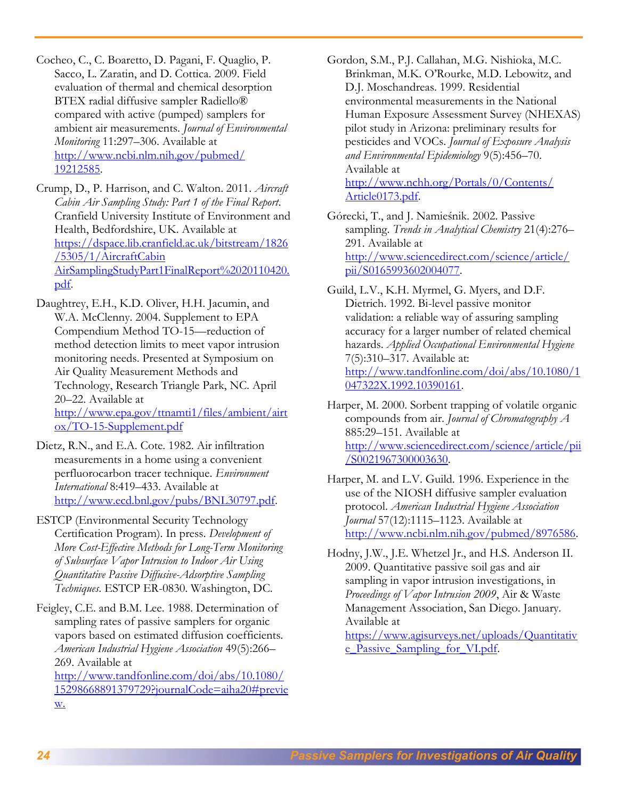Cocheo, C., C. Boaretto, D. Pagani, F. Quaglio, P. Sacco, L. Zaratin, and D. Cottica. 2009. Field evaluation of thermal and chemical desorption BTEX radial diffusive sampler Radiello® compared with active (pumped) samplers for ambient air measurements. *Journal of Environmental Monitoring* 11:297–306. Available at [http://www.ncbi.nlm.nih.gov/pubmed/](http://www.ncbi.nlm.nih.gov/pubmed/%2019212585)  [19212585.](http://www.ncbi.nlm.nih.gov/pubmed/%2019212585)

Crump, D., P. Harrison, and C. Walton. 2011. *Aircraft Cabin Air Sampling Study: Part 1 of the Final Report*. Cranfield University Institute of Environment and Health, Bedfordshire, UK. Available at [https://dspace.lib.cranfield.ac.uk/bitstream/1826](https://dspace.lib.cranfield.ac.uk/bitstream/1826/5305/1/AircraftCabinAirSamplingStudyPart1FinalReport%2020110420.pdf) [/5305/1/AircraftCabin](https://dspace.lib.cranfield.ac.uk/bitstream/1826/5305/1/AircraftCabinAirSamplingStudyPart1FinalReport%2020110420.pdf)  [AirSamplingStudyPart1FinalReport%2020110420.](https://dspace.lib.cranfield.ac.uk/bitstream/1826/5305/1/AircraftCabinAirSamplingStudyPart1FinalReport%2020110420.pdf) [pdf.](https://dspace.lib.cranfield.ac.uk/bitstream/1826/5305/1/AircraftCabinAirSamplingStudyPart1FinalReport%2020110420.pdf)

Daughtrey, E.H., K.D. Oliver, H.H. Jacumin, and W.A. McClenny. 2004. Supplement to EPA Compendium Method TO-15—reduction of method detection limits to meet vapor intrusion monitoring needs. Presented at Symposium on Air Quality Measurement Methods and Technology, Research Triangle Park, NC. April 20–22. Available at [http://www.epa.gov/ttnamti1/files/ambient/airt](http://www.epa.gov/ttnamti1/files/ambient/airtox/TO-15-Supplement.pdf) [ox/TO-15-Supplement.pdf](http://www.epa.gov/ttnamti1/files/ambient/airtox/TO-15-Supplement.pdf)

Dietz, R.N., and E.A. Cote. 1982. Air infiltration measurements in a home using a convenient perfluorocarbon tracer technique. *Environment International* 8:419–433. Available at [http://www.ecd.bnl.gov/pubs/BNL30797.pdf.](http://www.ecd.bnl.gov/pubs/BNL30797.pdf)

ESTCP (Environmental Security Technology Certification Program). In press. *Development of More Cost-Effective Methods for Long-Term Monitoring of Subsurface Vapor Intrusion to Indoor Air Using Quantitative Passive Diffusive-Adsorptive Sampling Techniques*. ESTCP ER-0830. Washington, DC.

Feigley, C.E. and B.M. Lee. 1988. Determination of sampling rates of passive samplers for organic vapors based on estimated diffusion coefficients. *American Industrial Hygiene Association* 49(5):266– 269. Available at [http://www.tandfonline.com/doi/abs/10.1080/](http://www.tandfonline.com/doi/abs/10.1080/15298668891379729?journalCode=aiha20#preview) 

[15298668891379729?journalCode=aiha20#previe](http://www.tandfonline.com/doi/abs/10.1080/15298668891379729?journalCode=aiha20#preview) [w.](http://www.tandfonline.com/doi/abs/10.1080/15298668891379729?journalCode=aiha20#preview)

Gordon, S.M., P.J. Callahan, M.G. Nishioka, M.C. Brinkman, M.K. O'Rourke, M.D. Lebowitz, and D.J. Moschandreas. 1999. Residential environmental measurements in the National Human Exposure Assessment Survey (NHEXAS) pilot study in Arizona: preliminary results for pesticides and VOCs. *Journal of Exposure Analysis and Environmental Epidemiology* 9(5):456–70. Available at [http://www.nchh.org/Portals/0/Contents/](http://www.nchh.org/Portals/0/Contents/%20Article0173.pdf)  [Article0173.pdf.](http://www.nchh.org/Portals/0/Contents/%20Article0173.pdf)

Górecki, T., and J. Namieśnik. 2002. Passive sampling. *Trends in Analytical Chemistry* 21(4):276– 291. Available at [http://www.sciencedirect.com/science/article/](http://www.sciencedirect.com/science/article/%20pii/S0165993602004077)  [pii/S0165993602004077.](http://www.sciencedirect.com/science/article/%20pii/S0165993602004077)

Guild, L.V., K.H. Myrmel, G. Myers, and D.F. Dietrich. 1992. Bi-level passive monitor validation: a reliable way of assuring sampling accuracy for a larger number of related chemical hazards. *Applied Occupational Environmental Hygiene* 7(5):310–317. Available at: [http://www.tandfonline.com/doi/abs/10.1080/1](http://www.tandfonline.com/doi/abs/10.1080/1047322X.1992.10390161) [047322X.1992.10390161.](http://www.tandfonline.com/doi/abs/10.1080/1047322X.1992.10390161)

Harper, M. 2000. Sorbent trapping of volatile organic compounds from air. *Journal of Chromatography A* 885:29–151. Available at [http://www.sciencedirect.com/science/article/pii](http://www.sciencedirect.com/science/article/pii/S0021967300003630) [/S0021967300003630.](http://www.sciencedirect.com/science/article/pii/S0021967300003630)

Harper, M. and L.V. Guild. 1996. Experience in the use of the NIOSH diffusive sampler evaluation protocol. *American Industrial Hygiene Association Journal* 57(12):1115–1123. Available at [http://www.ncbi.nlm.nih.gov/pubmed/8976586.](http://www.ncbi.nlm.nih.gov/pubmed/8976586)

Hodny, J.W., J.E. Whetzel Jr., and H.S. Anderson II. 2009. Quantitative passive soil gas and air sampling in vapor intrusion investigations, in *Proceedings of Vapor Intrusion 2009*, Air & Waste Management Association, San Diego. January. Available at

[https://www.agisurveys.net/uploads/Quantitativ](https://www.agisurveys.net/uploads/Quantitative_Passive_Sampling_for_VI.pdf) [e\\_Passive\\_Sampling\\_for\\_VI.pdf.](https://www.agisurveys.net/uploads/Quantitative_Passive_Sampling_for_VI.pdf)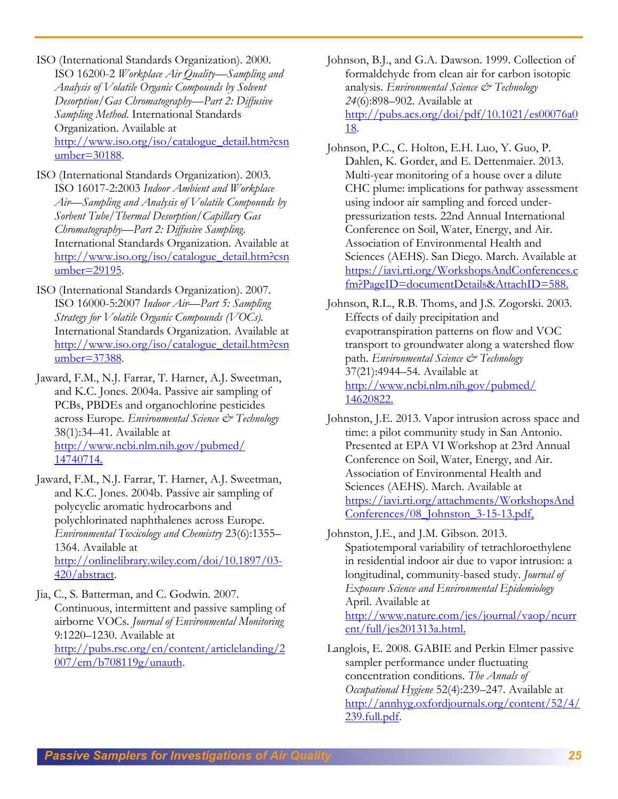ISO (International Standards Organization). 2000. ISO 16200-2 *Workplace Air Quality—Sampling and Analysis of Volatile Organic Compounds by Solvent Desorption/Gas Chromatography—Part 2: Diffusive Sampling Method*. International Standards Organization. Available at [http://www.iso.org/iso/catalogue\\_detail.htm?csn](http://www.iso.org/iso/catalogue_detail.htm?csnumber=30188) [umber=30188.](http://www.iso.org/iso/catalogue_detail.htm?csnumber=30188)

- ISO (International Standards Organization). 2003. ISO 16017-2:2003 *Indoor Ambient and Workplace Air—Sampling and Analysis of Volatile Compounds by Sorbent Tube/Thermal Desorption/Capillary Gas Chromatography—Part 2: Diffusive Sampling*. International Standards Organization. Available at [http://www.iso.org/iso/catalogue\\_detail.htm?csn](http://www.iso.org/iso/catalogue_detail.htm?csnumber=29195) [umber=29195.](http://www.iso.org/iso/catalogue_detail.htm?csnumber=29195)
- ISO (International Standards Organization). 2007. ISO 16000-5:2007 *Indoor Air—Part 5: Sampling Strategy for Volatile Organic Compounds (VOCs).*  International Standards Organization. Available at [http://www.iso.org/iso/catalogue\\_detail.htm?csn](http://www.iso.org/iso/catalogue_detail.htm?csnumber=37388) [umber=37388.](http://www.iso.org/iso/catalogue_detail.htm?csnumber=37388)

Jaward, F.M., N.J. Farrar, T. Harner, A.J. Sweetman, and K.C. Jones. 2004a. Passive air sampling of PCBs, PBDEs and organochlorine pesticides across Europe. *Environmental Science & Technology* 38(1):34–41. Available at [http://www.ncbi.nlm.nih.gov/pubmed/](http://www.ncbi.nlm.nih.gov/pubmed/14740714)  [14740714.](http://www.ncbi.nlm.nih.gov/pubmed/14740714)

- Jaward, F.M., N.J. Farrar, T. Harner, A.J. Sweetman, and K.C. Jones. 2004b. Passive air sampling of polycyclic aromatic hydrocarbons and polychlorinated naphthalenes across Europe. *Environmental Toxicology and Chemistry* 23(6):1355– 1364. Available at [http://onlinelibrary.wiley.com/doi/10.1897/03-](http://onlinelibrary.wiley.com/doi/10.1897/03-420/abstract) [420/abstract.](http://onlinelibrary.wiley.com/doi/10.1897/03-420/abstract)
- Jia, C., S. Batterman, and C. Godwin. 2007. Continuous, intermittent and passive sampling of airborne VOCs. *Journal of Environmental Monitoring* 9:1220–1230. Available at [http://pubs.rsc.org/en/content/articlelanding/2](http://pubs.rsc.org/en/content/articlelanding/2007/em/b708119g/unauth) [007/em/b708119g/unauth.](http://pubs.rsc.org/en/content/articlelanding/2007/em/b708119g/unauth)
- Johnson, B.J., and G.A. Dawson. 1999. Collection of formaldehyde from clean air for carbon isotopic analysis. *Environmental Science & Technology 24*(6):898–902. Available at [http://pubs.acs.org/doi/pdf/10.1021/es00076a0](http://pubs.acs.org/doi/pdf/10.1021/es00076a018) [18.](http://pubs.acs.org/doi/pdf/10.1021/es00076a018)
- Johnson, P.C., C. Holton, E.H. Luo, Y. Guo, P. Dahlen, K. Gorder, and E. Dettenmaier. 2013. Multi-year monitoring of a house over a dilute CHC plume: implications for pathway assessment using indoor air sampling and forced underpressurization tests. 22nd Annual International Conference on Soil, Water, Energy, and Air. Association of Environmental Health and Sciences (AEHS). San Diego. March. Available at [https://iavi.rti.org/WorkshopsAndConferences.c](https://iavi.rti.org/WorkshopsAndConferences.cfm?PageID=documentDetails&AttachID=588) [fm?PageID=documentDetails&AttachID=588.](https://iavi.rti.org/WorkshopsAndConferences.cfm?PageID=documentDetails&AttachID=588)

Johnson, R.L., R.B. Thoms, and J.S. Zogorski. 2003. Effects of daily precipitation and evapotranspiration patterns on flow and VOC transport to groundwater along a watershed flow path. *Environmental Science*  $\mathcal{C}^*$  Technology 37(21):4944–54. Available at [http://www.ncbi.nlm.nih.gov/pubmed/](http://www.ncbi.nlm.nih.gov/pubmed/14620822)  [14620822.](http://www.ncbi.nlm.nih.gov/pubmed/14620822)

- Johnston, J.E. 2013. Vapor intrusion across space and time: a pilot community study in San Antonio. Presented at EPA VI Workshop at 23rd Annual Conference on Soil, Water, Energy, and Air. Association of Environmental Health and Sciences (AEHS). March. Available at [https://iavi.rti.org/attachments/WorkshopsAnd](https://iavi.rti.org/attachments/WorkshopsAndConferences/08_Johnston_3-15-13.pdf) Conferences/08 Johnston 3-15-13.pdf,
- Johnston, J.E., and J.M. Gibson. 2013. Spatiotemporal variability of tetrachloroethylene in residential indoor air due to vapor intrusion: a longitudinal, community-based study. *Journal of Exposure Science and Environmental Epidemiology* April. Available at [http://www.nature.com/jes/journal/vaop/ncurr](http://www.nature.com/jes/journal/vaop/ncurrent/full/jes201313a.html) [ent/full/jes201313a.html.](http://www.nature.com/jes/journal/vaop/ncurrent/full/jes201313a.html)
- Langlois, E. 2008. GABIE and Perkin Elmer passive sampler performance under fluctuating concentration conditions. *The Annals of Occupational Hygiene* 52(4):239–247. Available at [http://annhyg.oxfordjournals.org/content/52/4/](http://annhyg.oxfordjournals.org/content/52/4/239.full.pdf) [239.full.pdf.](http://annhyg.oxfordjournals.org/content/52/4/239.full.pdf)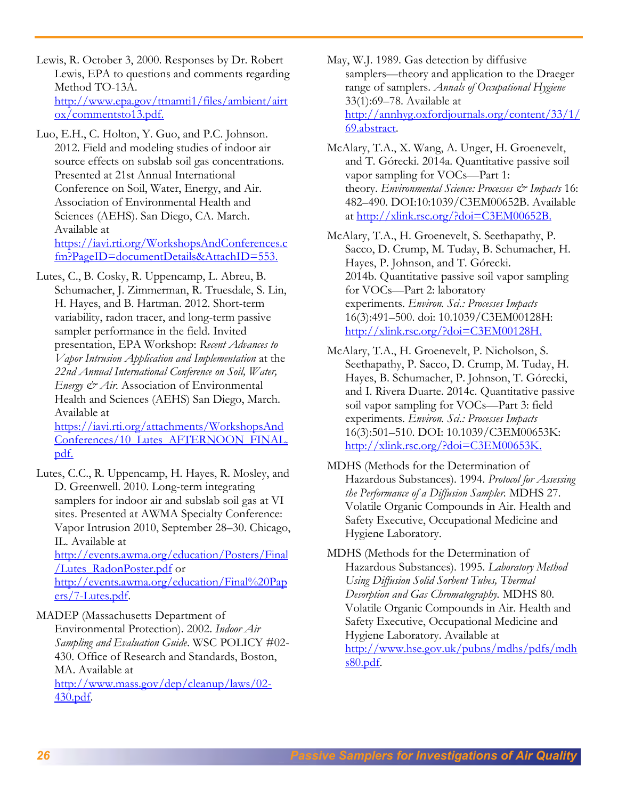Lewis, R. October 3, 2000. Responses by Dr. Robert Lewis, EPA to questions and comments regarding Method TO-13A. [http://www.epa.gov/ttnamti1/files/ambient/airt](http://www.epa.gov/ttnamti1/files/ambient/airtox/commentsto13.pdf) [ox/commentsto13.pdf.](http://www.epa.gov/ttnamti1/files/ambient/airtox/commentsto13.pdf)

Luo, E.H., C. Holton, Y. Guo, and P.C. Johnson. 2012. Field and modeling studies of indoor air source effects on subslab soil gas concentrations. Presented at 21st Annual International Conference on Soil, Water, Energy, and Air. Association of Environmental Health and Sciences (AEHS). San Diego, CA. March. Available at [https://iavi.rti.org/WorkshopsAndConferences.c](https://iavi.rti.org/WorkshopsAndConferences.cfm?PageID=documentDetails&AttachID=553)

[fm?PageID=documentDetails&AttachID=553.](https://iavi.rti.org/WorkshopsAndConferences.cfm?PageID=documentDetails&AttachID=553)

Lutes, C., B. Cosky, R. Uppencamp, L. Abreu, B. Schumacher, J. Zimmerman, R. Truesdale, S. Lin, H. Hayes, and B. Hartman. 2012. Short-term variability, radon tracer, and long-term passive sampler performance in the field. Invited presentation, EPA Workshop: *Recent Advances to Vapor Intrusion Application and Implementation* at the *22nd Annual International Conference on Soil, Water, Energy & Air.* Association of Environmental Health and Sciences (AEHS) San Diego, March. Available at

[https://iavi.rti.org/attachments/WorkshopsAnd](https://iavi.rti.org/attachments/WorkshopsAndConferences/10_Lutes_AFTERNOON_FINAL.pdf) [Conferences/10\\_Lutes\\_AFTERNOON\\_FINAL.](https://iavi.rti.org/attachments/WorkshopsAndConferences/10_Lutes_AFTERNOON_FINAL.pdf) [pdf.](https://iavi.rti.org/attachments/WorkshopsAndConferences/10_Lutes_AFTERNOON_FINAL.pdf)

Lutes, C.C., R. Uppencamp, H. Hayes, R. Mosley, and D. Greenwell. 2010. Long-term integrating samplers for indoor air and subslab soil gas at VI sites. Presented at AWMA Specialty Conference: Vapor Intrusion 2010, September 28–30. Chicago, IL. Available at

[http://events.awma.org/education/Posters/Final](http://events.awma.org/education/Posters/Final/Lutes_RadonPoster.pdf) [/Lutes\\_RadonPoster.pdf](http://events.awma.org/education/Posters/Final/Lutes_RadonPoster.pdf) or [http://events.awma.org/education/Final%20Pap](http://events.awma.org/education/Final%20Papers/7-Lutes.pdf) [ers/7-Lutes.pdf.](http://events.awma.org/education/Final%20Papers/7-Lutes.pdf)

MADEP (Massachusetts Department of

Environmental Protection). 2002. *Indoor Air Sampling and Evaluation Guide*. WSC POLICY #02- 430. Office of Research and Standards, Boston, MA. Available at [http://www.mass.gov/dep/cleanup/laws/02-](http://www.mass.gov/dep/cleanup/laws/02-430.pdf) [430.pdf.](http://www.mass.gov/dep/cleanup/laws/02-430.pdf)

May, W.J. 1989. Gas detection by diffusive samplers—theory and application to the Draeger range of samplers. *Annals of Occupational Hygiene* 33(1):69–78. Available at [http://annhyg.oxfordjournals.org/content/33/1/](http://annhyg.oxfordjournals.org/content/33/1/69.abstract) [69.abstract.](http://annhyg.oxfordjournals.org/content/33/1/69.abstract)

- McAlary, T.A., X. Wang, A. Unger, H. Groenevelt, and T. Górecki. 2014a. Quantitative passive soil vapor sampling for VOCs—Part 1: theory. *Environmental Science: Processes & Impacts* 16: 482–490. DOI:10:1039/C3EM00652B. Available at [http://xlink.rsc.org/?doi=C3EM00652B.](http://xlink.rsc.org/?doi=C3EM00652B)
- McAlary, T.A., H. Groenevelt, S. Seethapathy, P. Sacco, D. Crump, M. Tuday, B. Schumacher, H. Hayes, P. Johnson, and T. Górecki. 2014b. Quantitative passive soil vapor sampling for VOCs—Part 2: laboratory experiments. *Environ. Sci.: Processes Impacts* 16(3):491–500. doi: 10.1039/C3EM00128H: [http://xlink.rsc.org/?doi=C3EM00128H.](http://xlink.rsc.org/?doi=C3EM00128H)
- McAlary, T.A., H. Groenevelt, P. Nicholson, S. Seethapathy, P. Sacco, D. Crump, M. Tuday, H. Hayes, B. Schumacher, P. Johnson, T. Górecki, and I. Rivera Duarte. 2014c. Quantitative passive soil vapor sampling for VOCs—Part 3: field experiments. *Environ. Sci.: Processes Impacts* 16(3):501–510. DOI: 10.1039/C3EM00653K: [http://xlink.rsc.org/?doi=C3EM00653K.](http://xlink.rsc.org/?doi=C3EM00653K)
- MDHS (Methods for the Determination of Hazardous Substances). 1994. *Protocol for Assessing the Performance of a Diffusion Sampler.* MDHS 27. Volatile Organic Compounds in Air. Health and Safety Executive, Occupational Medicine and Hygiene Laboratory.

MDHS (Methods for the Determination of Hazardous Substances). 1995. *Laboratory Method Using Diffusion Solid Sorbent Tubes, Thermal Desorption and Gas Chromatography.* MDHS 80. Volatile Organic Compounds in Air. Health and Safety Executive, Occupational Medicine and Hygiene Laboratory. Available at [http://www.hse.gov.uk/pubns/mdhs/pdfs/mdh](http://www.hse.gov.uk/pubns/mdhs/pdfs/mdhs80.pdf) [s80.pdf.](http://www.hse.gov.uk/pubns/mdhs/pdfs/mdhs80.pdf)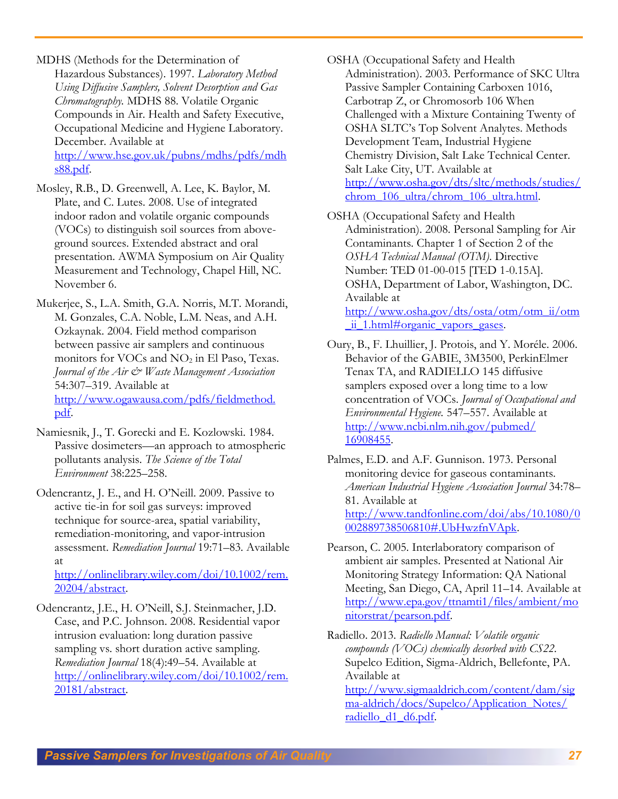MDHS (Methods for the Determination of Hazardous Substances). 1997. *Laboratory Method Using Diffusive Samplers, Solvent Desorption and Gas Chromatography.* MDHS 88. Volatile Organic Compounds in Air. Health and Safety Executive, Occupational Medicine and Hygiene Laboratory. December. Available at [http://www.hse.gov.uk/pubns/mdhs/pdfs/mdh](http://www.hse.gov.uk/pubns/mdhs/pdfs/mdhs88.pdf) [s88.pdf.](http://www.hse.gov.uk/pubns/mdhs/pdfs/mdhs88.pdf)

Mosley, R.B., D. Greenwell, A. Lee, K. Baylor, M. Plate, and C. Lutes. 2008. Use of integrated indoor radon and volatile organic compounds (VOCs) to distinguish soil sources from aboveground sources. Extended abstract and oral presentation. AWMA Symposium on Air Quality Measurement and Technology, Chapel Hill, NC. November 6.

Mukerjee, S., L.A. Smith, G.A. Norris, M.T. Morandi, M. Gonzales, C.A. Noble, L.M. Neas, and A.H. Ozkaynak. 2004. Field method comparison between passive air samplers and continuous monitors for VOCs and NO<sub>2</sub> in El Paso, Texas. *Journal of the Air & Waste Management Association* 54:307–319. Available at [http://www.ogawausa.com/pdfs/fieldmethod.](http://www.ogawausa.com/pdfs/fieldmethod.%20pdf)  [pdf.](http://www.ogawausa.com/pdfs/fieldmethod.%20pdf)

Namiesnik, J., T. Gorecki and E. Kozlowski. 1984. Passive dosimeters—an approach to atmospheric pollutants analysis. *The Science of the Total Environment* 38:225–258.

Odencrantz, J. E., and H. O'Neill. 2009. Passive to active tie-in for soil gas surveys: improved technique for source-area, spatial variability, remediation-monitoring, and vapor-intrusion assessment. *Remediation Journal* 19:71–83. Available at

[http://onlinelibrary.wiley.com/doi/10.1002/rem.](http://onlinelibrary.wiley.com/doi/10.1002/rem.20204/abstract) [20204/abstract.](http://onlinelibrary.wiley.com/doi/10.1002/rem.20204/abstract)

Odencrantz, J.E., H. O'Neill, S.J. Steinmacher, J.D. Case, and P.C. Johnson. 2008. Residential vapor intrusion evaluation: long duration passive sampling vs. short duration active sampling. *Remediation Journal* 18(4):49–54. Available at [http://onlinelibrary.wiley.com/doi/10.1002/rem.](http://onlinelibrary.wiley.com/doi/10.1002/rem.20181/abstract) [20181/abstract.](http://onlinelibrary.wiley.com/doi/10.1002/rem.20181/abstract)

OSHA (Occupational Safety and Health Administration). 2003. Performance of SKC Ultra Passive Sampler Containing Carboxen 1016, Carbotrap Z, or Chromosorb 106 When Challenged with a Mixture Containing Twenty of OSHA SLTC's Top Solvent Analytes. Methods Development Team, Industrial Hygiene Chemistry Division, Salt Lake Technical Center. Salt Lake City, UT. Available at [http://www.osha.gov/dts/sltc/methods/studies/](http://www.osha.gov/dts/sltc/methods/studies/chrom_106_ultra/chrom_106_ultra.html) chrom 106 ultra/chrom 106 ultra.html.

OSHA (Occupational Safety and Health Administration). 2008. Personal Sampling for Air Contaminants. Chapter 1 of Section 2 of the *OSHA Technical Manual (OTM)*. Directive Number: TED 01-00-015 [TED 1-0.15A]. OSHA, Department of Labor, Washington, DC. Available at [http://www.osha.gov/dts/osta/otm/otm\\_ii/otm](http://www.osha.gov/dts/osta/otm/otm_ii/otm_ii_1.html#organic_vapors_gases) [\\_ii\\_1.html#organic\\_vapors\\_gases.](http://www.osha.gov/dts/osta/otm/otm_ii/otm_ii_1.html#organic_vapors_gases)

Oury, B., F. Lhuillier, J. Protois, and Y. Moréle. 2006. Behavior of the GABIE, 3M3500, PerkinElmer Tenax TA, and RADIELLO 145 diffusive samplers exposed over a long time to a low concentration of VOCs. *Journal of Occupational and Environmental Hygiene.* 547–557. Available at [http://www.ncbi.nlm.nih.gov/pubmed/](http://www.ncbi.nlm.nih.gov/pubmed/%2016908455)  [16908455.](http://www.ncbi.nlm.nih.gov/pubmed/%2016908455)

Palmes, E.D. and A.F. Gunnison. 1973. Personal monitoring device for gaseous contaminants. *American Industrial Hygiene Association Journal* 34:78– 81. Available at [http://www.tandfonline.com/doi/abs/10.1080/0](http://www.tandfonline.com/doi/abs/10.1080/0002889738506810#.UbHwzfnVApk) [002889738506810#.UbHwzfnVApk.](http://www.tandfonline.com/doi/abs/10.1080/0002889738506810#.UbHwzfnVApk)

Pearson, C. 2005. Interlaboratory comparison of ambient air samples. Presented at National Air Monitoring Strategy Information: QA National Meeting, San Diego, CA, April 11–14. Available at [http://www.epa.gov/ttnamti1/files/ambient/mo](http://www.epa.gov/ttnamti1/files/ambient/monitorstrat/pearson.pdf) [nitorstrat/pearson.pdf.](http://www.epa.gov/ttnamti1/files/ambient/monitorstrat/pearson.pdf)

Radiello. 2013. *Radiello Manual: Volatile organic compounds (VOCs) chemically desorbed with CS22.* Supelco Edition, Sigma-Aldrich, Bellefonte, PA. Available at

[http://www.sigmaaldrich.com/content/dam/sig](http://www.sigmaaldrich.com/content/dam/sigma-aldrich/docs/Supelco/Application_Notes/%20radiello_d1_d6.pdf) [ma-aldrich/docs/Supelco/Application\\_Notes/](http://www.sigmaaldrich.com/content/dam/sigma-aldrich/docs/Supelco/Application_Notes/%20radiello_d1_d6.pdf)  [radiello\\_d1\\_d6.pdf.](http://www.sigmaaldrich.com/content/dam/sigma-aldrich/docs/Supelco/Application_Notes/%20radiello_d1_d6.pdf)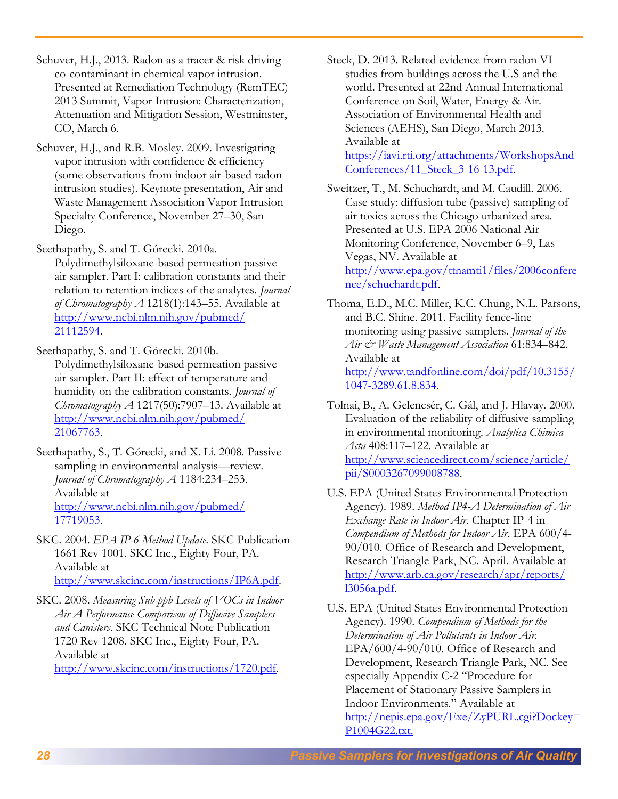Schuver, H.J., 2013. Radon as a tracer & risk driving co-contaminant in chemical vapor intrusion. Presented at Remediation Technology (RemTEC) 2013 Summit, Vapor Intrusion: Characterization, Attenuation and Mitigation Session, Westminster, CO, March 6.

Schuver, H.J., and R.B. Mosley. 2009. Investigating vapor intrusion with confidence & efficiency (some observations from indoor air-based radon intrusion studies). Keynote presentation, Air and Waste Management Association Vapor Intrusion Specialty Conference, November 27–30, San Diego.

Seethapathy, S. and T. Górecki. 2010a.

Polydimethylsiloxane-based permeation passive air sampler. Part I: calibration constants and their relation to retention indices of the analytes. *Journal of Chromatography A* 1218(1):143–55. Available at [http://www.ncbi.nlm.nih.gov/pubmed/](http://www.ncbi.nlm.nih.gov/pubmed/%2021112594)  [21112594.](http://www.ncbi.nlm.nih.gov/pubmed/%2021112594)

Seethapathy, S. and T. Górecki. 2010b. Polydimethylsiloxane-based permeation passive air sampler. Part II: effect of temperature and humidity on the calibration constants. *Journal of Chromatography A* 1217(50):7907–13. Available at [http://www.ncbi.nlm.nih.gov/pubmed/](http://www.ncbi.nlm.nih.gov/pubmed/%2021067763)  [21067763.](http://www.ncbi.nlm.nih.gov/pubmed/%2021067763)

Seethapathy, S., T. Górecki, and X. Li. 2008. Passive sampling in environmental analysis—review. *Journal of Chromatography A* 1184:234–253. Available at [http://www.ncbi.nlm.nih.gov/pubmed/](http://www.ncbi.nlm.nih.gov/pubmed/%2017719053)  [17719053.](http://www.ncbi.nlm.nih.gov/pubmed/%2017719053)

SKC. 2004. *EPA IP-6 Method Update*. SKC Publication 1661 Rev 1001. SKC Inc., Eighty Four, PA. Available at [http://www.skcinc.com/instructions/IP6A.pdf.](http://www.skcinc.com/instructions/IP6A.pdf)

SKC. 2008. *Measuring Sub-ppb Levels of VOCs in Indoor Air A Performance Comparison of Diffusive Samplers and Canisters*. SKC Technical Note Publication 1720 Rev 1208. SKC Inc., Eighty Four, PA. Available at

[http://www.skcinc.com/instructions/1720.pdf.](http://www.skcinc.com/instructions/1720.pdf)

Steck, D. 2013. Related evidence from radon VI studies from buildings across the U.S and the world. Presented at 22nd Annual International Conference on Soil, Water, Energy & Air. Association of Environmental Health and Sciences (AEHS), San Diego, March 2013. Available at [https://iavi.rti.org/attachments/WorkshopsAnd](https://iavi.rti.org/attachments/WorkshopsAndConferences/11_Steck_3-16-13.pdf) [Conferences/11\\_Steck\\_3-16-13.pdf.](https://iavi.rti.org/attachments/WorkshopsAndConferences/11_Steck_3-16-13.pdf)

Sweitzer, T., M. Schuchardt, and M. Caudill. 2006. Case study: diffusion tube (passive) sampling of air toxics across the Chicago urbanized area. Presented at U.S. EPA 2006 National Air Monitoring Conference, November 6–9, Las Vegas, NV. Available at [http://www.epa.gov/ttnamti1/files/2006confere](http://www.epa.gov/ttnamti1/files/2006conference/schuchardt.pdf) [nce/schuchardt.pdf.](http://www.epa.gov/ttnamti1/files/2006conference/schuchardt.pdf)

Thoma, E.D., M.C. Miller, K.C. Chung, N.L. Parsons, and B.C. Shine. 2011. Facility fence-line monitoring using passive samplers. *Journal of the Air & Waste Management Association* 61:834–842. Available at [http://www.tandfonline.com/doi/pdf/10.3155/](http://www.tandfonline.com/doi/pdf/10.3155/%201047-3289.61.8.834)  [1047-3289.61.8.834.](http://www.tandfonline.com/doi/pdf/10.3155/%201047-3289.61.8.834)

Tolnai, B., A. Gelencsér, C. Gál, and J. Hlavay. 2000. Evaluation of the reliability of diffusive sampling in environmental monitoring. *Analytica Chimica Acta* 408:117–122. Available at [http://www.sciencedirect.com/science/article/](http://www.sciencedirect.com/science/article/%20pii/S0003267099008788)  [pii/S0003267099008788.](http://www.sciencedirect.com/science/article/%20pii/S0003267099008788)

U.S. EPA (United States Environmental Protection Agency). 1989. *Method IP4-A Determination of Air Exchange Rate in Indoor Air*. Chapter IP-4 in *Compendium of Methods for Indoor Air*. EPA 600/4- 90/010. Office of Research and Development, Research Triangle Park, NC. April. Available at [http://www.arb.ca.gov/research/apr/reports/](http://www.arb.ca.gov/research/apr/reports/%20l3056a.pdf)  [l3056a.pdf.](http://www.arb.ca.gov/research/apr/reports/%20l3056a.pdf)

U.S. EPA (United States Environmental Protection Agency). 1990. *Compendium of Methods for the Determination of Air Pollutants in Indoor Air.*  EPA/600/4-90/010. Office of Research and Development, Research Triangle Park, NC. See especially Appendix C-2 "Procedure for Placement of Stationary Passive Samplers in Indoor Environments." Available at [http://nepis.epa.gov/Exe/ZyPURL.cgi?Dockey=](http://nepis.epa.gov/Exe/ZyPURL.cgi?Dockey=P1004G22.txt) [P1004G22.txt.](http://nepis.epa.gov/Exe/ZyPURL.cgi?Dockey=P1004G22.txt)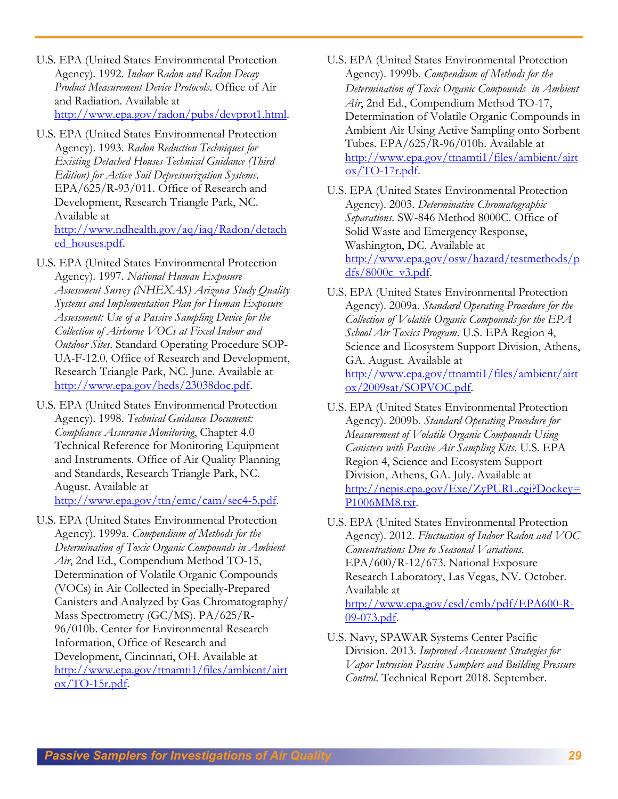- U.S. EPA (United States Environmental Protection Agency). 1992. *Indoor Radon and Radon Decay Product Measurement Device Protocols*. Office of Air and Radiation. Available at [http://www.epa.gov/radon/pubs/devprot1.html.](http://www.epa.gov/radon/pubs/devprot1.html)
- U.S. EPA (United States Environmental Protection Agency). 1993. *Radon Reduction Techniques for Existing Detached Houses Technical Guidance (Third Edition) for Active Soil Depressurization Systems*. EPA/625/R-93/011. Office of Research and Development, Research Triangle Park, NC. Available at [http://www.ndhealth.gov/aq/iaq/Radon/detach](http://www.ndhealth.gov/aq/iaq/Radon/detached_houses.pdf)

[ed\\_houses.pdf.](http://www.ndhealth.gov/aq/iaq/Radon/detached_houses.pdf)

- U.S. EPA (United States Environmental Protection Agency). 1997. *National Human Exposure Assessment Survey (NHEXAS) Arizona Study Quality Systems and Implementation Plan for Human Exposure Assessment: Use of a Passive Sampling Device for the Collection of Airborne VOCs at Fixed Indoor and Outdoor Sites*. Standard Operating Procedure SOP-UA-F-12.0. Office of Research and Development, Research Triangle Park, NC. June. Available at [http://www.epa.gov/heds/23038doc.pdf.](http://www.epa.gov/heds/23038doc.pdf)
- U.S. EPA (United States Environmental Protection Agency). 1998. *Technical Guidance Document: Compliance Assurance Monitoring*, Chapter 4.0 Technical Reference for Monitoring Equipment and Instruments. Office of Air Quality Planning and Standards, Research Triangle Park, NC. August. Available at [http://www.epa.gov/ttn/emc/cam/sec4-5.pdf.](http://www.epa.gov/ttn/emc/cam/sec4-5.pdf)
- U.S. EPA (United States Environmental Protection Agency). 1999a. *Compendium of Methods for the Determination of Toxic Organic Compounds in Ambient Air*, 2nd Ed., Compendium Method TO-15, Determination of Volatile Organic Compounds (VOCs) in Air Collected in Specially-Prepared Canisters and Analyzed by Gas Chromatography/ Mass Spectrometry (GC/MS). PA/625/R-96/010b. Center for Environmental Research Information, Office of Research and Development, Cincinnati, OH. Available at [http://www.epa.gov/ttnamti1/files/ambient/airt](http://www.epa.gov/ttnamti1/files/ambient/airtox/to-15r.pdf) [ox/TO-15r.pdf.](http://www.epa.gov/ttnamti1/files/ambient/airtox/to-15r.pdf)
- U.S. EPA (United States Environmental Protection Agency). 1999b. *Compendium of Methods for the Determination of Toxic Organic Compounds in Ambient Air*, 2nd Ed., Compendium Method TO-17, Determination of Volatile Organic Compounds in Ambient Air Using Active Sampling onto Sorbent Tubes. EPA/625/R-96/010b. Available at [http://www.epa.gov/ttnamti1/files/ambient/airt](http://www.epa.gov/ttnamti1/files/ambient/airtox/to-17r.pdf)  $ox/TO-17r.pdf.$
- U.S. EPA (United States Environmental Protection Agency). 2003. *Determinative Chromatographic Separations.* SW-846 Method 8000C. Office of Solid Waste and Emergency Response, Washington, DC. Available at [http://www.epa.gov/osw/hazard/testmethods/p](http://www.epa.gov/osw/hazard/testmethods/pdfs/8000c_v3.pdf) [dfs/8000c\\_v3.pdf.](http://www.epa.gov/osw/hazard/testmethods/pdfs/8000c_v3.pdf)
- U.S. EPA (United States Environmental Protection Agency). 2009a. *Standard Operating Procedure for the Collection of Volatile Organic Compounds for the EPA School Air Toxics Program*. U.S. EPA Region 4, Science and Ecosystem Support Division, Athens, GA. August. Available at [http://www.epa.gov/ttnamti1/files/ambient/airt](http://www.epa.gov/ttnamti1/files/ambient/airtox/2009sat/SOPVOC.pdf) [ox/2009sat/SOPVOC.pdf.](http://www.epa.gov/ttnamti1/files/ambient/airtox/2009sat/SOPVOC.pdf)
- U.S. EPA (United States Environmental Protection Agency). 2009b. *Standard Operating Procedure for Measurement of Volatile Organic Compounds Using Canisters with Passive Air Sampling Kits*. U.S. EPA Region 4, Science and Ecosystem Support Division, Athens, GA. July. Available at [http://nepis.epa.gov/Exe/ZyPURL.cgi?Dockey=](http://nepis.epa.gov/Exe/ZyPURL.cgi?Dockey=P1006MM8.txt) [P1006MM8.txt.](http://nepis.epa.gov/Exe/ZyPURL.cgi?Dockey=P1006MM8.txt)
- U.S. EPA (United States Environmental Protection Agency). 2012. *Fluctuation of Indoor Radon and VOC Concentrations Due to Seasonal Variations*. EPA/600/R-12/673. National Exposure Research Laboratory, Las Vegas, NV. October. Available at [http://www.epa.gov/esd/cmb/pdf/EPA600-R-](http://www.epa.gov/esd/cmb/pdf/EPA600-R-09-073.pdf)[09-073.pdf.](http://www.epa.gov/esd/cmb/pdf/EPA600-R-09-073.pdf)
- U.S. Navy, SPAWAR Systems Center Pacific Division. 2013. *Improved Assessment Strategies for Vapor Intrusion Passive Samplers and Building Pressure Control*. Technical Report 2018. September.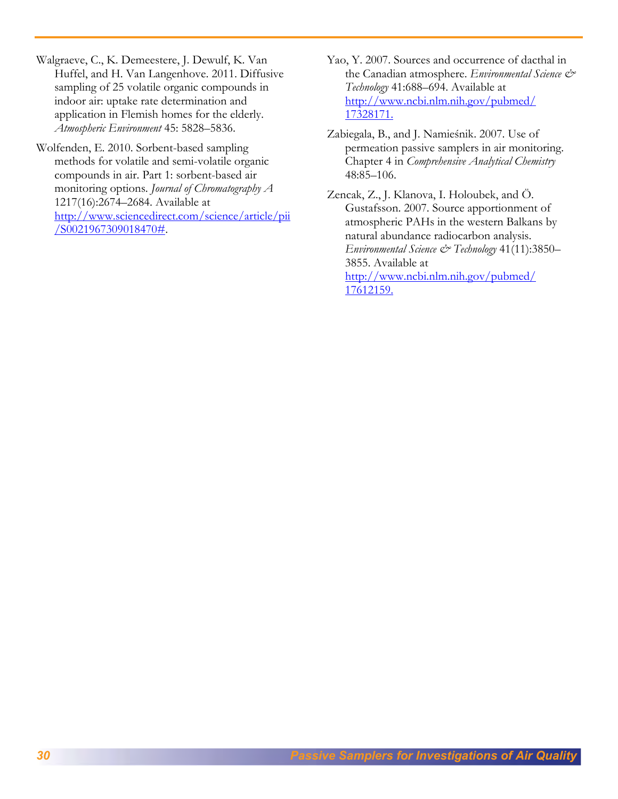Walgraeve, C., K. Demeestere, J. Dewulf, K. Van Huffel, and H. Van Langenhove. 2011. Diffusive sampling of 25 volatile organic compounds in indoor air: uptake rate determination and application in Flemish homes for the elderly. *Atmospheric Environment* 45: 5828–5836.

Wolfenden, E. 2010. Sorbent-based sampling methods for volatile and semi-volatile organic compounds in air. Part 1: sorbent-based air monitoring options. *Journal of Chromatography A* 1217(16):2674–2684. Available at [http://www.sciencedirect.com/science/article/pii](http://www.sciencedirect.com/science/article/pii/S0021967309018470) [/S0021967309018470#.](http://www.sciencedirect.com/science/article/pii/S0021967309018470)

- Yao, Y. 2007. Sources and occurrence of dacthal in the Canadian atmosphere. *Environmental Science & Technology* 41:688–694. Available at [http://www.ncbi.nlm.nih.gov/pubmed/](http://www.ncbi.nlm.nih.gov/pubmed/17328171)  [17328171.](http://www.ncbi.nlm.nih.gov/pubmed/17328171)
- Zabiegala, B., and J. Namieśnik. 2007. Use of permeation passive samplers in air monitoring. Chapter 4 in *Comprehensive Analytical Chemistry* 48:85–106.

Zencak, Z., J. Klanova, I. Holoubek, and Ö. Gustafsson. 2007. Source apportionment of atmospheric PAHs in the western Balkans by natural abundance radiocarbon analysis. *Environmental Science & Technology* 41(11):3850– 3855. Available at [http://www.ncbi.nlm.nih.gov/pubmed/](http://www.ncbi.nlm.nih.gov/pubmed/17612159)  [17612159.](http://www.ncbi.nlm.nih.gov/pubmed/17612159)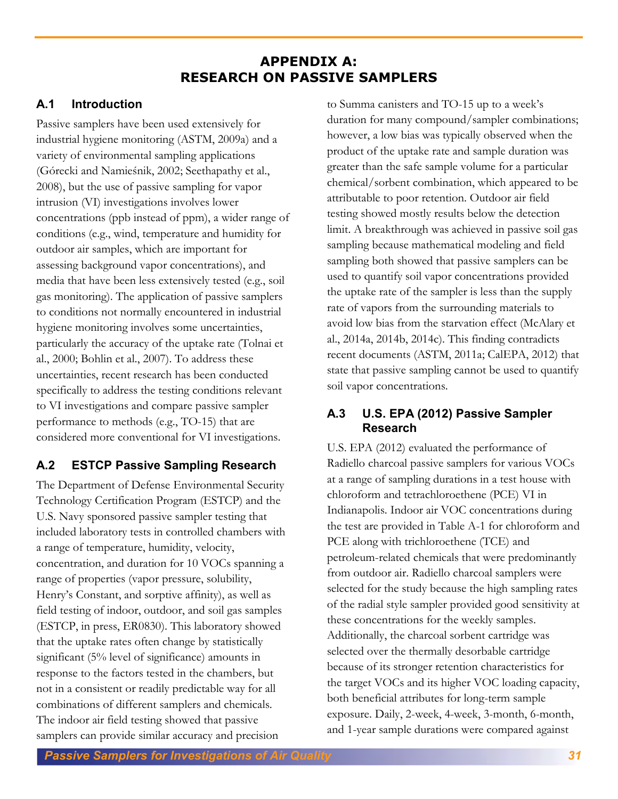# **APPENDIX A: RESEARCH ON PASSIVE SAMPLERS**

# **A.1 Introduction**

Passive samplers have been used extensively for industrial hygiene monitoring (ASTM, 2009a) and a variety of environmental sampling applications (Górecki and Namieśnik, 2002; Seethapathy et al., 2008), but the use of passive sampling for vapor intrusion (VI) investigations involves lower concentrations (ppb instead of ppm), a wider range of conditions (e.g., wind, temperature and humidity for outdoor air samples, which are important for assessing background vapor concentrations), and media that have been less extensively tested (e.g., soil gas monitoring). The application of passive samplers to conditions not normally encountered in industrial hygiene monitoring involves some uncertainties, particularly the accuracy of the uptake rate (Tolnai et al., 2000; Bohlin et al., 2007). To address these uncertainties, recent research has been conducted specifically to address the testing conditions relevant to VI investigations and compare passive sampler performance to methods (e.g., TO-15) that are considered more conventional for VI investigations.

# **A.2 ESTCP Passive Sampling Research**

The Department of Defense Environmental Security Technology Certification Program (ESTCP) and the U.S. Navy sponsored passive sampler testing that included laboratory tests in controlled chambers with a range of temperature, humidity, velocity, concentration, and duration for 10 VOCs spanning a range of properties (vapor pressure, solubility, Henry's Constant, and sorptive affinity), as well as field testing of indoor, outdoor, and soil gas samples (ESTCP, in press, ER0830). This laboratory showed that the uptake rates often change by statistically significant (5% level of significance) amounts in response to the factors tested in the chambers, but not in a consistent or readily predictable way for all combinations of different samplers and chemicals. The indoor air field testing showed that passive samplers can provide similar accuracy and precision

to Summa canisters and TO-15 up to a week's duration for many compound/sampler combinations; however, a low bias was typically observed when the product of the uptake rate and sample duration was greater than the safe sample volume for a particular chemical/sorbent combination, which appeared to be attributable to poor retention. Outdoor air field testing showed mostly results below the detection limit. A breakthrough was achieved in passive soil gas sampling because mathematical modeling and field sampling both showed that passive samplers can be used to quantify soil vapor concentrations provided the uptake rate of the sampler is less than the supply rate of vapors from the surrounding materials to avoid low bias from the starvation effect (McAlary et al., 2014a, 2014b, 2014c). This finding contradicts recent documents (ASTM, 2011a; CalEPA, 2012) that state that passive sampling cannot be used to quantify soil vapor concentrations.

# **A.3 U.S. EPA (2012) Passive Sampler Research**

U.S. EPA (2012) evaluated the performance of Radiello charcoal passive samplers for various VOCs at a range of sampling durations in a test house with chloroform and tetrachloroethene (PCE) VI in Indianapolis. Indoor air VOC concentrations during the test are provided in Table A-1 for chloroform and PCE along with trichloroethene (TCE) and petroleum-related chemicals that were predominantly from outdoor air. Radiello charcoal samplers were selected for the study because the high sampling rates of the radial style sampler provided good sensitivity at these concentrations for the weekly samples. Additionally, the charcoal sorbent cartridge was selected over the thermally desorbable cartridge because of its stronger retention characteristics for the target VOCs and its higher VOC loading capacity, both beneficial attributes for long-term sample exposure. Daily, 2-week, 4-week, 3-month, 6-month, and 1-year sample durations were compared against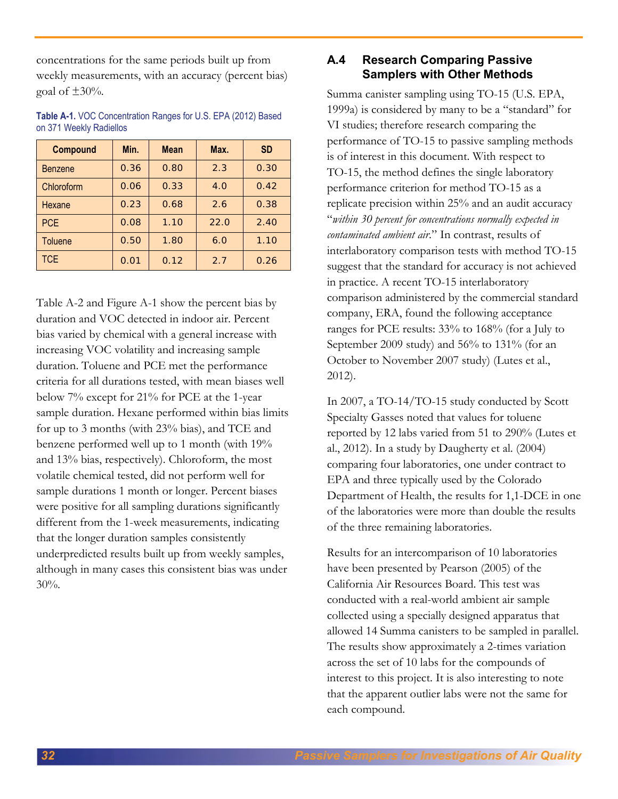concentrations for the same periods built up from weekly measurements, with an accuracy (percent bias) goal of  $\pm 30\%$ .

| <b>Compound</b> | Min. | <b>Mean</b> | Max. | <b>SD</b> |  |
|-----------------|------|-------------|------|-----------|--|
| <b>Benzene</b>  | 0.36 | 0.80        | 2.3  | 0.30      |  |
| Chloroform      | 0.06 | 0.33        | 4.0  | 0.42      |  |
| Hexane          | 0.23 | 0.68<br>2.6 |      | 0.38      |  |
| <b>PCE</b>      | 0.08 | 1.10        | 22.0 | 2.40      |  |
| <b>Toluene</b>  | 0.50 | 1.80        | 6.0  | 1.10      |  |
| TCE             | 0.01 | 0.12        | 2.7  | 0.26      |  |

**Table A-1.** VOC Concentration Ranges for U.S. EPA (2012) Based on 371 Weekly Radiellos

Table A-2 and Figure A-1 show the percent bias by duration and VOC detected in indoor air. Percent bias varied by chemical with a general increase with increasing VOC volatility and increasing sample duration. Toluene and PCE met the performance criteria for all durations tested, with mean biases well below 7% except for 21% for PCE at the 1-year sample duration. Hexane performed within bias limits for up to 3 months (with 23% bias), and TCE and benzene performed well up to 1 month (with 19% and 13% bias, respectively). Chloroform, the most volatile chemical tested, did not perform well for sample durations 1 month or longer. Percent biases were positive for all sampling durations significantly different from the 1-week measurements, indicating that the longer duration samples consistently underpredicted results built up from weekly samples, although in many cases this consistent bias was under 30%.

# **A.4 Research Comparing Passive Samplers with Other Methods**

Summa canister sampling using TO-15 (U.S. EPA, 1999a) is considered by many to be a "standard" for VI studies; therefore research comparing the performance of TO-15 to passive sampling methods is of interest in this document. With respect to TO-15, the method defines the single laboratory performance criterion for method TO-15 as a replicate precision within 25% and an audit accuracy "*within 30 percent for concentrations normally expected in contaminated ambient air*." In contrast, results of interlaboratory comparison tests with method TO-15 suggest that the standard for accuracy is not achieved in practice. A recent TO-15 interlaboratory comparison administered by the commercial standard company, ERA, found the following acceptance ranges for PCE results: 33% to 168% (for a July to September 2009 study) and 56% to 131% (for an October to November 2007 study) (Lutes et al., 2012).

In 2007, a TO-14/TO-15 study conducted by Scott Specialty Gasses noted that values for toluene reported by 12 labs varied from 51 to 290% (Lutes et al., 2012). In a study by Daugherty et al. (2004) comparing four laboratories, one under contract to EPA and three typically used by the Colorado Department of Health, the results for 1,1-DCE in one of the laboratories were more than double the results of the three remaining laboratories.

Results for an intercomparison of 10 laboratories have been presented by Pearson (2005) of the California Air Resources Board. This test was conducted with a real-world ambient air sample collected using a specially designed apparatus that allowed 14 Summa canisters to be sampled in parallel. The results show approximately a 2-times variation across the set of 10 labs for the compounds of interest to this project. It is also interesting to note that the apparent outlier labs were not the same for each compound.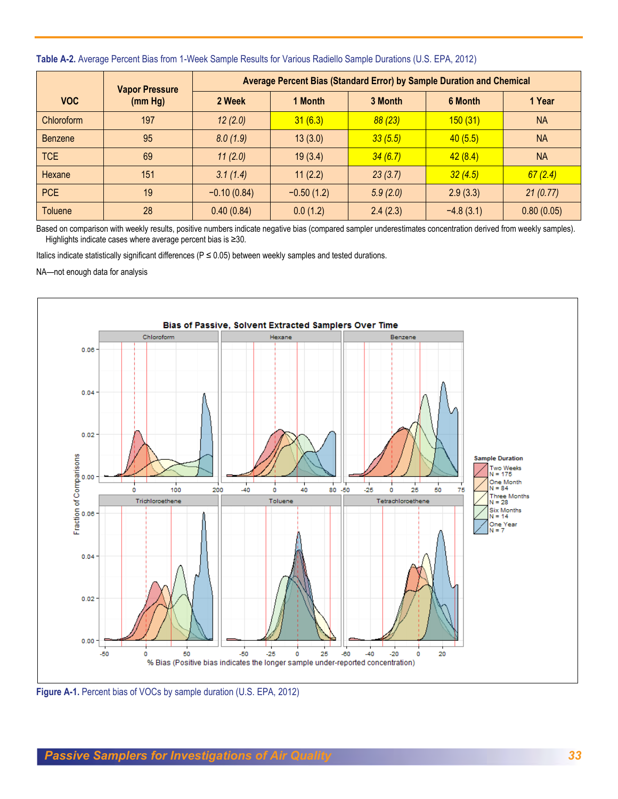|                | <b>Vapor Pressure</b> | Average Percent Bias (Standard Error) by Sample Duration and Chemical |              |          |             |            |
|----------------|-----------------------|-----------------------------------------------------------------------|--------------|----------|-------------|------------|
| <b>VOC</b>     | (mm Hg)               | 2 Week                                                                | 1 Month      | 3 Month  | 6 Month     | 1 Year     |
| Chloroform     | 197                   | 12(2.0)                                                               | 31(6.3)      | 88(23)   | 150(31)     | <b>NA</b>  |
| <b>Benzene</b> | 95                    | 8.0(1.9)                                                              | 13(3.0)      | 33(5.5)  | 40(5.5)     | <b>NA</b>  |
| TCE            | 69                    | 11(2.0)                                                               | 19(3.4)      | 34(6.7)  | 42(8.4)     | <b>NA</b>  |
| Hexane         | 151                   | 3.1(1.4)                                                              | 11(2.2)      | 23(3.7)  | 32(4.5)     | 67(2.4)    |
| <b>PCE</b>     | 19                    | $-0.10(0.84)$                                                         | $-0.50(1.2)$ | 5.9(2.0) | 2.9(3.3)    | 21(0.77)   |
| <b>Toluene</b> | 28                    | 0.40(0.84)                                                            | 0.0(1.2)     | 2.4(2.3) | $-4.8(3.1)$ | 0.80(0.05) |

#### **Table A-2.** Average Percent Bias from 1-Week Sample Results for Various Radiello Sample Durations (U.S. EPA, 2012)

Based on comparison with weekly results, positive numbers indicate negative bias (compared sampler underestimates concentration derived from weekly samples). Highlights indicate cases where average percent bias is ≥30.

Italics indicate statistically significant differences ( $P \le 0.05$ ) between weekly samples and tested durations.

NA—not enough data for analysis



**Figure A-1.** Percent bias of VOCs by sample duration (U.S. EPA, 2012)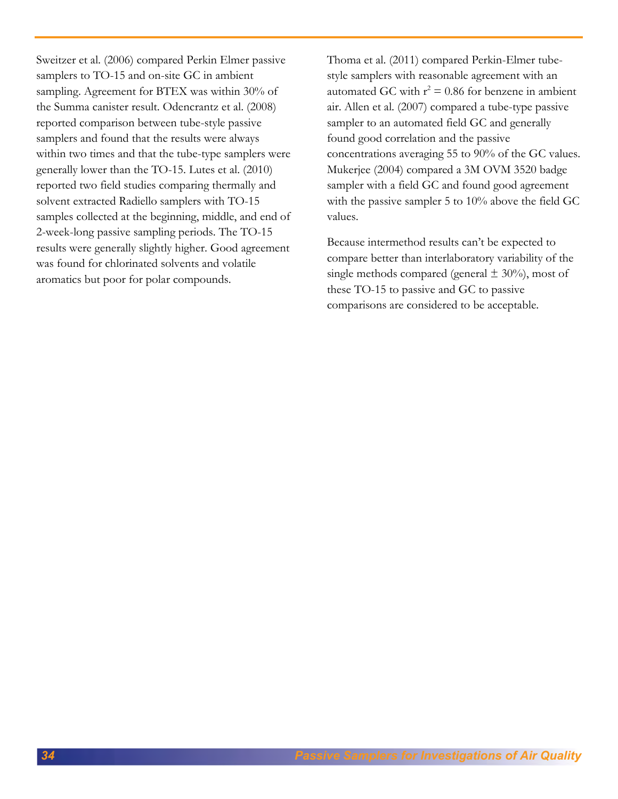Sweitzer et al. (2006) compared Perkin Elmer passive samplers to TO-15 and on-site GC in ambient sampling. Agreement for BTEX was within 30% of the Summa canister result. Odencrantz et al. (2008) reported comparison between tube-style passive samplers and found that the results were always within two times and that the tube-type samplers were generally lower than the TO-15. Lutes et al. (2010) reported two field studies comparing thermally and solvent extracted Radiello samplers with TO-15 samples collected at the beginning, middle, and end of 2-week-long passive sampling periods. The TO-15 results were generally slightly higher. Good agreement was found for chlorinated solvents and volatile aromatics but poor for polar compounds.

Thoma et al. (2011) compared Perkin-Elmer tubestyle samplers with reasonable agreement with an automated GC with  $r^2 = 0.86$  for benzene in ambient air. Allen et al. (2007) compared a tube-type passive sampler to an automated field GC and generally found good correlation and the passive concentrations averaging 55 to 90% of the GC values. Mukerjee (2004) compared a 3M OVM 3520 badge sampler with a field GC and found good agreement with the passive sampler 5 to 10% above the field GC values.

Because intermethod results can't be expected to compare better than interlaboratory variability of the single methods compared (general  $\pm$  30%), most of these TO-15 to passive and GC to passive comparisons are considered to be acceptable.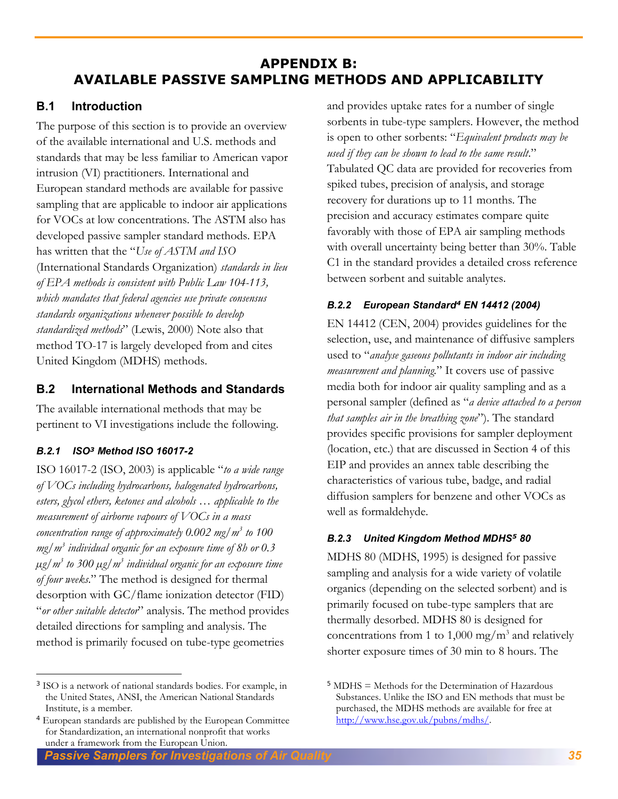# **APPENDIX B: AVAILABLE PASSIVE SAMPLING METHODS AND APPLICABILITY**

# **B.1 Introduction**

The purpose of this section is to provide an overview of the available international and U.S. methods and standards that may be less familiar to American vapor intrusion (VI) practitioners. International and European standard methods are available for passive sampling that are applicable to indoor air applications for VOCs at low concentrations. The ASTM also has developed passive sampler standard methods. EPA has written that the "*Use of ASTM and ISO*  (International Standards Organization) *standards in lieu of EPA methods is consistent with Public Law 104-113, which mandates that federal agencies use private consensus standards organizations whenever possible to develop standardized methods*" (Lewis, 2000) Note also that method TO-17 is largely developed from and cites United Kingdom (MDHS) methods.

# **B.2 International Methods and Standards**

The available international methods that may be pertinent to VI investigations include the following.

# *B.2.1 ISO<sup>3</sup> Method ISO 16017-2*

 $\overline{a}$ 

ISO 16017-2 (ISO, 2003) is applicable "*to a wide range of VOCs including hydrocarbons, halogenated hydrocarbons, esters, glycol ethers, ketones and alcohols … applicable to the measurement of airborne vapours of VOCs in a mass concentration range of approximately 0.002 mg/m<sup>3</sup> to 100 mg/m<sup>3</sup> individual organic for an exposure time of 8h or 0.3 µg/m<sup>3</sup> to 300 µg/m<sup>3</sup> individual organic for an exposure time of four weeks*." The method is designed for thermal desorption with GC/flame ionization detector (FID) "*or other suitable detector*" analysis. The method provides detailed directions for sampling and analysis. The method is primarily focused on tube-type geometries

3 ISO is a network of national standards bodies. For example, in the United States, ANSI, the American National Standards Institute, is a member.

and provides uptake rates for a number of single sorbents in tube-type samplers. However, the method is open to other sorbents: "*Equivalent products may be used if they can be shown to lead to the same result*." Tabulated QC data are provided for recoveries from spiked tubes, precision of analysis, and storage recovery for durations up to 11 months. The precision and accuracy estimates compare quite favorably with those of EPA air sampling methods with overall uncertainty being better than 30%. Table C1 in the standard provides a detailed cross reference between sorbent and suitable analytes.

# *B.2.2 European Standard<sup>4</sup> EN 14412 (2004)*

EN 14412 (CEN, 2004) provides guidelines for the selection, use, and maintenance of diffusive samplers used to "*analyse gaseous pollutants in indoor air including measurement and planning.*" It covers use of passive media both for indoor air quality sampling and as a personal sampler (defined as "*a device attached to a person that samples air in the breathing zone*"). The standard provides specific provisions for sampler deployment (location, etc.) that are discussed in Section 4 of this EIP and provides an annex table describing the characteristics of various tube, badge, and radial diffusion samplers for benzene and other VOCs as well as formaldehyde.

# *B.2.3 United Kingdom Method MDHS<sup>5</sup> 80*

MDHS 80 (MDHS, 1995) is designed for passive sampling and analysis for a wide variety of volatile organics (depending on the selected sorbent) and is primarily focused on tube-type samplers that are thermally desorbed. MDHS 80 is designed for concentrations from 1 to 1,000 mg/ $m<sup>3</sup>$  and relatively shorter exposure times of 30 min to 8 hours. The

 *Passive Samplers for Investigations of Air Quality 35*

<sup>4</sup> European standards are published by the European Committee for Standardization, an international nonprofit that works under a framework from the European Union.

<sup>5</sup> MDHS = Methods for the Determination of Hazardous Substances. Unlike the ISO and EN methods that must be purchased, the MDHS methods are available for free at [http://www.hse.gov.uk/pubns/mdhs/.](http://www.hse.gov.uk/pubns/mdhs/)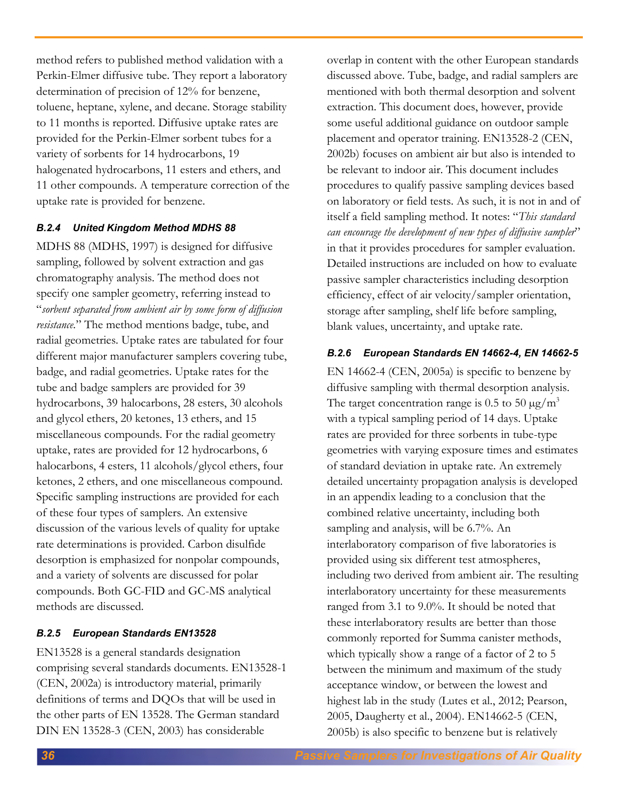method refers to published method validation with a Perkin-Elmer diffusive tube. They report a laboratory determination of precision of 12% for benzene, toluene, heptane, xylene, and decane. Storage stability to 11 months is reported. Diffusive uptake rates are provided for the Perkin-Elmer sorbent tubes for a variety of sorbents for 14 hydrocarbons, 19 halogenated hydrocarbons, 11 esters and ethers, and 11 other compounds. A temperature correction of the uptake rate is provided for benzene.

### *B.2.4 United Kingdom Method MDHS 88*

MDHS 88 (MDHS, 1997) is designed for diffusive sampling, followed by solvent extraction and gas chromatography analysis. The method does not specify one sampler geometry, referring instead to "*sorbent separated from ambient air by some form of diffusion resistance.*" The method mentions badge, tube, and radial geometries. Uptake rates are tabulated for four different major manufacturer samplers covering tube, badge, and radial geometries. Uptake rates for the tube and badge samplers are provided for 39 hydrocarbons, 39 halocarbons, 28 esters, 30 alcohols and glycol ethers, 20 ketones, 13 ethers, and 15 miscellaneous compounds. For the radial geometry uptake, rates are provided for 12 hydrocarbons, 6 halocarbons, 4 esters, 11 alcohols/glycol ethers, four ketones, 2 ethers, and one miscellaneous compound. Specific sampling instructions are provided for each of these four types of samplers. An extensive discussion of the various levels of quality for uptake rate determinations is provided. Carbon disulfide desorption is emphasized for nonpolar compounds, and a variety of solvents are discussed for polar compounds. Both GC-FID and GC-MS analytical methods are discussed.

# *B.2.5 European Standards EN13528*

EN13528 is a general standards designation comprising several standards documents. EN13528-1 (CEN, 2002a) is introductory material, primarily definitions of terms and DQOs that will be used in the other parts of EN 13528. The German standard DIN EN 13528-3 (CEN, 2003) has considerable

overlap in content with the other European standards discussed above. Tube, badge, and radial samplers are mentioned with both thermal desorption and solvent extraction. This document does, however, provide some useful additional guidance on outdoor sample placement and operator training. EN13528-2 (CEN, 2002b) focuses on ambient air but also is intended to be relevant to indoor air. This document includes procedures to qualify passive sampling devices based on laboratory or field tests. As such, it is not in and of itself a field sampling method. It notes: "*This standard can encourage the development of new types of diffusive sampler*" in that it provides procedures for sampler evaluation. Detailed instructions are included on how to evaluate passive sampler characteristics including desorption efficiency, effect of air velocity/sampler orientation, storage after sampling, shelf life before sampling, blank values, uncertainty, and uptake rate.

# *B.2.6 European Standards EN 14662-4, EN 14662-5*

EN 14662-4 (CEN, 2005a) is specific to benzene by diffusive sampling with thermal desorption analysis. The target concentration range is 0.5 to 50  $\mu$ g/m<sup>3</sup> with a typical sampling period of 14 days. Uptake rates are provided for three sorbents in tube-type geometries with varying exposure times and estimates of standard deviation in uptake rate. An extremely detailed uncertainty propagation analysis is developed in an appendix leading to a conclusion that the combined relative uncertainty, including both sampling and analysis, will be 6.7%. An interlaboratory comparison of five laboratories is provided using six different test atmospheres, including two derived from ambient air. The resulting interlaboratory uncertainty for these measurements ranged from 3.1 to 9.0%. It should be noted that these interlaboratory results are better than those commonly reported for Summa canister methods, which typically show a range of a factor of 2 to 5 between the minimum and maximum of the study acceptance window, or between the lowest and highest lab in the study (Lutes et al., 2012; Pearson, 2005, Daugherty et al., 2004). EN14662-5 (CEN, 2005b) is also specific to benzene but is relatively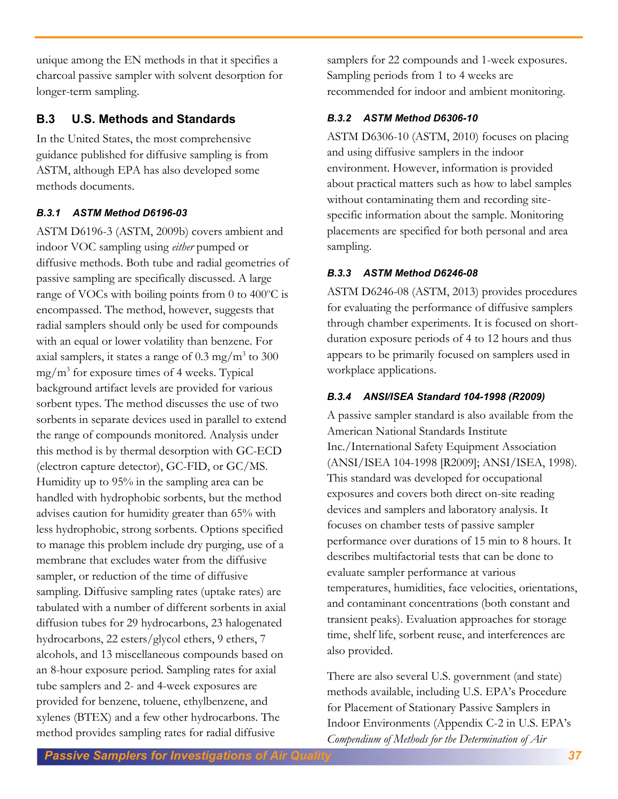unique among the EN methods in that it specifies a charcoal passive sampler with solvent desorption for longer-term sampling.

# **B.3 U.S. Methods and Standards**

In the United States, the most comprehensive guidance published for diffusive sampling is from ASTM, although EPA has also developed some methods documents.

# *B.3.1 ASTM Method D6196-03*

ASTM D6196-3 (ASTM, 2009b) covers ambient and indoor VOC sampling using *either* pumped or diffusive methods. Both tube and radial geometries of passive sampling are specifically discussed. A large range of VOCs with boiling points from  $0$  to  $400^{\circ}$ C is encompassed. The method, however, suggests that radial samplers should only be used for compounds with an equal or lower volatility than benzene. For axial samplers, it states a range of  $0.3 \text{ mg/m}^3$  to  $300$ mg/m<sup>3</sup> for exposure times of 4 weeks. Typical background artifact levels are provided for various sorbent types. The method discusses the use of two sorbents in separate devices used in parallel to extend the range of compounds monitored. Analysis under this method is by thermal desorption with GC-ECD (electron capture detector), GC-FID, or GC/MS. Humidity up to 95% in the sampling area can be handled with hydrophobic sorbents, but the method advises caution for humidity greater than 65% with less hydrophobic, strong sorbents. Options specified to manage this problem include dry purging, use of a membrane that excludes water from the diffusive sampler, or reduction of the time of diffusive sampling. Diffusive sampling rates (uptake rates) are tabulated with a number of different sorbents in axial diffusion tubes for 29 hydrocarbons, 23 halogenated hydrocarbons, 22 esters/glycol ethers, 9 ethers, 7 alcohols, and 13 miscellaneous compounds based on an 8-hour exposure period. Sampling rates for axial tube samplers and 2- and 4-week exposures are provided for benzene, toluene, ethylbenzene, and xylenes (BTEX) and a few other hydrocarbons. The method provides sampling rates for radial diffusive

samplers for 22 compounds and 1-week exposures. Sampling periods from 1 to 4 weeks are recommended for indoor and ambient monitoring.

# *B.3.2 ASTM Method D6306-10*

ASTM D6306-10 (ASTM, 2010) focuses on placing and using diffusive samplers in the indoor environment. However, information is provided about practical matters such as how to label samples without contaminating them and recording sitespecific information about the sample. Monitoring placements are specified for both personal and area sampling.

# *B.3.3 ASTM Method D6246-08*

ASTM D6246-08 (ASTM, 2013) provides procedures for evaluating the performance of diffusive samplers through chamber experiments. It is focused on shortduration exposure periods of 4 to 12 hours and thus appears to be primarily focused on samplers used in workplace applications.

# *B.3.4 ANSI/ISEA Standard 104-1998 (R2009)*

A passive sampler standard is also available from the American National Standards Institute Inc./International Safety Equipment Association (ANSI/ISEA 104-1998 [R2009]; ANSI/ISEA, 1998). This standard was developed for occupational exposures and covers both direct on-site reading devices and samplers and laboratory analysis. It focuses on chamber tests of passive sampler performance over durations of 15 min to 8 hours. It describes multifactorial tests that can be done to evaluate sampler performance at various temperatures, humidities, face velocities, orientations, and contaminant concentrations (both constant and transient peaks). Evaluation approaches for storage time, shelf life, sorbent reuse, and interferences are also provided.

There are also several U.S. government (and state) methods available, including U.S. EPA's Procedure for Placement of Stationary Passive Samplers in Indoor Environments (Appendix C-2 in U.S. EPA's *Compendium of Methods for the Determination of Air*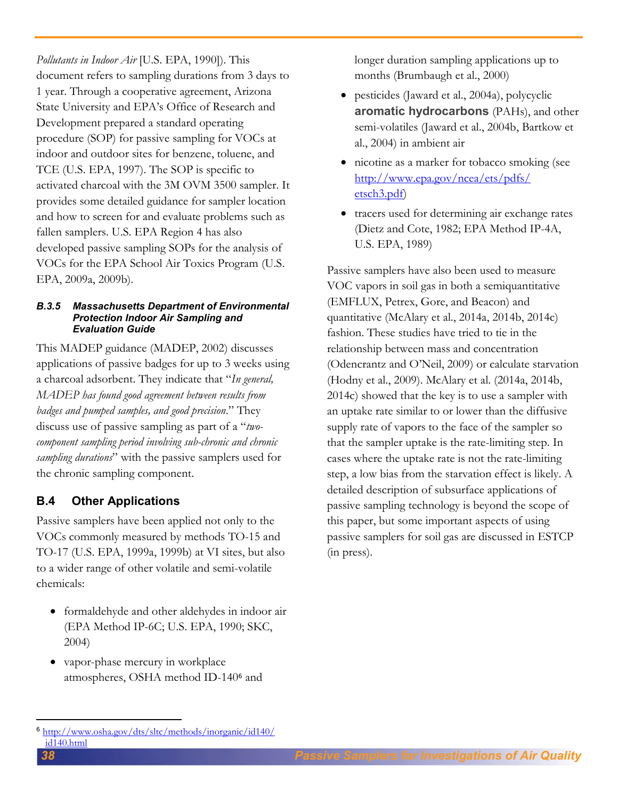*Pollutants in Indoor Air* [U.S. EPA, 1990]). This document refers to sampling durations from 3 days to 1 year. Through a cooperative agreement, Arizona State University and EPA's Office of Research and Development prepared a standard operating procedure (SOP) for passive sampling for VOCs at indoor and outdoor sites for benzene, toluene, and TCE (U.S. EPA, 1997). The SOP is specific to activated charcoal with the 3M OVM 3500 sampler. It provides some detailed guidance for sampler location and how to screen for and evaluate problems such as fallen samplers. U.S. EPA Region 4 has also developed passive sampling SOPs for the analysis of VOCs for the EPA School Air Toxics Program (U.S. EPA, 2009a, 2009b).

#### *B.3.5 Massachusetts Department of Environmental Protection Indoor Air Sampling and Evaluation Guide*

This MADEP guidance (MADEP, 2002) discusses applications of passive badges for up to 3 weeks using a charcoal adsorbent. They indicate that "*In general, MADEP has found good agreement between results from badges and pumped samples, and good precision*." They discuss use of passive sampling as part of a "*twocomponent sampling period involving sub-chronic and chronic sampling durations*" with the passive samplers used for the chronic sampling component.

# **B.4 Other Applications**

Passive samplers have been applied not only to the VOCs commonly measured by methods TO-15 and TO-17 (U.S. EPA, 1999a, 1999b) at VI sites, but also to a wider range of other volatile and semi-volatile chemicals:

- formaldehyde and other aldehydes in indoor air (EPA Method IP-6C; U.S. EPA, 1990; SKC, 2004)
- vapor-phase mercury in workplace atmospheres, OSHA method ID-140<sup>6</sup> and

longer duration sampling applications up to months (Brumbaugh et al., 2000)

- pesticides (Jaward et al., 2004a), polycyclic **aromatic hydrocarbons** (PAHs), and other semi-volatiles (Jaward et al., 2004b, Bartkow et al., 2004) in ambient air
- nicotine as a marker for tobacco smoking (see [http://www.epa.gov/ncea/ets/pdfs/](http://www.epa.gov/ncea/ets/pdfs/%20etsch3.pdf)  [etsch3.pdf\)](http://www.epa.gov/ncea/ets/pdfs/%20etsch3.pdf)
- tracers used for determining air exchange rates (Dietz and Cote, 1982; EPA Method IP-4A, U.S. EPA, 1989)

Passive samplers have also been used to measure VOC vapors in soil gas in both a semiquantitative (EMFLUX, Petrex, Gore, and Beacon) and quantitative (McAlary et al., 2014a, 2014b, 2014c) fashion. These studies have tried to tie in the relationship between mass and concentration (Odencrantz and O'Neil, 2009) or calculate starvation (Hodny et al., 2009). McAlary et al. (2014a, 2014b, 2014c) showed that the key is to use a sampler with an uptake rate similar to or lower than the diffusive supply rate of vapors to the face of the sampler so that the sampler uptake is the rate-limiting step. In cases where the uptake rate is not the rate-limiting step, a low bias from the starvation effect is likely. A detailed description of subsurface applications of passive sampling technology is beyond the scope of this paper, but some important aspects of using passive samplers for soil gas are discussed in ESTCP (in press).

 $\overline{a}$ <sup>6</sup> [http://www.osha.gov/dts/sltc/methods/inorganic/id140/](http://www.osha.gov/dts/sltc/methods/inorganic/id140/%20id140.html)  [id140.html](http://www.osha.gov/dts/sltc/methods/inorganic/id140/%20id140.html)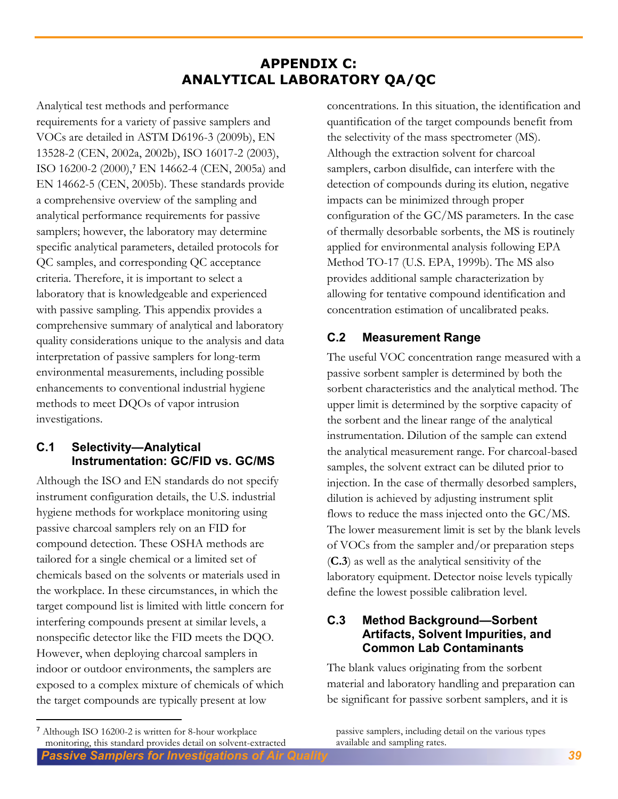# **APPENDIX C: ANALYTICAL LABORATORY QA/QC**

Analytical test methods and performance requirements for a variety of passive samplers and VOCs are detailed in ASTM D6196-3 (2009b), EN 13528-2 (CEN, 2002a, 2002b), ISO 16017-2 (2003), ISO 16200-2 (2000),<sup>7</sup> EN 14662-4 (CEN, 2005a) and EN 14662-5 (CEN, 2005b). These standards provide a comprehensive overview of the sampling and analytical performance requirements for passive samplers; however, the laboratory may determine specific analytical parameters, detailed protocols for QC samples, and corresponding QC acceptance criteria. Therefore, it is important to select a laboratory that is knowledgeable and experienced with passive sampling. This appendix provides a comprehensive summary of analytical and laboratory quality considerations unique to the analysis and data interpretation of passive samplers for long-term environmental measurements, including possible enhancements to conventional industrial hygiene methods to meet DQOs of vapor intrusion investigations.

# **C.1 Selectivity—Analytical Instrumentation: GC/FID vs. GC/MS**

Although the ISO and EN standards do not specify instrument configuration details, the U.S. industrial hygiene methods for workplace monitoring using passive charcoal samplers rely on an FID for compound detection. These OSHA methods are tailored for a single chemical or a limited set of chemicals based on the solvents or materials used in the workplace. In these circumstances, in which the target compound list is limited with little concern for interfering compounds present at similar levels, a nonspecific detector like the FID meets the DQO. However, when deploying charcoal samplers in indoor or outdoor environments, the samplers are exposed to a complex mixture of chemicals of which the target compounds are typically present at low

concentrations. In this situation, the identification and quantification of the target compounds benefit from the selectivity of the mass spectrometer (MS). Although the extraction solvent for charcoal samplers, carbon disulfide, can interfere with the detection of compounds during its elution, negative impacts can be minimized through proper configuration of the GC/MS parameters. In the case of thermally desorbable sorbents, the MS is routinely applied for environmental analysis following EPA Method TO-17 (U.S. EPA, 1999b). The MS also provides additional sample characterization by allowing for tentative compound identification and concentration estimation of uncalibrated peaks.

# **C.2 Measurement Range**

The useful VOC concentration range measured with a passive sorbent sampler is determined by both the sorbent characteristics and the analytical method. The upper limit is determined by the sorptive capacity of the sorbent and the linear range of the analytical instrumentation. Dilution of the sample can extend the analytical measurement range. For charcoal-based samples, the solvent extract can be diluted prior to injection. In the case of thermally desorbed samplers, dilution is achieved by adjusting instrument split flows to reduce the mass injected onto the GC/MS. The lower measurement limit is set by the blank levels of VOCs from the sampler and/or preparation steps (**C.3**) as well as the analytical sensitivity of the laboratory equipment. Detector noise levels typically define the lowest possible calibration level.

# **C.3 Method Background—Sorbent Artifacts, Solvent Impurities, and Common Lab Contaminants**

The blank values originating from the sorbent material and laboratory handling and preparation can be significant for passive sorbent samplers, and it is

 $\overline{a}$ 

passive samplers, including detail on the various types available and sampling rates.

*Passive Samplers for Investigations of Air Quality 39* 7 Although ISO 16200-2 is written for 8-hour workplace monitoring, this standard provides detail on solvent-extracted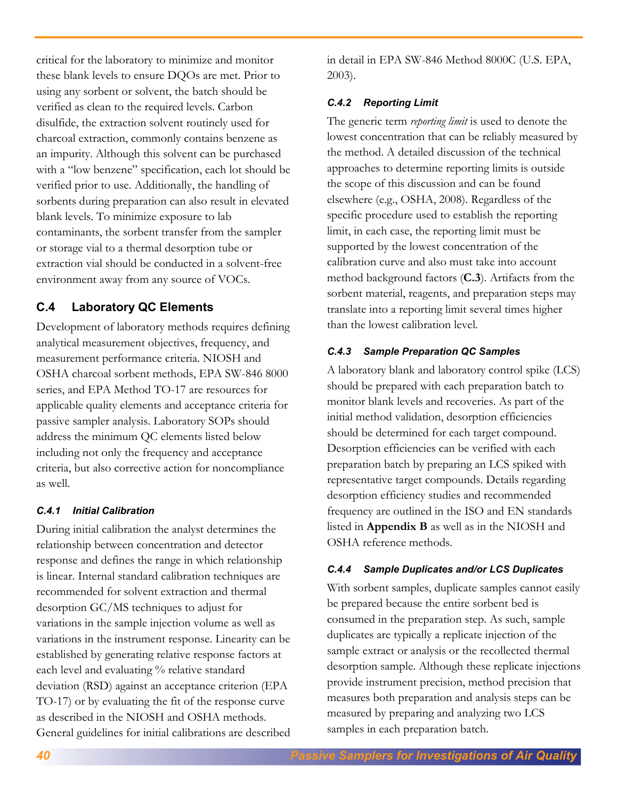critical for the laboratory to minimize and monitor these blank levels to ensure DQOs are met. Prior to using any sorbent or solvent, the batch should be verified as clean to the required levels. Carbon disulfide, the extraction solvent routinely used for charcoal extraction, commonly contains benzene as an impurity. Although this solvent can be purchased with a "low benzene" specification, each lot should be verified prior to use. Additionally, the handling of sorbents during preparation can also result in elevated blank levels. To minimize exposure to lab contaminants, the sorbent transfer from the sampler or storage vial to a thermal desorption tube or extraction vial should be conducted in a solvent-free environment away from any source of VOCs.

# **C.4 Laboratory QC Elements**

Development of laboratory methods requires defining analytical measurement objectives, frequency, and measurement performance criteria. NIOSH and OSHA charcoal sorbent methods, EPA SW-846 8000 series, and EPA Method TO-17 are resources for applicable quality elements and acceptance criteria for passive sampler analysis. Laboratory SOPs should address the minimum QC elements listed below including not only the frequency and acceptance criteria, but also corrective action for noncompliance as well.

# *C.4.1 Initial Calibration*

During initial calibration the analyst determines the relationship between concentration and detector response and defines the range in which relationship is linear. Internal standard calibration techniques are recommended for solvent extraction and thermal desorption GC/MS techniques to adjust for variations in the sample injection volume as well as variations in the instrument response. Linearity can be established by generating relative response factors at each level and evaluating % relative standard deviation (RSD) against an acceptance criterion (EPA TO-17) or by evaluating the fit of the response curve as described in the NIOSH and OSHA methods. General guidelines for initial calibrations are described in detail in EPA SW-846 Method 8000C (U.S. EPA, 2003).

### *C.4.2 Reporting Limit*

The generic term *reporting limit* is used to denote the lowest concentration that can be reliably measured by the method. A detailed discussion of the technical approaches to determine reporting limits is outside the scope of this discussion and can be found elsewhere (e.g., OSHA, 2008). Regardless of the specific procedure used to establish the reporting limit, in each case, the reporting limit must be supported by the lowest concentration of the calibration curve and also must take into account method background factors (**C.3**). Artifacts from the sorbent material, reagents, and preparation steps may translate into a reporting limit several times higher than the lowest calibration level.

### *C.4.3 Sample Preparation QC Samples*

A laboratory blank and laboratory control spike (LCS) should be prepared with each preparation batch to monitor blank levels and recoveries. As part of the initial method validation, desorption efficiencies should be determined for each target compound. Desorption efficiencies can be verified with each preparation batch by preparing an LCS spiked with representative target compounds. Details regarding desorption efficiency studies and recommended frequency are outlined in the ISO and EN standards listed in **Appendix B** as well as in the NIOSH and OSHA reference methods.

# *C.4.4 Sample Duplicates and/or LCS Duplicates*

With sorbent samples, duplicate samples cannot easily be prepared because the entire sorbent bed is consumed in the preparation step. As such, sample duplicates are typically a replicate injection of the sample extract or analysis or the recollected thermal desorption sample. Although these replicate injections provide instrument precision, method precision that measures both preparation and analysis steps can be measured by preparing and analyzing two LCS samples in each preparation batch.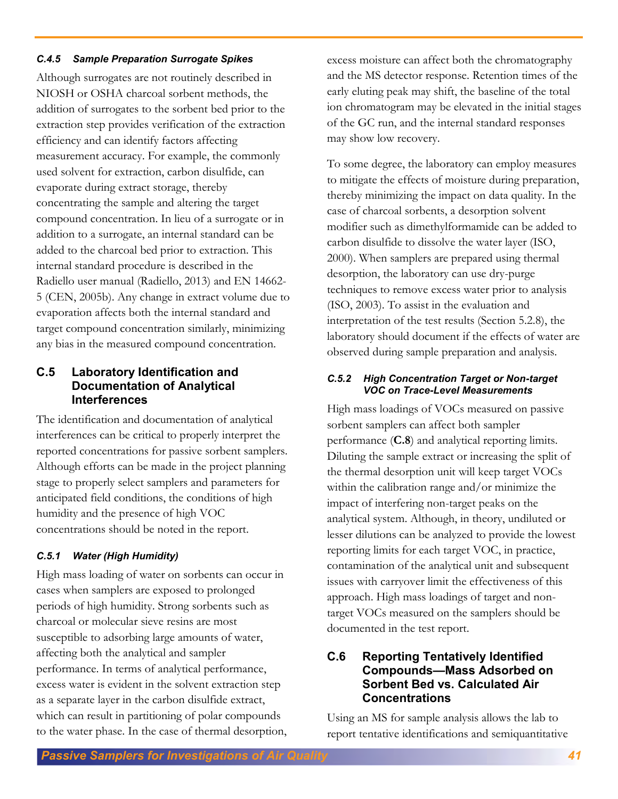### *C.4.5 Sample Preparation Surrogate Spikes*

Although surrogates are not routinely described in NIOSH or OSHA charcoal sorbent methods, the addition of surrogates to the sorbent bed prior to the extraction step provides verification of the extraction efficiency and can identify factors affecting measurement accuracy. For example, the commonly used solvent for extraction, carbon disulfide, can evaporate during extract storage, thereby concentrating the sample and altering the target compound concentration. In lieu of a surrogate or in addition to a surrogate, an internal standard can be added to the charcoal bed prior to extraction. This internal standard procedure is described in the Radiello user manual (Radiello, 2013) and EN 14662- 5 (CEN, 2005b). Any change in extract volume due to evaporation affects both the internal standard and target compound concentration similarly, minimizing any bias in the measured compound concentration.

# **C.5 Laboratory Identification and Documentation of Analytical Interferences**

The identification and documentation of analytical interferences can be critical to properly interpret the reported concentrations for passive sorbent samplers. Although efforts can be made in the project planning stage to properly select samplers and parameters for anticipated field conditions, the conditions of high humidity and the presence of high VOC concentrations should be noted in the report.

# *C.5.1 Water (High Humidity)*

High mass loading of water on sorbents can occur in cases when samplers are exposed to prolonged periods of high humidity. Strong sorbents such as charcoal or molecular sieve resins are most susceptible to adsorbing large amounts of water, affecting both the analytical and sampler performance. In terms of analytical performance, excess water is evident in the solvent extraction step as a separate layer in the carbon disulfide extract, which can result in partitioning of polar compounds to the water phase. In the case of thermal desorption, excess moisture can affect both the chromatography and the MS detector response. Retention times of the early eluting peak may shift, the baseline of the total ion chromatogram may be elevated in the initial stages of the GC run, and the internal standard responses may show low recovery.

To some degree, the laboratory can employ measures to mitigate the effects of moisture during preparation, thereby minimizing the impact on data quality. In the case of charcoal sorbents, a desorption solvent modifier such as dimethylformamide can be added to carbon disulfide to dissolve the water layer (ISO, 2000). When samplers are prepared using thermal desorption, the laboratory can use dry-purge techniques to remove excess water prior to analysis (ISO, 2003). To assist in the evaluation and interpretation of the test results (Section 5.2.8), the laboratory should document if the effects of water are observed during sample preparation and analysis.

### *C.5.2 High Concentration Target or Non-target VOC on Trace-Level Measurements*

High mass loadings of VOCs measured on passive sorbent samplers can affect both sampler performance (**C.8**) and analytical reporting limits. Diluting the sample extract or increasing the split of the thermal desorption unit will keep target VOCs within the calibration range and/or minimize the impact of interfering non-target peaks on the analytical system. Although, in theory, undiluted or lesser dilutions can be analyzed to provide the lowest reporting limits for each target VOC, in practice, contamination of the analytical unit and subsequent issues with carryover limit the effectiveness of this approach. High mass loadings of target and nontarget VOCs measured on the samplers should be documented in the test report.

# **C.6 Reporting Tentatively Identified Compounds—Mass Adsorbed on Sorbent Bed vs. Calculated Air Concentrations**

Using an MS for sample analysis allows the lab to report tentative identifications and semiquantitative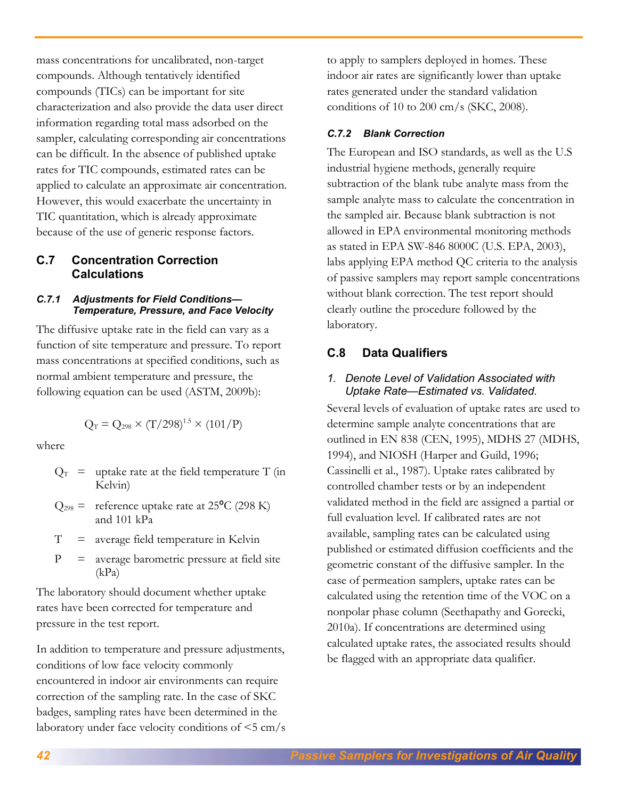mass concentrations for uncalibrated, non-target compounds. Although tentatively identified compounds (TICs) can be important for site characterization and also provide the data user direct information regarding total mass adsorbed on the sampler, calculating corresponding air concentrations can be difficult. In the absence of published uptake rates for TIC compounds, estimated rates can be applied to calculate an approximate air concentration. However, this would exacerbate the uncertainty in TIC quantitation, which is already approximate because of the use of generic response factors.

# **C.7 Concentration Correction Calculations**

### *C.7.1 Adjustments for Field Conditions— Temperature, Pressure, and Face Velocity*

The diffusive uptake rate in the field can vary as a function of site temperature and pressure. To report mass concentrations at specified conditions, such as normal ambient temperature and pressure, the following equation can be used (ASTM, 2009b):

$$
Q_T = Q_{298} \times (T/298)^{1.5} \times (101/P)
$$

where

- $Q_T$  = uptake rate at the field temperature T (in Kelvin)
- $Q_{298}$  = reference uptake rate at 25<sup>o</sup>C (298 K) and 101 kPa
- $T =$  average field temperature in Kelvin
- $P =$  average barometric pressure at field site (kPa)

The laboratory should document whether uptake rates have been corrected for temperature and pressure in the test report.

In addition to temperature and pressure adjustments, conditions of low face velocity commonly encountered in indoor air environments can require correction of the sampling rate. In the case of SKC badges, sampling rates have been determined in the laboratory under face velocity conditions of  $\leq$ 5 cm/s to apply to samplers deployed in homes. These indoor air rates are significantly lower than uptake rates generated under the standard validation conditions of 10 to 200 cm/s (SKC, 2008).

### *C.7.2 Blank Correction*

The European and ISO standards, as well as the U.S industrial hygiene methods, generally require subtraction of the blank tube analyte mass from the sample analyte mass to calculate the concentration in the sampled air. Because blank subtraction is not allowed in EPA environmental monitoring methods as stated in EPA SW-846 8000C (U.S. EPA, 2003), labs applying EPA method QC criteria to the analysis of passive samplers may report sample concentrations without blank correction. The test report should clearly outline the procedure followed by the laboratory.

### **C.8 Data Qualifiers**

### *1. Denote Level of Validation Associated with Uptake Rate—Estimated vs. Validated.*

Several levels of evaluation of uptake rates are used to determine sample analyte concentrations that are outlined in EN 838 (CEN, 1995), MDHS 27 (MDHS, 1994), and NIOSH (Harper and Guild, 1996; Cassinelli et al., 1987). Uptake rates calibrated by controlled chamber tests or by an independent validated method in the field are assigned a partial or full evaluation level. If calibrated rates are not available, sampling rates can be calculated using published or estimated diffusion coefficients and the geometric constant of the diffusive sampler. In the case of permeation samplers, uptake rates can be calculated using the retention time of the VOC on a nonpolar phase column (Seethapathy and Gorecki, 2010a). If concentrations are determined using calculated uptake rates, the associated results should be flagged with an appropriate data qualifier.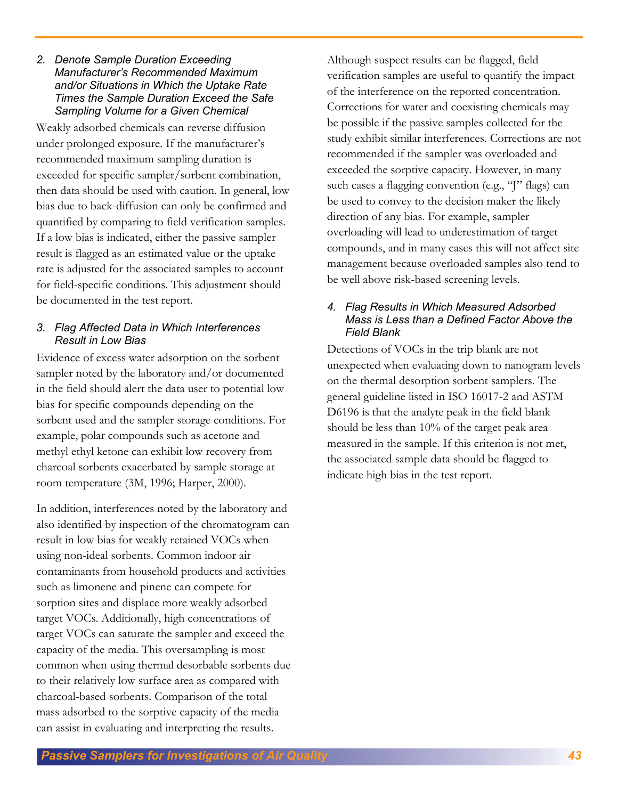#### *2. Denote Sample Duration Exceeding Manufacturer's Recommended Maximum and/or Situations in Which the Uptake Rate Times the Sample Duration Exceed the Safe Sampling Volume for a Given Chemical*

Weakly adsorbed chemicals can reverse diffusion under prolonged exposure. If the manufacturer's recommended maximum sampling duration is exceeded for specific sampler/sorbent combination, then data should be used with caution. In general, low bias due to back-diffusion can only be confirmed and quantified by comparing to field verification samples. If a low bias is indicated, either the passive sampler result is flagged as an estimated value or the uptake rate is adjusted for the associated samples to account for field-specific conditions. This adjustment should be documented in the test report.

### *3. Flag Affected Data in Which Interferences Result in Low Bias*

Evidence of excess water adsorption on the sorbent sampler noted by the laboratory and/or documented in the field should alert the data user to potential low bias for specific compounds depending on the sorbent used and the sampler storage conditions. For example, polar compounds such as acetone and methyl ethyl ketone can exhibit low recovery from charcoal sorbents exacerbated by sample storage at room temperature (3M, 1996; Harper, 2000).

In addition, interferences noted by the laboratory and also identified by inspection of the chromatogram can result in low bias for weakly retained VOCs when using non-ideal sorbents. Common indoor air contaminants from household products and activities such as limonene and pinene can compete for sorption sites and displace more weakly adsorbed target VOCs. Additionally, high concentrations of target VOCs can saturate the sampler and exceed the capacity of the media. This oversampling is most common when using thermal desorbable sorbents due to their relatively low surface area as compared with charcoal-based sorbents. Comparison of the total mass adsorbed to the sorptive capacity of the media can assist in evaluating and interpreting the results.

Although suspect results can be flagged, field verification samples are useful to quantify the impact of the interference on the reported concentration. Corrections for water and coexisting chemicals may be possible if the passive samples collected for the study exhibit similar interferences. Corrections are not recommended if the sampler was overloaded and exceeded the sorptive capacity. However, in many such cases a flagging convention (e.g., "J" flags) can be used to convey to the decision maker the likely direction of any bias. For example, sampler overloading will lead to underestimation of target compounds, and in many cases this will not affect site management because overloaded samples also tend to be well above risk-based screening levels.

### *4. Flag Results in Which Measured Adsorbed Mass is Less than a Defined Factor Above the Field Blank*

Detections of VOCs in the trip blank are not unexpected when evaluating down to nanogram levels on the thermal desorption sorbent samplers. The general guideline listed in ISO 16017-2 and ASTM D6196 is that the analyte peak in the field blank should be less than 10% of the target peak area measured in the sample. If this criterion is not met, the associated sample data should be flagged to indicate high bias in the test report.